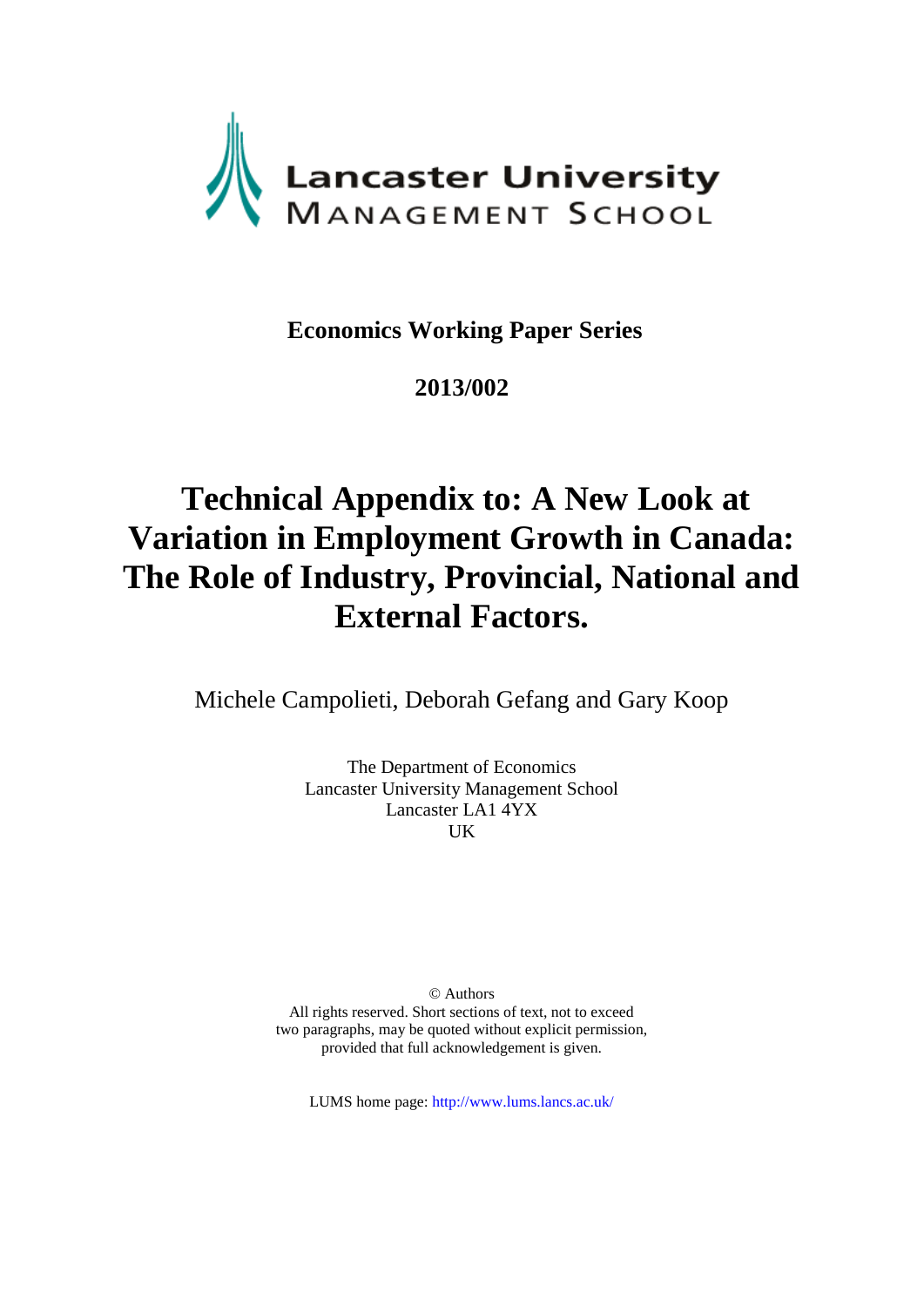

## **Economics Working Paper Series**

## **2013/002**

# **Technical Appendix to: A New Look at Variation in Employment Growth in Canada: The Role of Industry, Provincial, National and External Factors.**

Michele Campolieti, Deborah Gefang and Gary Koop

The Department of Economics Lancaster University Management School Lancaster LA1 4YX UK

© Authors All rights reserved. Short sections of text, not to exceed two paragraphs, may be quoted without explicit permission, provided that full acknowledgement is given.

LUMS home page: http://www.lums.lancs.ac.uk/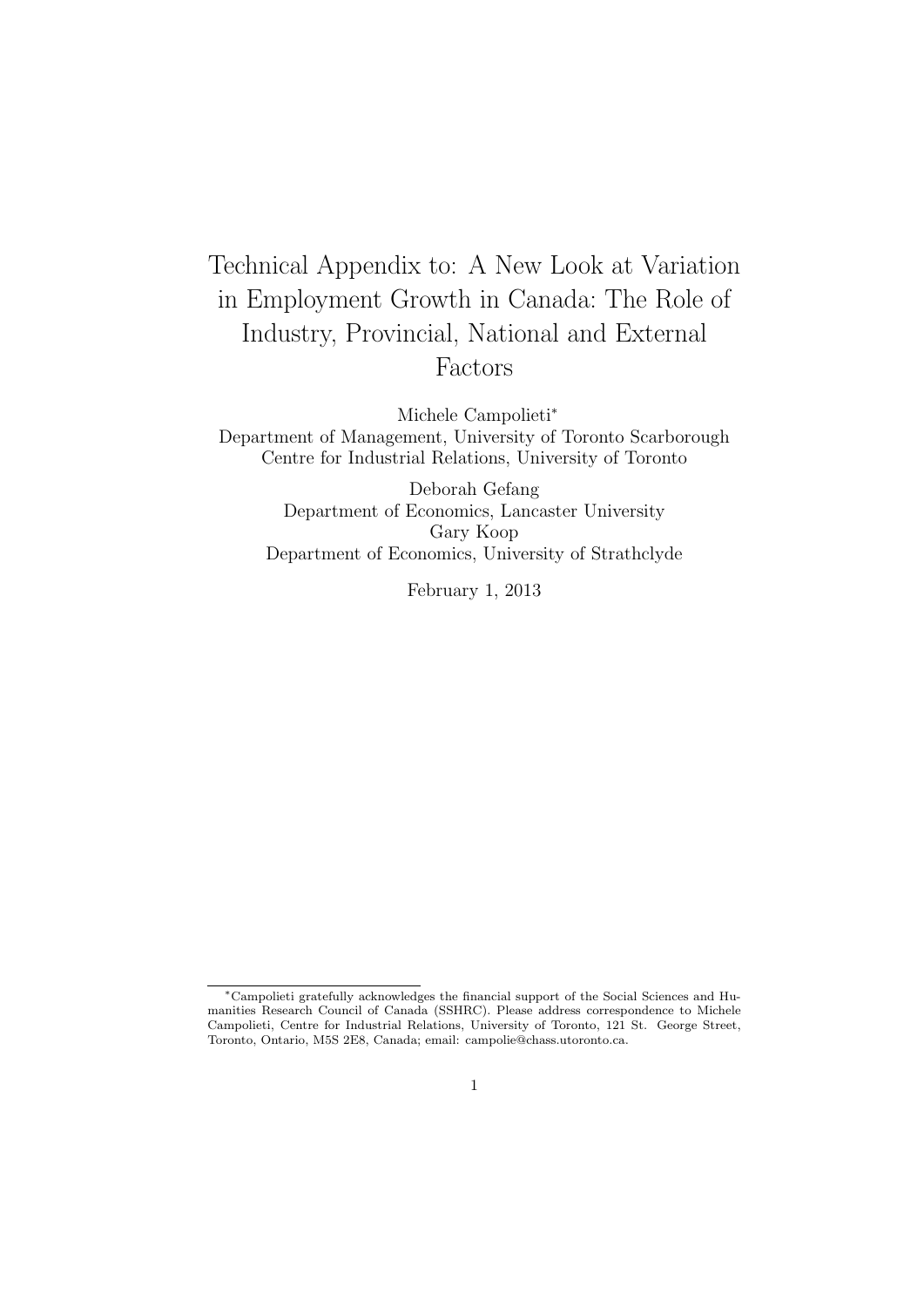## Technical Appendix to: A New Look at Variation in Employment Growth in Canada: The Role of Industry, Provincial, National and External Factors

Michele Campolieti*<sup>∗</sup>*

Department of Management, University of Toronto Scarborough Centre for Industrial Relations, University of Toronto

Deborah Gefang Department of Economics, Lancaster University Gary Koop Department of Economics, University of Strathclyde

February 1, 2013

*<sup>∗</sup>*Campolieti gratefully acknowledges the financial support of the Social Sciences and Humanities Research Council of Canada (SSHRC). Please address correspondence to Michele Campolieti, Centre for Industrial Relations, University of Toronto, 121 St. George Street, Toronto, Ontario, M5S 2E8, Canada; email: campolie@chass.utoronto.ca.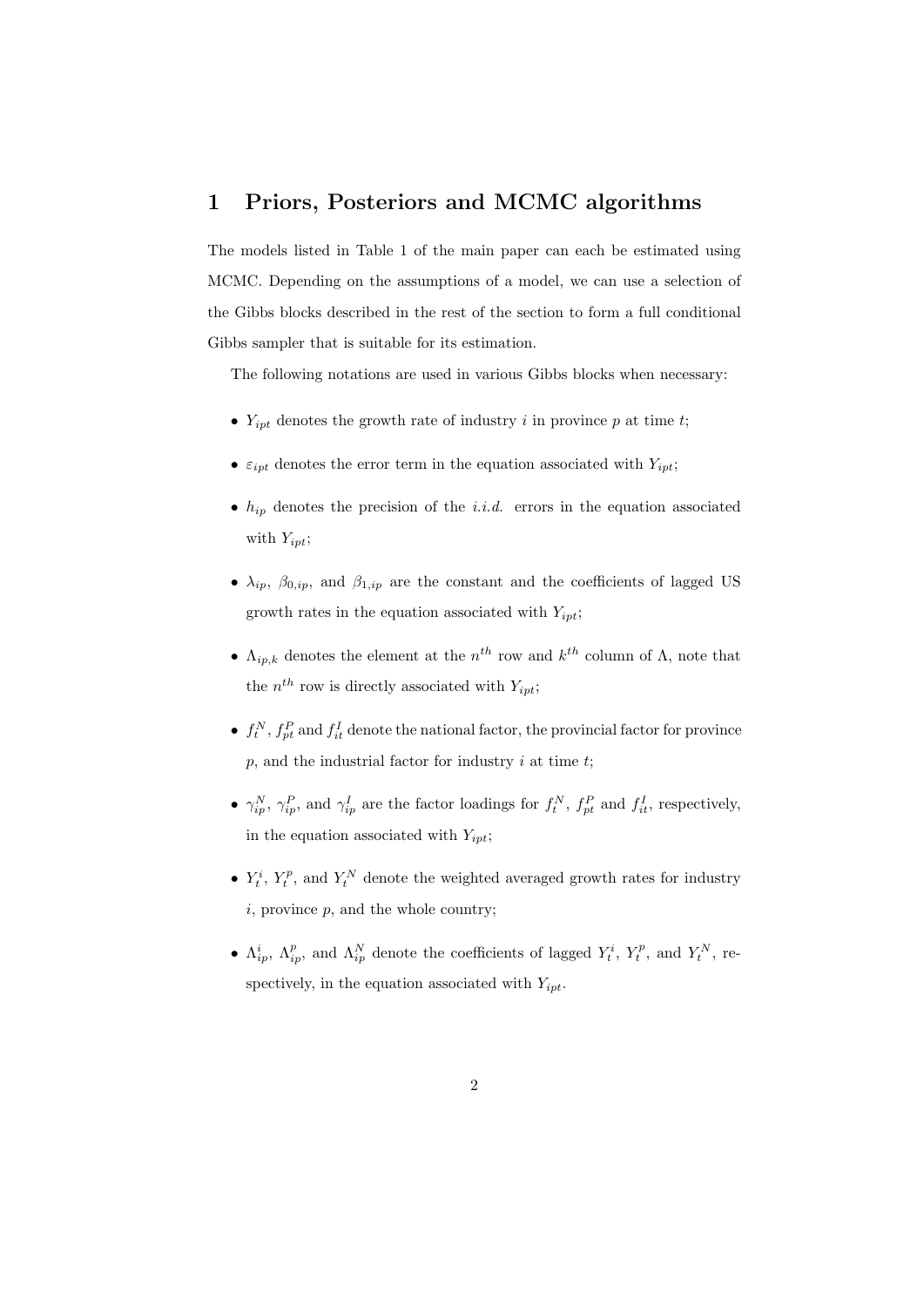#### **1 Priors, Posteriors and MCMC algorithms**

The models listed in Table 1 of the main paper can each be estimated using MCMC. Depending on the assumptions of a model, we can use a selection of the Gibbs blocks described in the rest of the section to form a full conditional Gibbs sampler that is suitable for its estimation.

The following notations are used in various Gibbs blocks when necessary:

- $Y_{ipt}$  denotes the growth rate of industry *i* in province *p* at time *t*;
- $\varepsilon_{ipt}$  denotes the error term in the equation associated with  $Y_{ipt}$ ;
- $h_{ip}$  denotes the precision of the *i.i.d.* errors in the equation associated with *Yipt*;
- $\lambda_{ip}$ ,  $\beta_{0,ip}$ , and  $\beta_{1,ip}$  are the constant and the coefficients of lagged US growth rates in the equation associated with *Yipt*;
- **•**  $\Lambda_{ip,k}$  denotes the element at the  $n^{th}$  row and  $k^{th}$  column of  $\Lambda$ , note that the  $n^{th}$  row is directly associated with  $Y_{ipt}$ ;
- $f_t^N$ ,  $f_{pt}^P$  and  $f_{it}^I$  denote the national factor, the provincial factor for province *p*, and the industrial factor for industry *i* at time *t*;
- $\gamma_{ip}^N$ ,  $\gamma_{ip}^P$ , and  $\gamma_{ip}^I$  are the factor loadings for  $f_t^N$ ,  $f_{pt}^P$  and  $f_{it}^I$ , respectively, in the equation associated with *Yipt*;
- $Y_t^i$ ,  $Y_t^p$ , and  $Y_t^N$  denote the weighted averaged growth rates for industry *i*, province *p*, and the whole country;
- $\Lambda_{ip}^i$ ,  $\Lambda_{ip}^p$ , and  $\Lambda_{ip}^N$  denote the coefficients of lagged  $Y_t^i$ ,  $Y_t^p$ , and  $Y_t^N$ , respectively, in the equation associated with *Yipt*.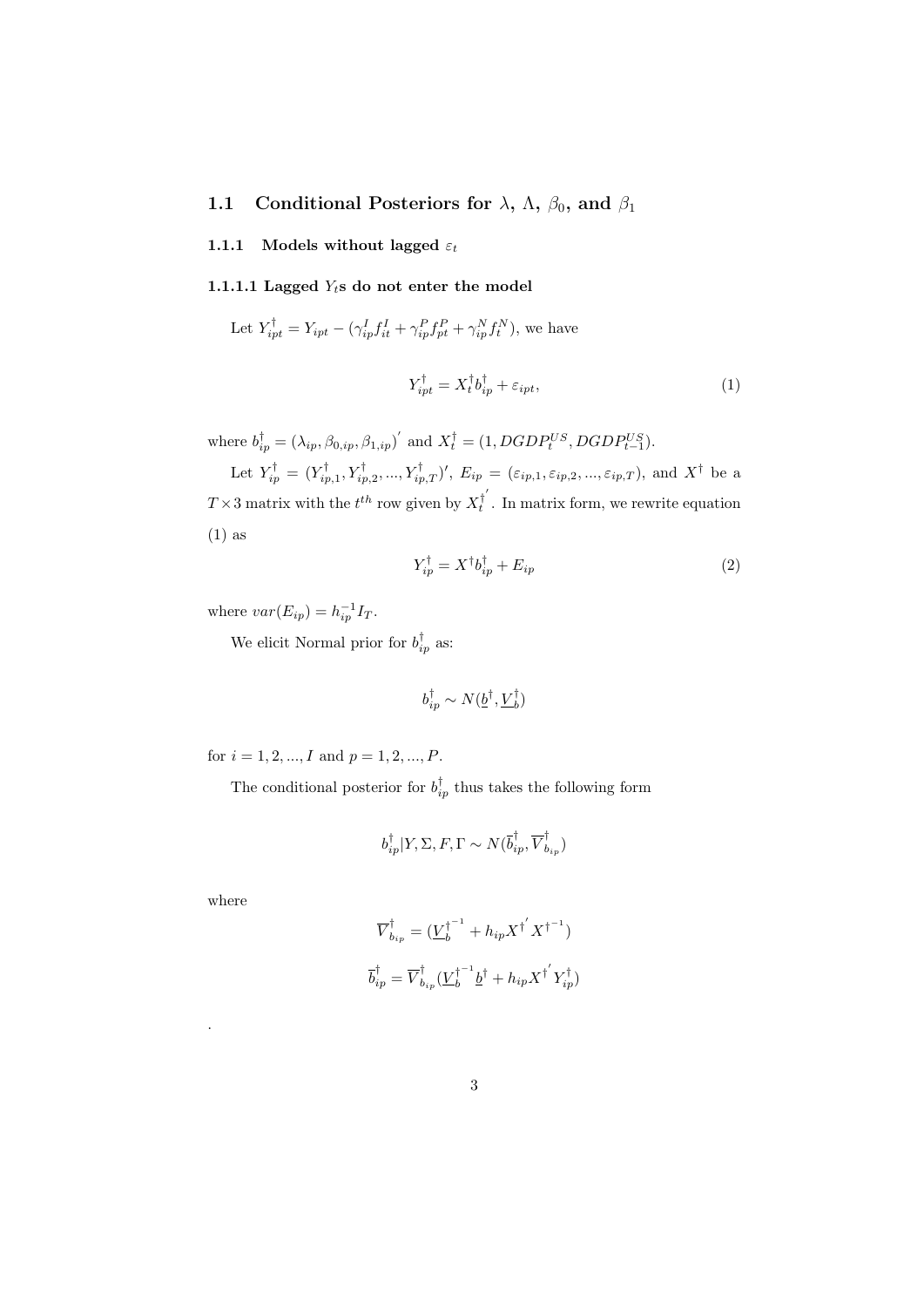#### **1.1** Conditional Posteriors for  $\lambda$ ,  $\Lambda$ ,  $\beta_0$ , and  $\beta_1$

#### **1.1.1** Models without lagged  $\varepsilon_t$

#### **1.1.1.1 Lagged** *Yt***s do not enter the model**

Let 
$$
Y_{ipt}^{\dagger} = Y_{ipt} - (\gamma_{ip}^I f_{it}^I + \gamma_{ip}^P f_{pt}^P + \gamma_{ip}^N f_t^N)
$$
, we have

$$
Y_{ipt}^{\dagger} = X_t^{\dagger} b_{ip}^{\dagger} + \varepsilon_{ipt}, \tag{1}
$$

where  $b_{ip}^{\dagger} = (\lambda_{ip}, \beta_{0,ip}, \beta_{1,ip})'$  and  $X_t^{\dagger} = (1, DGDP_t^{US}, DGDP_{t-1}^{US})$ .

Let  $Y_{ip}^{\dagger} = (Y_{ip,1}^{\dagger}, Y_{ip,2}^{\dagger}, ..., Y_{ip,T}^{\dagger})'$ ,  $E_{ip} = (\varepsilon_{ip,1}, \varepsilon_{ip,2}, ..., \varepsilon_{ip,T})$ , and  $X^{\dagger}$  be a  $T \times 3$  matrix with the  $t^{th}$  row given by  $X_t^{\dagger'}$  $t_t^{\dagger}$ . In matrix form, we rewrite equation (1) as

$$
Y_{ip}^{\dagger} = X^{\dagger} b_{ip}^{\dagger} + E_{ip} \tag{2}
$$

where  $var(E_{ip}) = h_{ip}^{-1}I_T$ .

We elicit Normal prior for  $b_{ip}^{\dagger}$  as:

$$
b^{\dagger}_{ip} \sim N(\underline{b}^{\dagger},\underline{V}_b^{\dagger})
$$

for  $i = 1, 2, ..., I$  and  $p = 1, 2, ..., P$ .

The conditional posterior for  $b_{ip}^{\dagger}$  thus takes the following form

$$
b_{ip}^{\dagger}|Y,\Sigma,F,\Gamma \sim N(\overline{b}_{ip}^{\dagger},\overline{V}_{b_{ip}}^{\dagger})
$$

where

.

$$
\overline{V}_{b_{ip}}^{\dagger} = (\underline{V}_{b}^{\dagger^{-1}} + h_{ip} X^{\dagger'} X^{\dagger^{-1}})
$$
  

$$
\overline{b}_{ip}^{\dagger} = \overline{V}_{b_{ip}}^{\dagger} (\underline{V}_{b}^{\dagger^{-1}} \underline{b}^{\dagger} + h_{ip} X^{\dagger'} Y_{ip}^{\dagger})
$$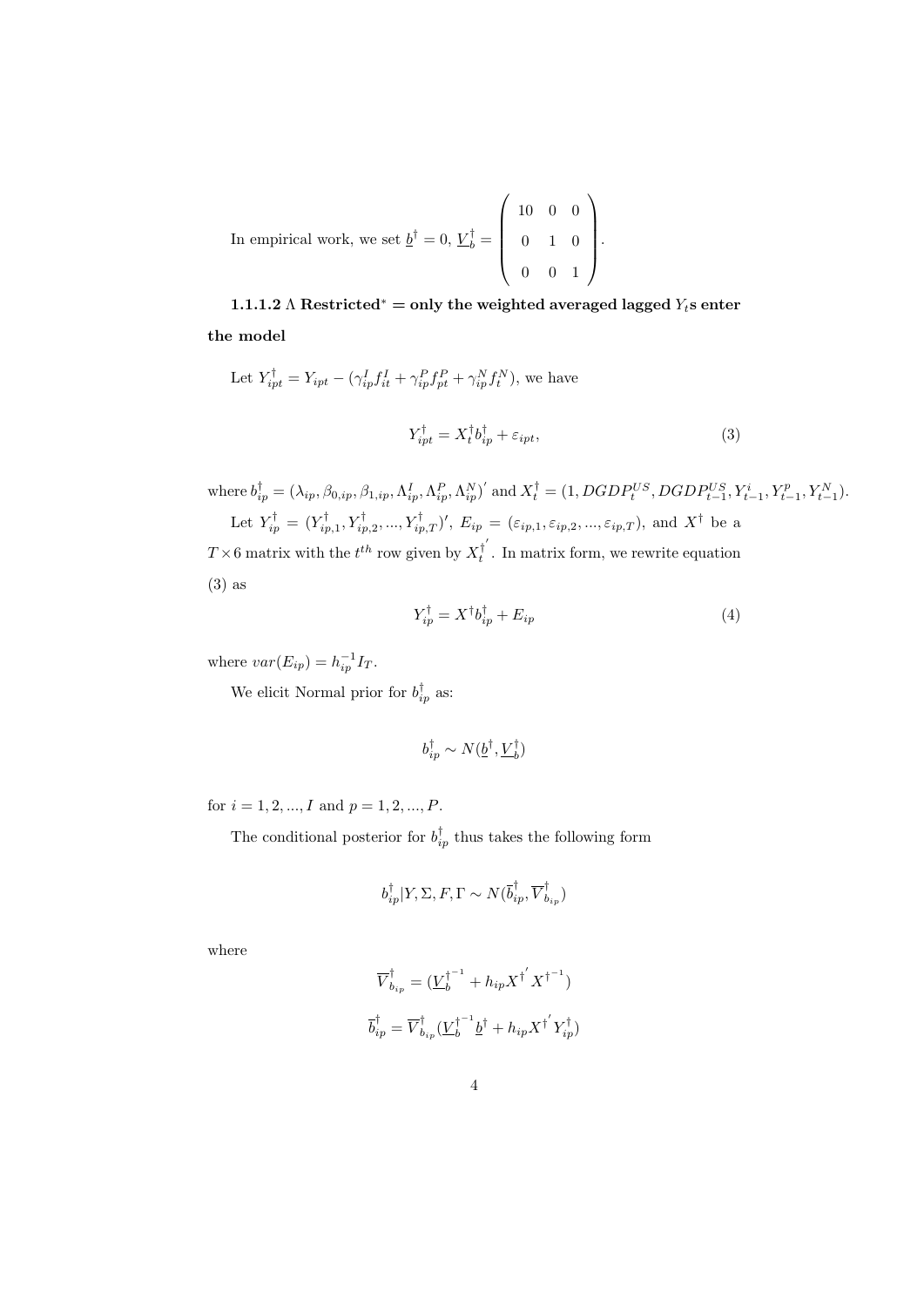In empirical work, we set  $\underline{b}^{\dagger} = 0$ ,  $\underline{V}_{b}^{\dagger} = 0$  $\sqrt{ }$  $\overline{\phantom{a}}$ 10 0 0 0 1 0 0 0 1  $\setminus$  $\left| \cdot \right|$ 

**1.1.1.2**  $\Lambda$  **Restricted**<sup>\*</sup> = only the weighted averaged lagged  $Y_t$ **s** enter **the model**

Let 
$$
Y_{ipt}^{\dagger} = Y_{ipt} - (\gamma_{ip}^I f_{it}^I + \gamma_{ip}^P f_{pt}^P + \gamma_{ip}^N f_{t}^N)
$$
, we have  

$$
Y_{ipt}^{\dagger} = X_t^{\dagger} b_{ip}^{\dagger} + \varepsilon_{ipt},
$$
(3)

where 
$$
b_{ip}^{\dagger} = (\lambda_{ip}, \beta_{0,ip}, \beta_{1,ip}, \Lambda_{ip}^{P}, \Lambda_{ip}^{P}, \Lambda_{ip}^{N})'
$$
 and  $X_{t}^{\dagger} = (1, DGDP_{t}^{US}, DGDP_{t-1}^{US}, Y_{t-1}^{i}, Y_{t-1}^{p}, Y_{t-1}^{N}).$   
Let  $Y_{ip}^{\dagger} = (Y_{ip,1}^{\dagger}, Y_{ip,2}^{\dagger}, ..., Y_{ip,T}^{\dagger})'$ ,  $E_{ip} = (\varepsilon_{ip,1}, \varepsilon_{ip,2}, ..., \varepsilon_{ip,T})$ , and  $X^{\dagger}$  be a

 $T \times 6$  matrix with the  $t^{th}$  row given by  $X_t^{\dagger}$  $t_t^{\dagger}$ . In matrix form, we rewrite equation (3) as

$$
Y_{ip}^{\dagger} = X^{\dagger} b_{ip}^{\dagger} + E_{ip} \tag{4}
$$

where  $var(E_{ip}) = h_{ip}^{-1}I_T$ .

We elicit Normal prior for  $b_{ip}^{\dagger}$  as:

$$
b_{ip}^\dagger \sim N(\underline{b}^\dagger,\underline{V}_b^\dagger)
$$

for  $i = 1, 2, ..., I$  and  $p = 1, 2, ..., P$ .

The conditional posterior for  $b_{ip}^{\dagger}$  thus takes the following form

$$
b_{ip}^{\dagger}|Y,\Sigma,F,\Gamma \sim N(\overline{b}_{ip}^{\dagger},\overline{V}_{b_{ip}}^{\dagger})
$$

where

$$
\overline{V}_{b_{ip}}^{\dagger} = (\underline{V}_{b}^{\dagger^{-1}} + h_{ip} X^{\dagger'} X^{\dagger^{-1}})
$$
  

$$
\overline{b}_{ip}^{\dagger} = \overline{V}_{b_{ip}}^{\dagger} (\underline{V}_{b}^{\dagger^{-1}} \underline{b}^{\dagger} + h_{ip} X^{\dagger'} Y_{ip}^{\dagger})
$$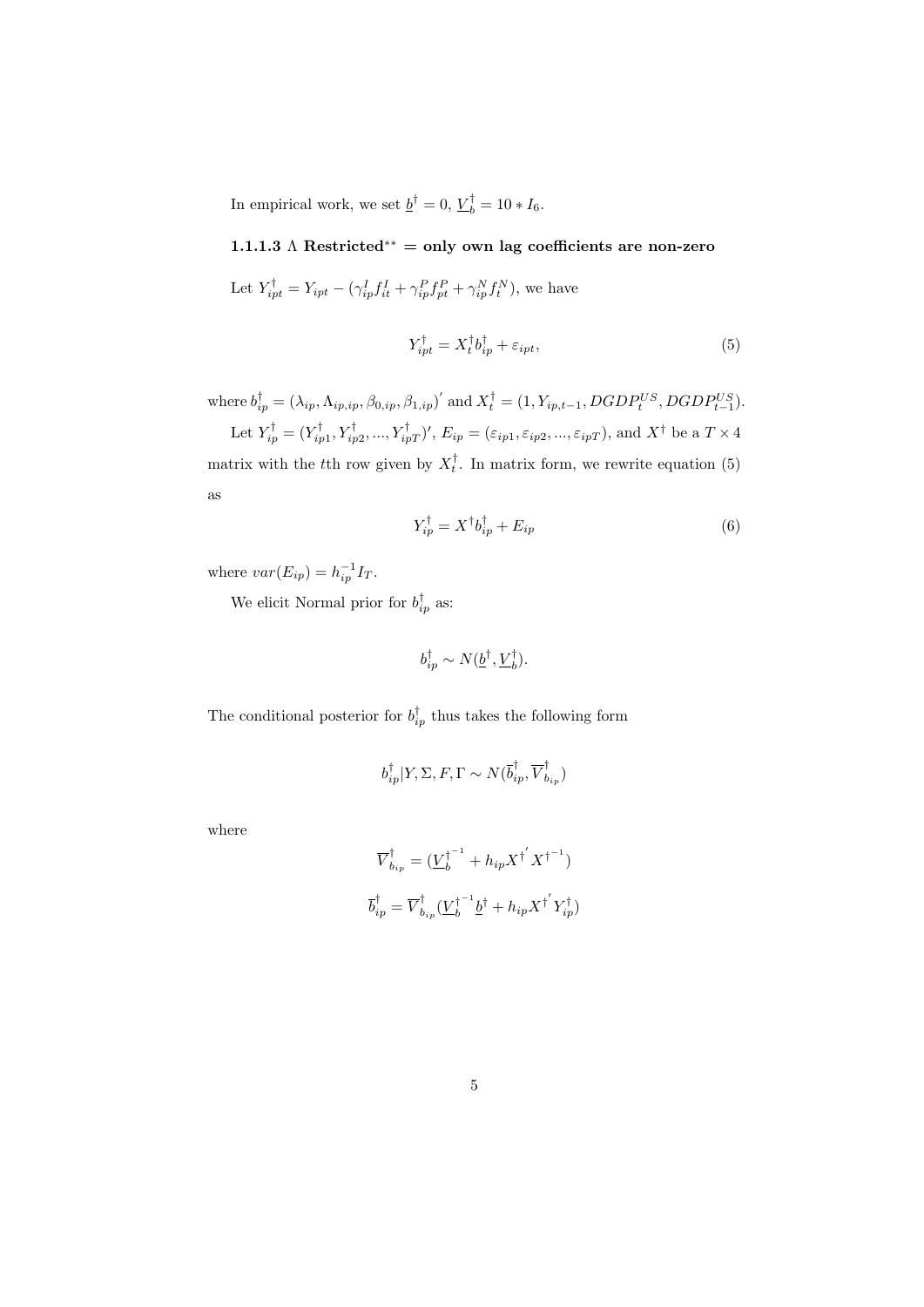In empirical work, we set  $\underline{b}^{\dagger} = 0$ ,  $\underline{V}_{b}^{\dagger} = 10 * I_6$ .

**1.1.1.3** Λ **Restricted***∗∗* **= only own lag coefficients are non-zero**

Let  $Y_{ipt}^{\dagger} = Y_{ipt} - (\gamma_{ip}^I f_{it}^I + \gamma_{ip}^P f_{pt}^P + \gamma_{ip}^N f_t^N)$ , we have

$$
Y_{ipt}^{\dagger} = X_t^{\dagger} b_{ip}^{\dagger} + \varepsilon_{ipt}, \tag{5}
$$

where  $b_{ip}^{\dagger} = (\lambda_{ip}, \Lambda_{ip,ip}, \beta_{0,ip}, \beta_{1,ip})'$  and  $X_t^{\dagger} = (1, Y_{ip,t-1}, DGDP_t^{US}, DGDP_{t-1}^{US}).$ 

Let  $Y_{ip}^{\dagger} = (Y_{ip1}^{\dagger}, Y_{ip2}^{\dagger}, ..., Y_{ipT}^{\dagger})'$ ,  $E_{ip} = (\varepsilon_{ip1}, \varepsilon_{ip2}, ..., \varepsilon_{ipT})$ , and  $X^{\dagger}$  be a  $T \times 4$ matrix with the *t*<sup>th</sup> row given by  $X_t^{\dagger}$ . In matrix form, we rewrite equation (5) as

$$
Y_{ip}^{\dagger} = X^{\dagger} b_{ip}^{\dagger} + E_{ip} \tag{6}
$$

where  $var(E_{ip}) = h_{ip}^{-1}I_T$ .

We elicit Normal prior for  $b_{ip}^{\dagger}$  as:

$$
b_{ip}^{\dagger} \sim N(\underline{b}^{\dagger}, \underline{V}_{b}^{\dagger}).
$$

The conditional posterior for  $b_{ip}^{\dagger}$  thus takes the following form

$$
b_{ip}^{\dagger}|Y,\Sigma,F,\Gamma \sim N(\overline{b}_{ip}^{\dagger},\overline{V}_{b_{ip}}^{\dagger})
$$

where

$$
\overline{V}_{b_{ip}}^{\dagger} = (\underline{V}_{b}^{\dagger^{-1}} + h_{ip} X^{\dagger'} X^{\dagger^{-1}})
$$
  

$$
\overline{b}_{ip}^{\dagger} = \overline{V}_{b_{ip}}^{\dagger} (\underline{V}_{b}^{\dagger^{-1}} \underline{b}^{\dagger} + h_{ip} X^{\dagger'} Y_{ip}^{\dagger})
$$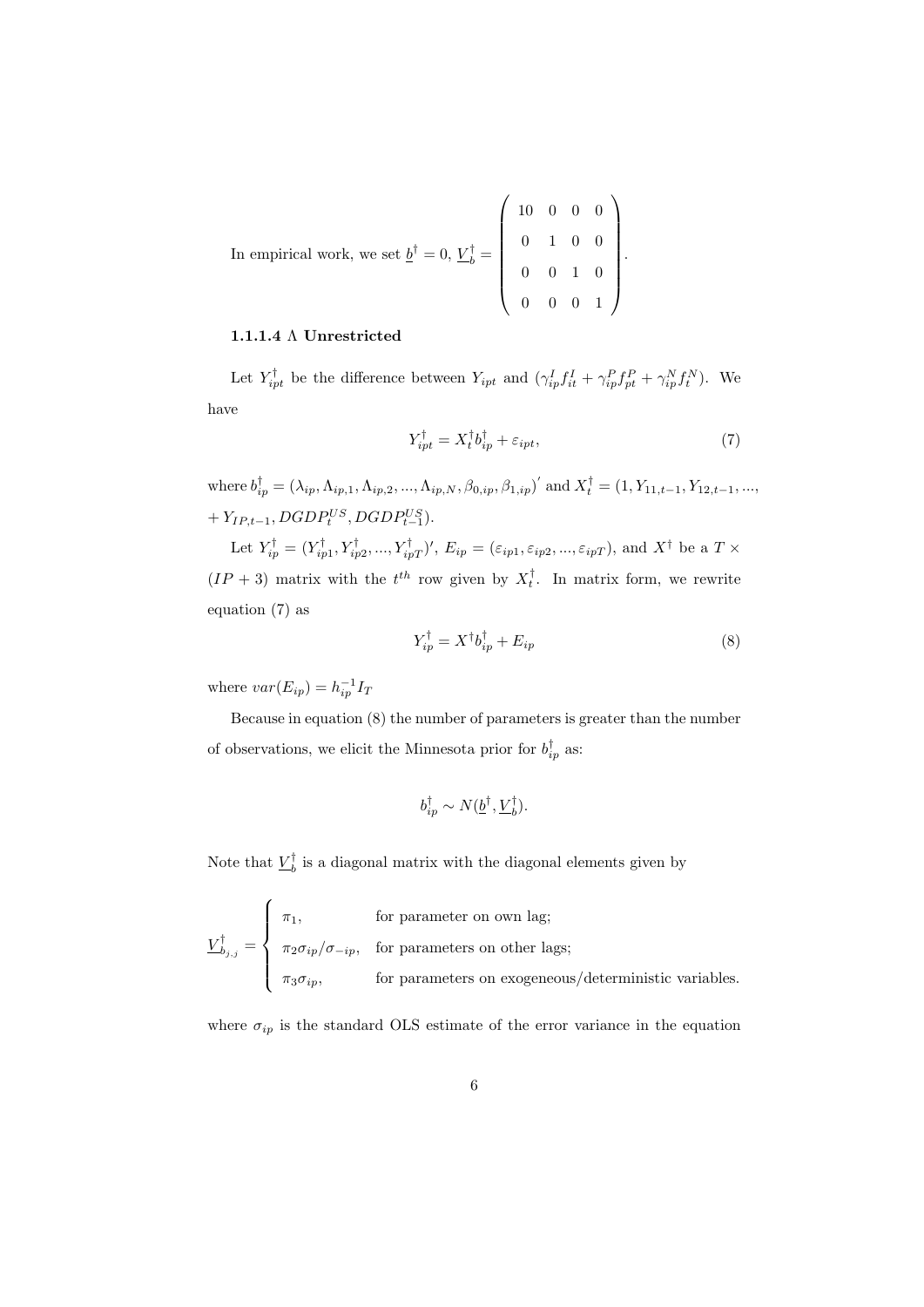In empirical work, we set  $\underline{b}^{\dagger} = 0$ ,  $\underline{V}_{b}^{\dagger} = 0$  $\begin{pmatrix} 10 & 0 & 0 & 0 \end{pmatrix}$  0 1 0 0 0 0 1 0 0 0 0 1  $\setminus$  $\begin{array}{c} \hline \end{array}$ .

#### **1.1.1.4** Λ **Unrestricted**

Let  $Y_{ipt}^{\dagger}$  be the difference between  $Y_{ipt}$  and  $(\gamma_{ip}^I f_{it}^I + \gamma_{ip}^P f_{pt}^P + \gamma_{ip}^N f_t^N)$ . We have

$$
Y_{ipt}^{\dagger} = X_t^{\dagger} b_{ip}^{\dagger} + \varepsilon_{ipt}, \tag{7}
$$

where  $b_{ip}^{\dagger} = (\lambda_{ip}, \Lambda_{ip,1}, \Lambda_{ip,2}, ..., \Lambda_{ip,N}, \beta_{0,ip}, \beta_{1,ip})'$  and  $X_t^{\dagger} = (1, Y_{11,t-1}, Y_{12,t-1}, ...,$  $+ Y_{IP,t-1}, DGDP_t^{US}, DGDP_{t-1}^{US}).$ 

Let  $Y_{ip}^{\dagger} = (Y_{ip1}^{\dagger}, Y_{ip2}^{\dagger}, ..., Y_{ipT}^{\dagger})'$ ,  $E_{ip} = (\varepsilon_{ip1}, \varepsilon_{ip2}, ..., \varepsilon_{ipT})$ , and  $X^{\dagger}$  be a  $T \times$  $(IP + 3)$  matrix with the  $t^{th}$  row given by  $X_t^{\dagger}$ . In matrix form, we rewrite equation (7) as

$$
Y_{ip}^{\dagger} = X^{\dagger} b_{ip}^{\dagger} + E_{ip} \tag{8}
$$

where  $var(E_{ip}) = h_{ip}^{-1}I_T$ 

Because in equation (8) the number of parameters is greater than the number of observations, we elicit the Minnesota prior for  $b_{ip}^{\dagger}$  as:

$$
b_{ip}^{\dagger} \sim N(\underline{b}^{\dagger}, \underline{V}_{b}^{\dagger}).
$$

Note that  $\underline{V}_b^{\dagger}$  is a diagonal matrix with the diagonal elements given by

$$
\underline{V}_{b_{j,j}}^{\dagger} = \begin{cases}\n\pi_1, & \text{for parameter on own lag;} \\
\pi_2 \sigma_{ip} / \sigma_{-ip}, & \text{for parameters on other lags;} \\
\pi_3 \sigma_{ip}, & \text{for parameters on exogeneous/deterministic variables.}\n\end{cases}
$$

where  $\sigma_{ip}$  is the standard OLS estimate of the error variance in the equation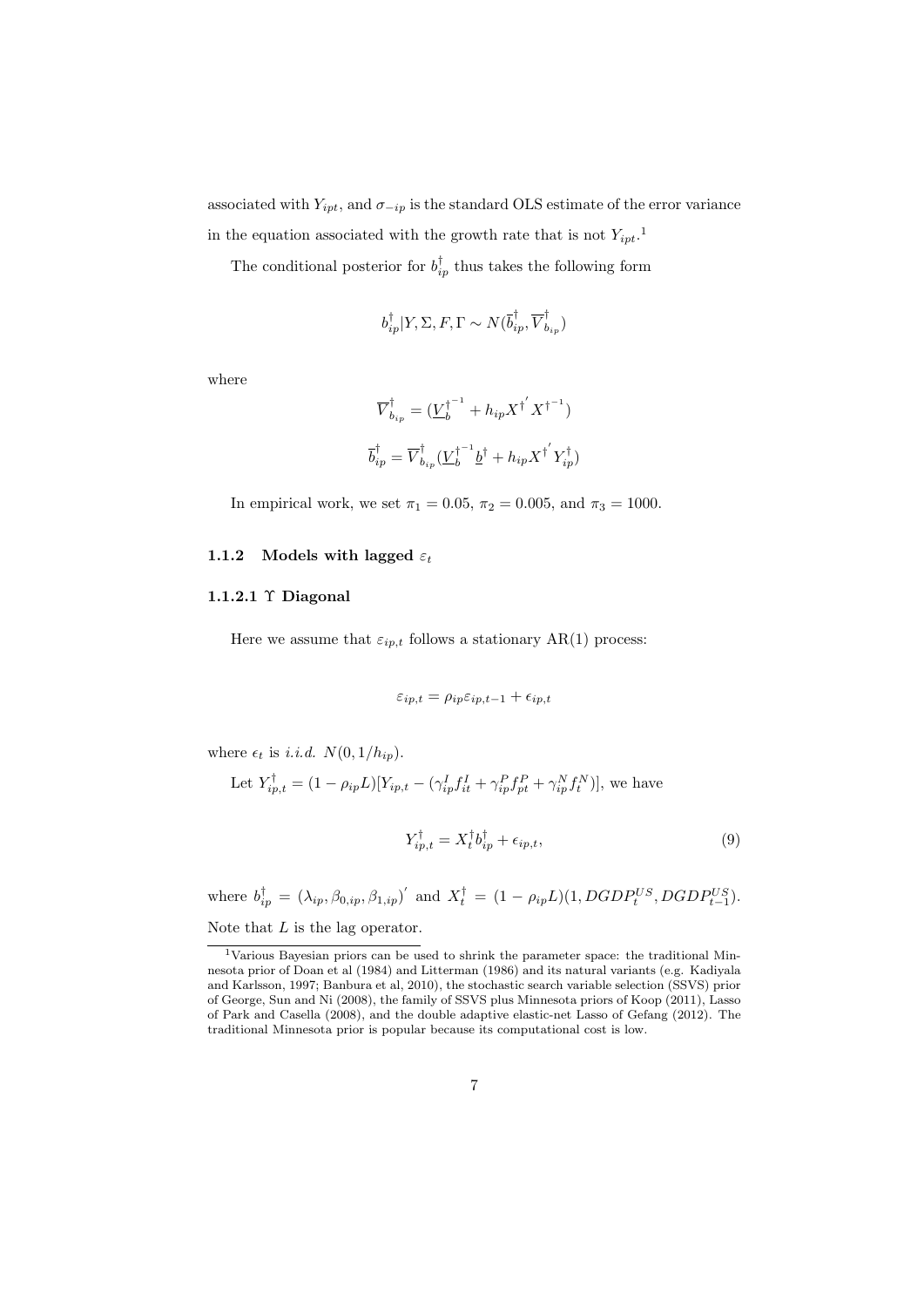associated with  $Y_{ipt}$ , and  $\sigma_{-ip}$  is the standard OLS estimate of the error variance in the equation associated with the growth rate that is not  $Y_{ipt}$ <sup>1</sup>

The conditional posterior for  $b_{ip}^{\dagger}$  thus takes the following form

$$
b_{ip}^{\dagger}|Y,\Sigma,F,\Gamma \sim N(\overline{b}_{ip}^{\dagger},\overline{V}_{b_{ip}}^{\dagger})
$$

where

$$
\overline{V}_{b_{ip}}^{\dagger} = (\underline{V}_{b}^{\dagger^{-1}} + h_{ip} X^{\dagger'} X^{\dagger^{-1}})
$$
  

$$
\overline{b}_{ip}^{\dagger} = \overline{V}_{b_{ip}}^{\dagger} (\underline{V}_{b}^{\dagger^{-1}} \underline{b}^{\dagger} + h_{ip} X^{\dagger'} Y_{ip}^{\dagger})
$$

In empirical work, we set  $\pi_1 = 0.05$ ,  $\pi_2 = 0.005$ , and  $\pi_3 = 1000$ .

#### **1.1.2** Models with lagged  $\varepsilon_t$

#### **1.1.2.1** Υ **Diagonal**

Here we assume that  $\varepsilon_{ip,t}$  follows a stationary AR(1) process:

$$
\varepsilon_{ip,t} = \rho_{ip} \varepsilon_{ip,t-1} + \epsilon_{ip,t}
$$

where  $\epsilon_t$  is *i.i.d.*  $N(0, 1/h_{ip})$ .

Let 
$$
Y_{ip,t}^\dagger = (1-\rho_{ip}L)[Y_{ip,t}-(\gamma_{ip}^I f_{it}^I + \gamma_{ip}^P f_{pt}^P + \gamma_{ip}^N f_t^N)],
$$
 we have

$$
Y_{ip,t}^{\dagger} = X_t^{\dagger} b_{ip}^{\dagger} + \epsilon_{ip,t},\tag{9}
$$

where  $b_{ip}^{\dagger} = (\lambda_{ip}, \beta_{0,ip}, \beta_{1,ip})'$  and  $X_t^{\dagger} = (1 - \rho_{ip}L)(1, DGDP_t^{US}, DGDP_{t-1}^{US})$ . Note that *L* is the lag operator.

<sup>1</sup>Various Bayesian priors can be used to shrink the parameter space: the traditional Minnesota prior of Doan et al (1984) and Litterman (1986) and its natural variants (e.g. Kadiyala and Karlsson, 1997; Banbura et al, 2010), the stochastic search variable selection (SSVS) prior of George, Sun and Ni (2008), the family of SSVS plus Minnesota priors of Koop (2011), Lasso of Park and Casella (2008), and the double adaptive elastic-net Lasso of Gefang (2012). The traditional Minnesota prior is popular because its computational cost is low.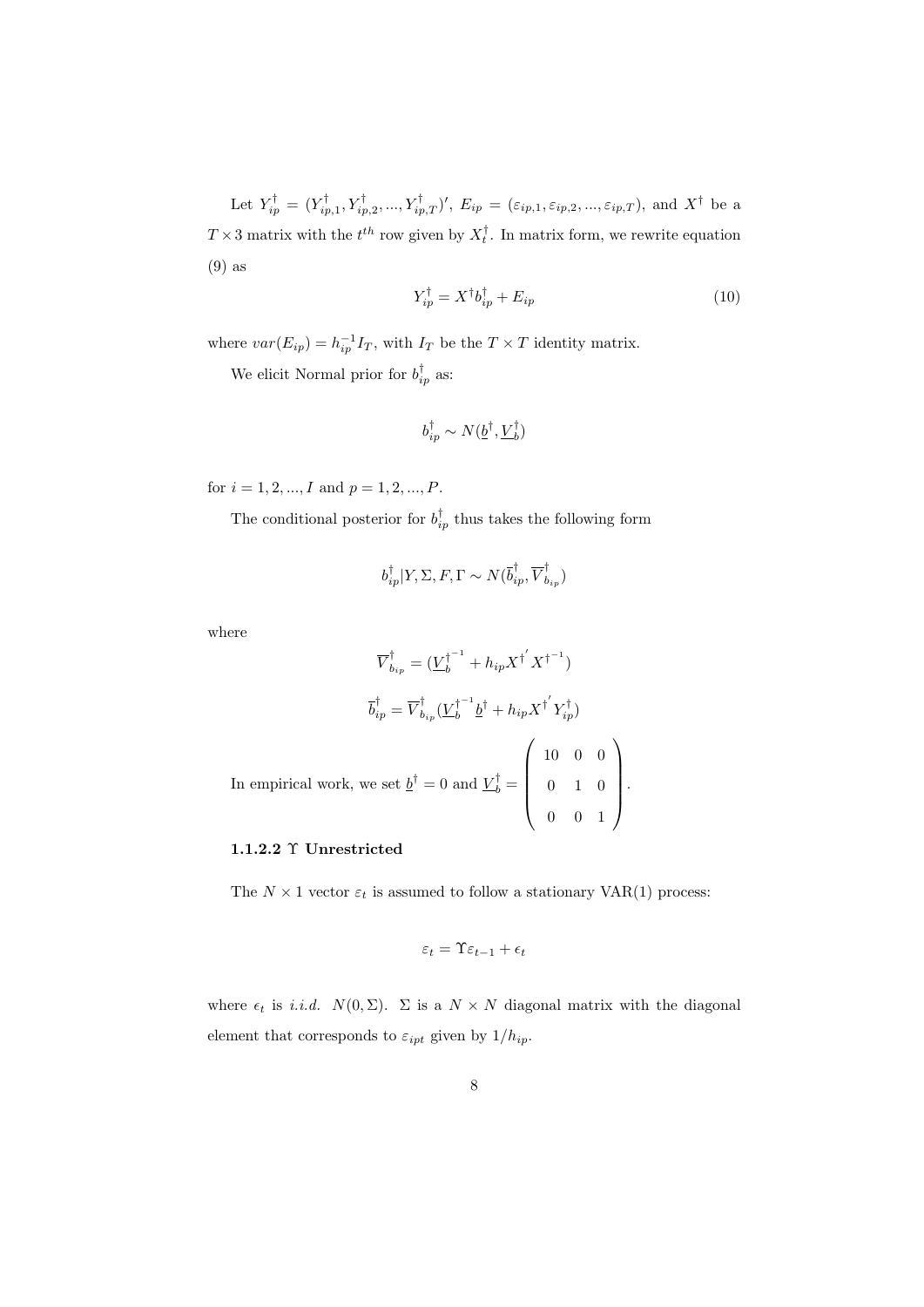Let  $Y_{ip}^{\dagger} = (Y_{ip,1}^{\dagger}, Y_{ip,2}^{\dagger}, ..., Y_{ip,T}^{\dagger})'$ ,  $E_{ip} = (\varepsilon_{ip,1}, \varepsilon_{ip,2}, ..., \varepsilon_{ip,T})$ , and  $X^{\dagger}$  be a  $T \times 3$  matrix with the  $t^{th}$  row given by  $X_t^{\dagger}$ . In matrix form, we rewrite equation (9) as

$$
Y_{ip}^{\dagger} = X^{\dagger} b_{ip}^{\dagger} + E_{ip} \tag{10}
$$

where  $var(E_{ip}) = h_{ip}^{-1}I_T$ , with  $I_T$  be the  $T \times T$  identity matrix.

We elicit Normal prior for  $b_{ip}^{\dagger}$  as:

$$
b_{ip}^\dagger \sim N(\underline{b}^\dagger,\underline{V}_b^\dagger)
$$

for  $i = 1, 2, ..., I$  and  $p = 1, 2, ..., P$ .

The conditional posterior for  $b_{ip}^{\dagger}$  thus takes the following form

$$
b_{ip}^\dagger|Y,\Sigma,F,\Gamma\sim N(\overline{b}_{ip}^\dagger,\overline{V}_{b_{ip}}^\dagger)
$$

where

$$
\overline{V}_{bip}^{\dagger} = (\underline{V}_{b}^{\dagger^{-1}} + h_{ip} X^{\dagger'} X^{\dagger^{-1}})
$$

$$
\overline{b}_{ip}^{\dagger} = \overline{V}_{bip}^{\dagger} (\underline{V}_{b}^{\dagger^{-1}} \underline{b}^{\dagger} + h_{ip} X^{\dagger'} Y_{ip}^{\dagger})
$$
  
In empirical work, we set  $\underline{b}^{\dagger} = 0$  and  $\underline{V}_{b}^{\dagger} = \begin{pmatrix} 10 & 0 & 0 \\ 0 & 1 & 0 \\ 0 & 0 & 1 \end{pmatrix}$ .

#### **1.1.2.2** Υ **Unrestricted**

The  $N \times 1$  vector  $\varepsilon_t$  is assumed to follow a stationary VAR(1) process:

$$
\varepsilon_t = \Upsilon \varepsilon_{t-1} + \epsilon_t
$$

where  $\epsilon_t$  is *i.i.d.*  $N(0, \Sigma)$ .  $\Sigma$  is a  $N \times N$  diagonal matrix with the diagonal element that corresponds to  $\varepsilon_{ipt}$  given by  $1/h_{ip}$ .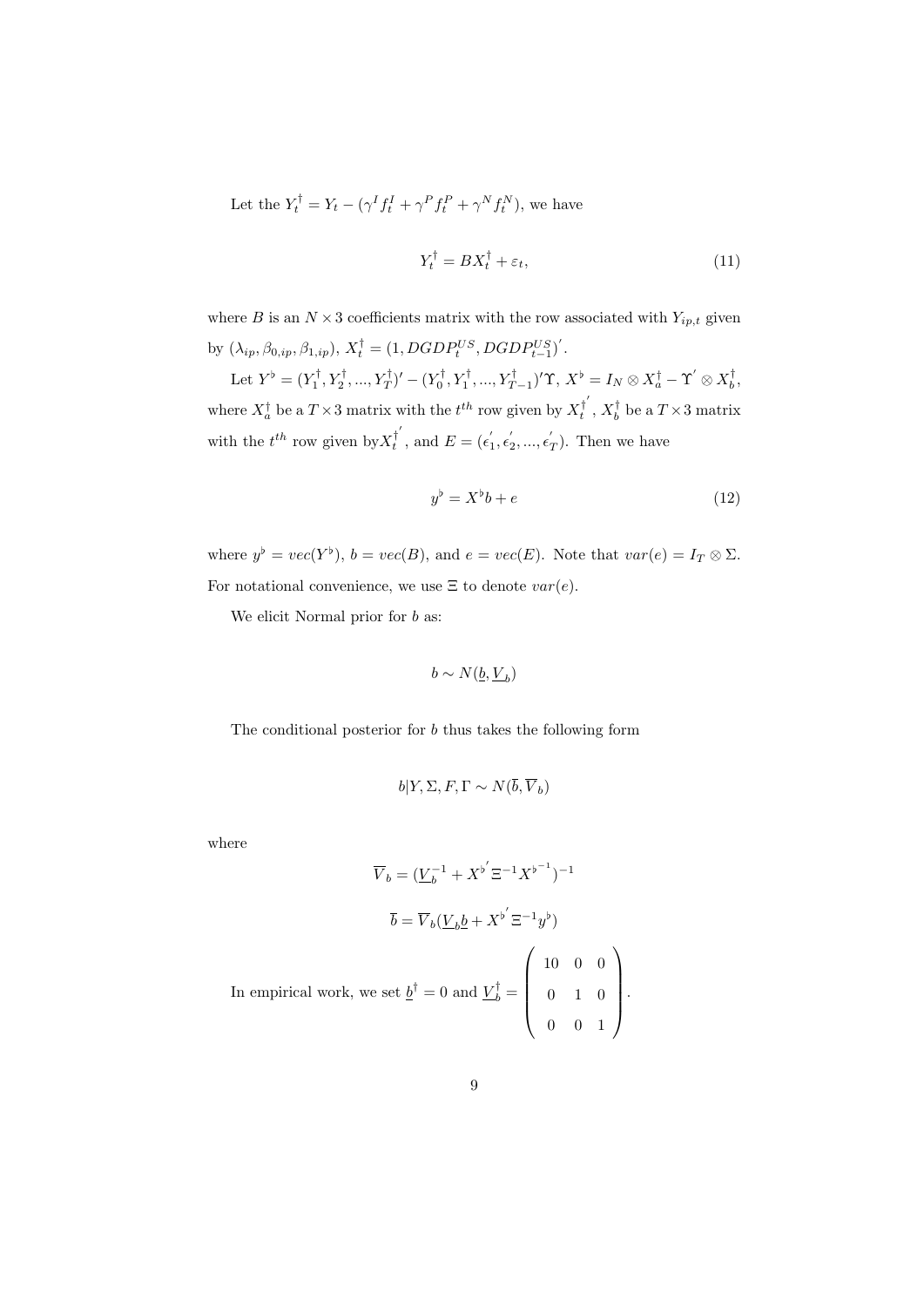Let the  $Y_t^{\dagger} = Y_t - (\gamma^I f_t^I + \gamma^P f_t^P + \gamma^N f_t^N)$ , we have

$$
Y_t^{\dagger} = BX_t^{\dagger} + \varepsilon_t,\tag{11}
$$

where  $B$  is an  $N \times 3$  coefficients matrix with the row associated with  $Y_{ip,t}$  given by  $(\lambda_{ip}, \beta_{0,ip}, \beta_{1,ip}), X_t^{\dagger} = (1, DGDP_t^{US}, DGDP_{t-1}^{US})'$ .

Let  $Y^{\flat} = (Y_1^{\dagger}, Y_2^{\dagger}, ..., Y_T^{\dagger})' - (Y_0^{\dagger}, Y_1^{\dagger}, ..., Y_{T-1}^{\dagger})' \Upsilon, X^{\flat} = I_N \otimes X_a^{\dagger} - \Upsilon' \otimes X_b^{\dagger},$ where  $X_a^{\dagger}$  be a  $T \times 3$  matrix with the  $t^{th}$  row given by  $X_t^{\dagger}$  $T_t^{\intercal}$ ,  $X_b^{\intercal}$  be a  $T \times 3$  matrix with the  $t^{th}$  row given by  $X_t^{\dagger'}$  $t^{\dagger}$ , and  $E = (\epsilon_1^{'}, \epsilon_2^{'}, ..., \epsilon_T^{'})$ . Then we have

$$
y^{\flat} = X^{\flat}b + e \tag{12}
$$

where  $y^{\flat} = vec(Y^{\flat}), b = vec(B),$  and  $e = vec(E)$ . Note that  $var(e) = I_T \otimes \Sigma$ . For notational convenience, we use  $\Xi$  to denote  $var(e)$ .

We elicit Normal prior for *b* as:

$$
b \sim N(\underline{b},\underline{V}_b)
$$

The conditional posterior for *b* thus takes the following form

$$
b|Y, \Sigma, F, \Gamma \sim N(\overline{b}, \overline{V}_b)
$$

where

$$
\overline{V}_b = (\underline{V}_b^{-1} + X^{\flat'} \Xi^{-1} X^{\flat^{-1}})^{-1}
$$
  

$$
\overline{b} = \overline{V}_b (\underline{V}_b \underline{b} + X^{\flat'} \Xi^{-1} y^{\flat})
$$
  
In empirical work, we set  $\underline{b}^{\dagger} = 0$  and  $\underline{V}_b^{\dagger} = \begin{pmatrix} 10 & 0 & 0 \\ 0 & 1 & 0 \\ 0 & 0 & 1 \end{pmatrix}$ .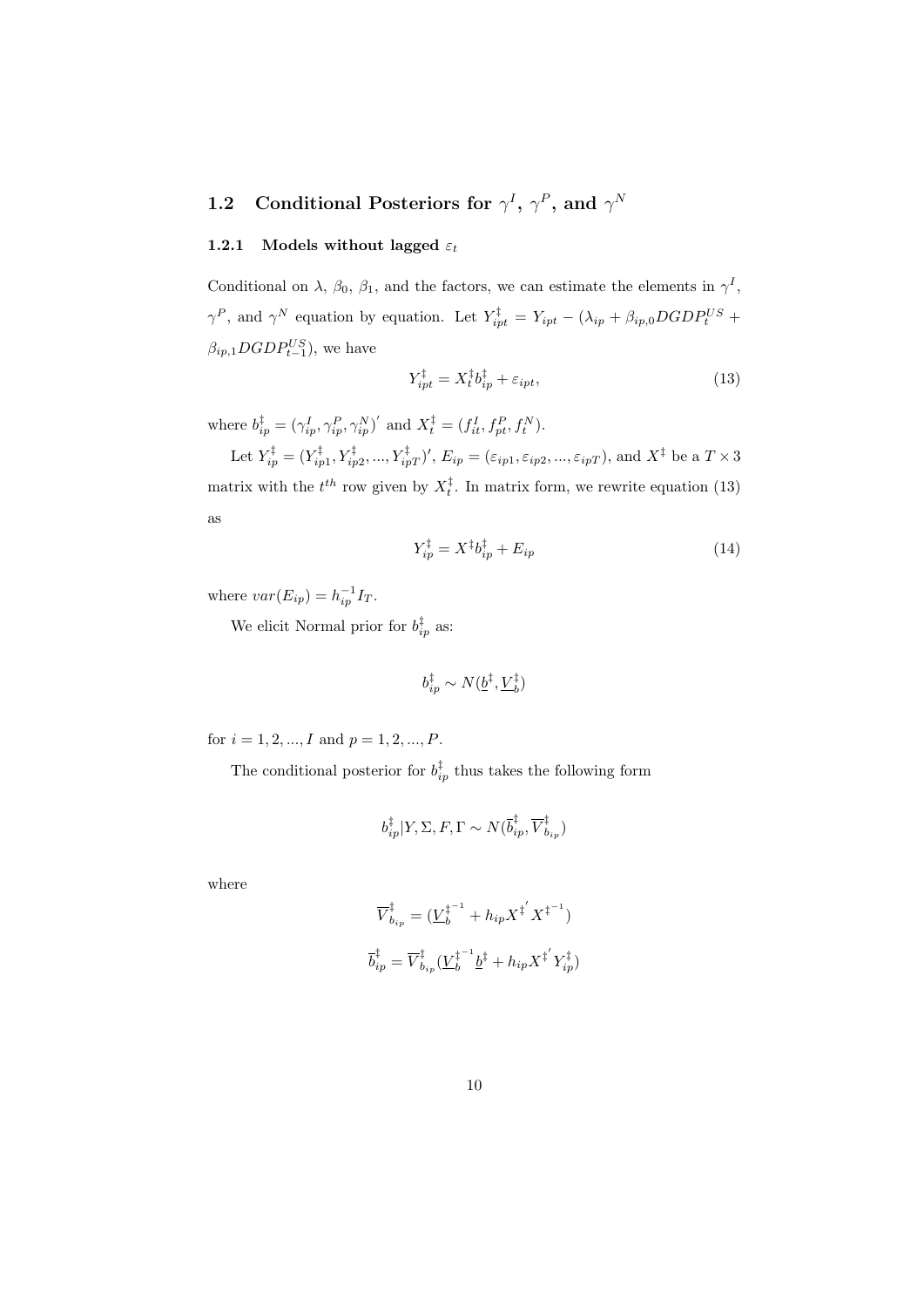#### **1.2** Conditional Posteriors for  $\gamma^I$ ,  $\gamma^P$ , and  $\gamma^N$

#### **1.2.1** Models without lagged  $\varepsilon_t$

Conditional on  $\lambda$ ,  $\beta_0$ ,  $\beta_1$ , and the factors, we can estimate the elements in  $\gamma^I$ , *γ*<sup>*P*</sup>, and *γ*<sup>*N*</sup> equation by equation. Let  $Y_{ipt}^{\ddagger} = Y_{ipt} - (\lambda_{ip} + \beta_{ip,0} DGDP_t^{US} +$  $\beta_{ip,1} DGDP_{t-1}^{US}$ ), we have

$$
Y_{ipt}^{\ddagger} = X_t^{\ddagger} b_{ip}^{\ddagger} + \varepsilon_{ipt}, \tag{13}
$$

where  $b_{ip}^{\ddagger} = (\gamma_{ip}^I, \gamma_{ip}^P, \gamma_{ip}^N)'$  and  $X_t^{\ddagger} = (f_{it}^I, f_{pt}^P, f_t^N)$ .

Let  $Y_{ip}^{\bar{x}} = (Y_{ip1}^{\bar{x}}, Y_{ip2}^{\bar{x}}, ..., Y_{ipT}^{\bar{x}})'$ ,  $E_{ip} = (\varepsilon_{ip1}, \varepsilon_{ip2}, ..., \varepsilon_{ipT})$ , and  $X^{\bar{x}}$  be a  $T \times 3$ matrix with the  $t^{th}$  row given by  $X_t^{\ddagger}$ . In matrix form, we rewrite equation (13) as

$$
Y_{ip}^{\ddagger} = X^{\ddagger}b_{ip}^{\ddagger} + E_{ip} \tag{14}
$$

where  $var(E_{ip}) = h_{ip}^{-1}I_T$ .

We elicit Normal prior for  $b_{ip}^{\dagger}$  as:

$$
b_{ip}^\ddagger \sim N(\underline{b}^\ddagger, \underline{V}_b^\ddagger)
$$

for  $i = 1, 2, ..., I$  and  $p = 1, 2, ..., P$ .

The conditional posterior for  $b_{ip}^{\dagger}$  thus takes the following form

$$
b_{ip}^{\ddagger}|Y,\Sigma,F,\Gamma \sim N(\overline{b}_{ip}^{\ddagger},\overline{V}_{b_{ip}}^{\ddagger})
$$

where

$$
\overline{V}_{b_{ip}}^{\ddagger} = (\underline{V}_{b}^{\ddagger^{-1}} + h_{ip} X^{\ddagger'} X^{\ddagger^{-1}})
$$
  

$$
\overline{b}_{ip}^{\ddagger} = \overline{V}_{b_{ip}}^{\ddagger} (\underline{V}_{b}^{\ddagger^{-1}} \underline{b}^{\ddagger} + h_{ip} X^{\ddagger'} Y_{ip}^{\ddagger})
$$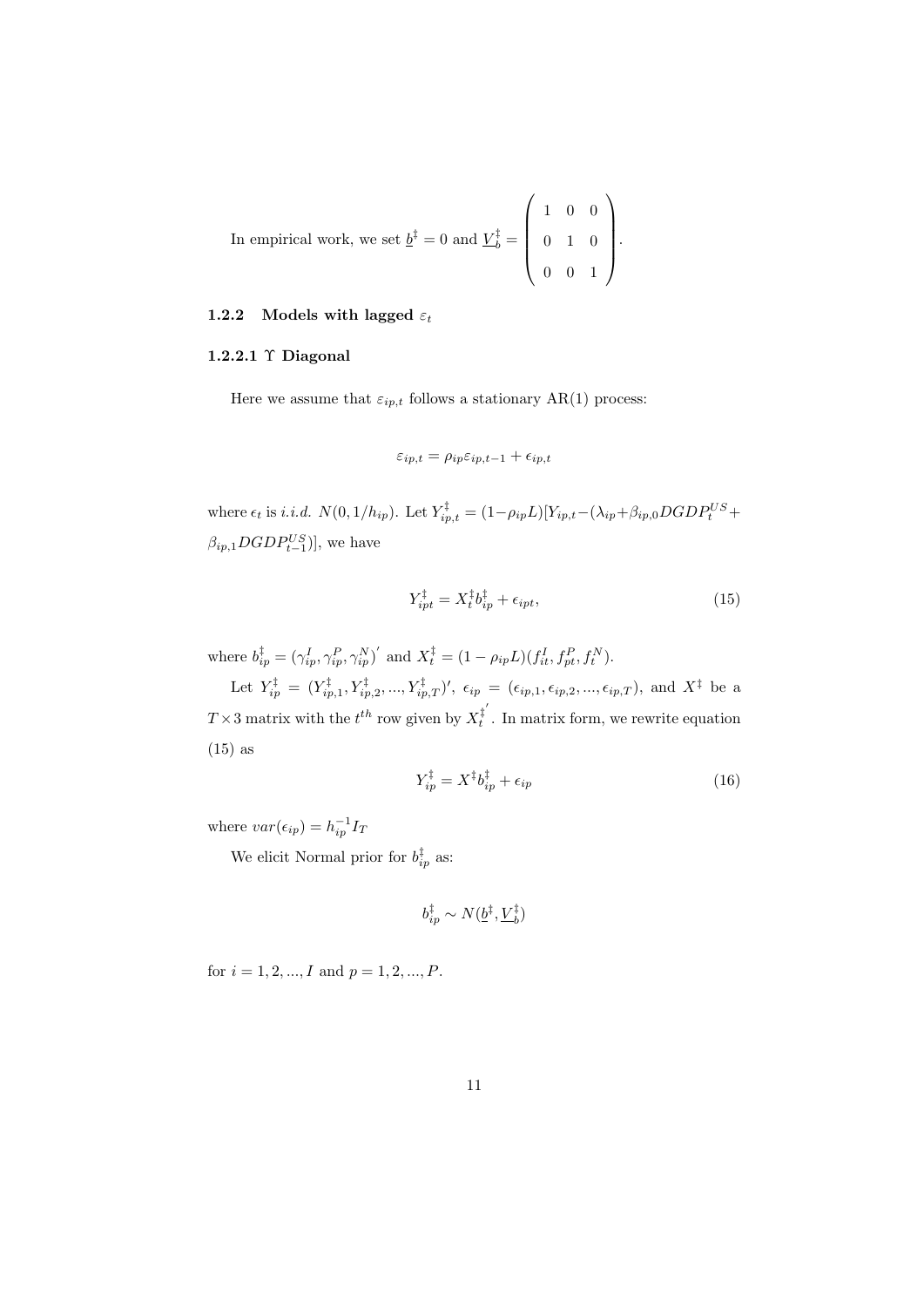In empirical work, we set  $\underline{b}^{\ddagger} = 0$  and  $\underline{V}_{b}^{\ddagger} = 0$  $\sqrt{ }$  $\overline{\phantom{a}}$ 1 0 0 0 1 0 0 0 1  $\setminus$  $\left| \cdot \right|$ 

#### **1.2.2** Models with lagged  $\varepsilon_t$

#### **1.2.2.1** Υ **Diagonal**

Here we assume that  $\varepsilon_{ip,t}$  follows a stationary AR(1) process:

$$
\varepsilon_{ip,t} = \rho_{ip}\varepsilon_{ip,t-1} + \epsilon_{ip,t}
$$

where  $\epsilon_t$  is *i.i.d.*  $N(0, 1/h_{ip})$ . Let  $Y_{ip,t}^{\ddagger} = (1 - \rho_{ip}L)[Y_{ip,t} - (\lambda_{ip} + \beta_{ip,0}DGDP_t^{US} +$  $\beta_{ip,1} DGDP_{t-1}^{US}$ )], we have

$$
Y_{ipt}^{\ddagger} = X_t^{\ddagger} b_{ip}^{\ddagger} + \epsilon_{ipt}, \tag{15}
$$

where  $b_{ip}^{\dagger} = (\gamma_{ip}^I, \gamma_{ip}^P, \gamma_{ip}^N)'$  and  $X_t^{\dagger} = (1 - \rho_{ip}L)(f_{it}^I, f_{pt}^P, f_t^N)$ .

Let  $Y_{ip}^{\ddagger} = (Y_{ip,1}^{\ddagger}, Y_{ip,2}^{\ddagger}, ..., Y_{ip,T}^{\ddagger})', \epsilon_{ip} = (\epsilon_{ip,1}, \epsilon_{ip,2}, ..., \epsilon_{ip,T}),$  and  $X^{\ddagger}$  be a  $T \times 3$  matrix with the  $t^{th}$  row given by  $X_t^{\ddagger'}$  $t_t^{\dagger}$ . In matrix form, we rewrite equation (15) as

$$
Y_{ip}^{\ddagger} = X^{\ddagger}b_{ip}^{\ddagger} + \epsilon_{ip} \tag{16}
$$

where  $var(\epsilon_{ip}) = h_{ip}^{-1}I_T$ 

We elicit Normal prior for  $b_{ip}^{\dagger}$  as:

$$
b_{ip}^\ddagger \sim N(\underline{b}^\ddagger,\underline{V}_b^\ddagger)
$$

for  $i = 1, 2, ..., I$  and  $p = 1, 2, ..., P$ .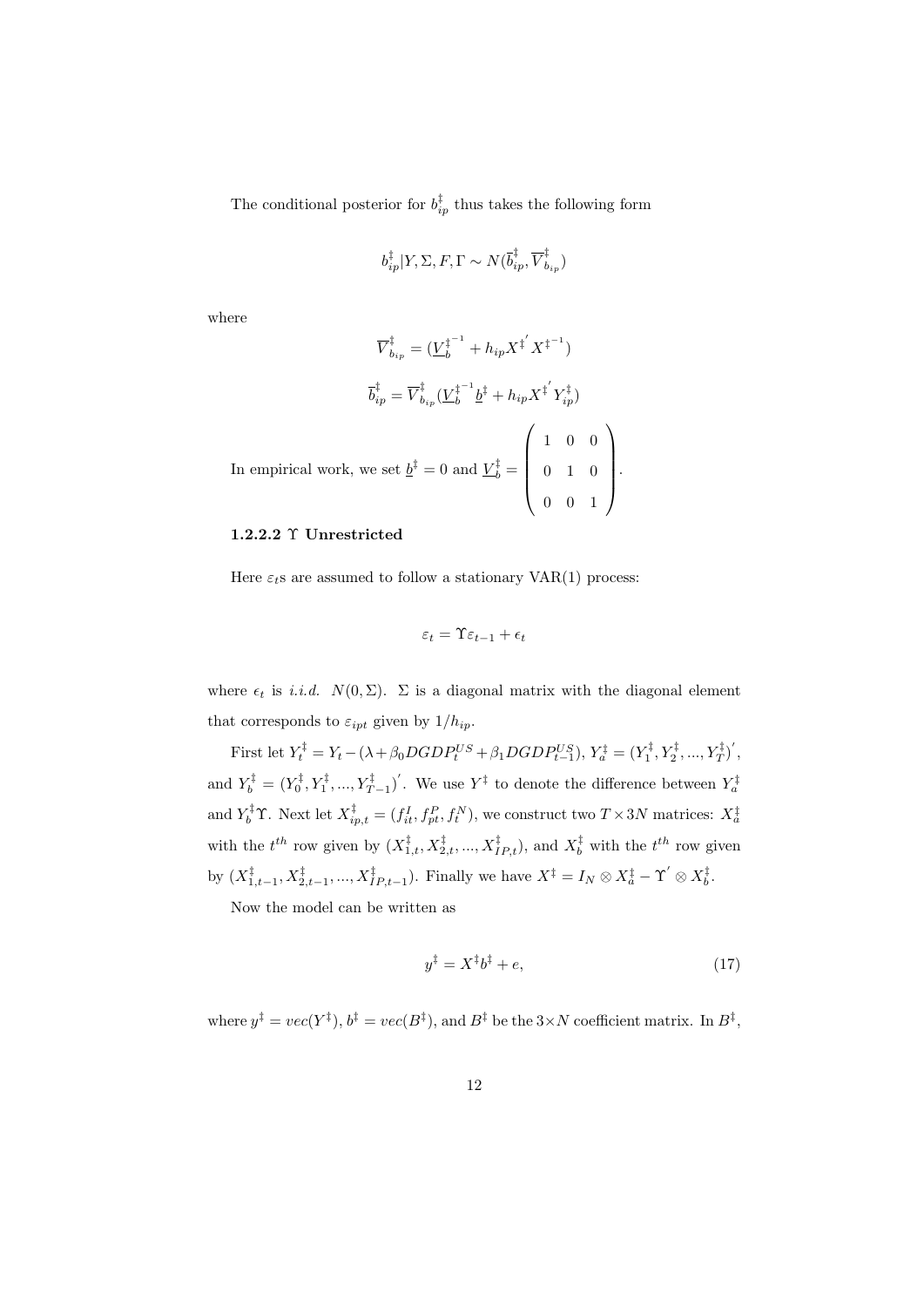The conditional posterior for  $b_{ip}^{\dagger}$  thus takes the following form

$$
b_{ip}^{\ddagger}|Y,\Sigma,F,\Gamma \sim N(\overline{b}_{ip}^{\ddagger},\overline{V}_{b_{ip}}^{\ddagger})
$$

where

$$
\overline{V}_{b_{ip}}^{\ddagger} = (\underline{V}_{b}^{\ddagger^{-1}} + h_{ip} X^{\ddagger'} X^{\ddagger^{-1}})
$$
  

$$
\overline{b}_{ip}^{\ddagger} = \overline{V}_{b_{ip}}^{\ddagger} (\underline{V}_{b}^{\ddagger^{-1}} \underline{b}^{\ddagger} + h_{ip} X^{\ddagger'} Y_{ip}^{\ddagger})
$$
  
In empirical work, we set  $\underline{b}^{\ddagger} = 0$  and  $\underline{V}_{b}^{\ddagger} = \begin{pmatrix} 1 & 0 & 0 \\ 0 & 1 & 0 \\ 0 & 0 & 1 \end{pmatrix}$ .

#### **1.2.2.2** Υ **Unrestricted**

Here  $\varepsilon_t$ s are assumed to follow a stationary VAR(1) process:

$$
\varepsilon_t = \Upsilon \varepsilon_{t-1} + \epsilon_t
$$

where  $\epsilon_t$  is *i.i.d.*  $N(0, \Sigma)$ .  $\Sigma$  is a diagonal matrix with the diagonal element that corresponds to  $\varepsilon_{\text{int}}$  given by  $1/h_{\text{in}}$ .

First let  $Y_t^{\ddagger} = Y_t - (\lambda + \beta_0 DGDP_t^{US} + \beta_1 DGDP_{t-1}^{US}), Y_a^{\ddagger} = (Y_1^{\ddagger}, Y_2^{\ddagger}, ..., Y_T^{\ddagger})',$ and  $Y_b^{\ddagger} = (Y_0^{\ddagger}, Y_1^{\ddagger}, ..., Y_{T-1}^{\ddagger})'$ . We use  $Y^{\ddagger}$  to denote the difference between  $Y_a^{\ddagger}$ and  $Y_b^{\ddagger} \Upsilon$ . Next let  $X_{ip,t}^{\ddagger} = (f_{it}^I, f_{pt}^P, f_t^N)$ , we construct two  $T \times 3N$  matrices:  $X_a^{\ddagger}$ with the  $t^{th}$  row given by  $(X_{1,t}^{\ddagger}, X_{2,t}^{\ddagger}, ..., X_{IP,t}^{\ddagger})$ , and  $X_{b}^{\ddagger}$  with the  $t^{th}$  row given by  $(X_{1,t-1}^{\ddagger}, X_{2,t-1}^{\ddagger}, ..., X_{IP,t-1}^{\ddagger})$ . Finally we have  $X^{\ddagger} = I_N \otimes X_a^{\ddagger} - \Upsilon' \otimes X_b^{\ddagger}$ .

Now the model can be written as

$$
y^{\ddagger} = X^{\ddagger}b^{\ddagger} + e,\tag{17}
$$

where  $y^{\ddagger} = vec(Y^{\ddagger}), b^{\ddagger} = vec(B^{\ddagger}),$  and  $B^{\ddagger}$  be the  $3 \times N$  coefficient matrix. In  $B^{\ddagger}$ ,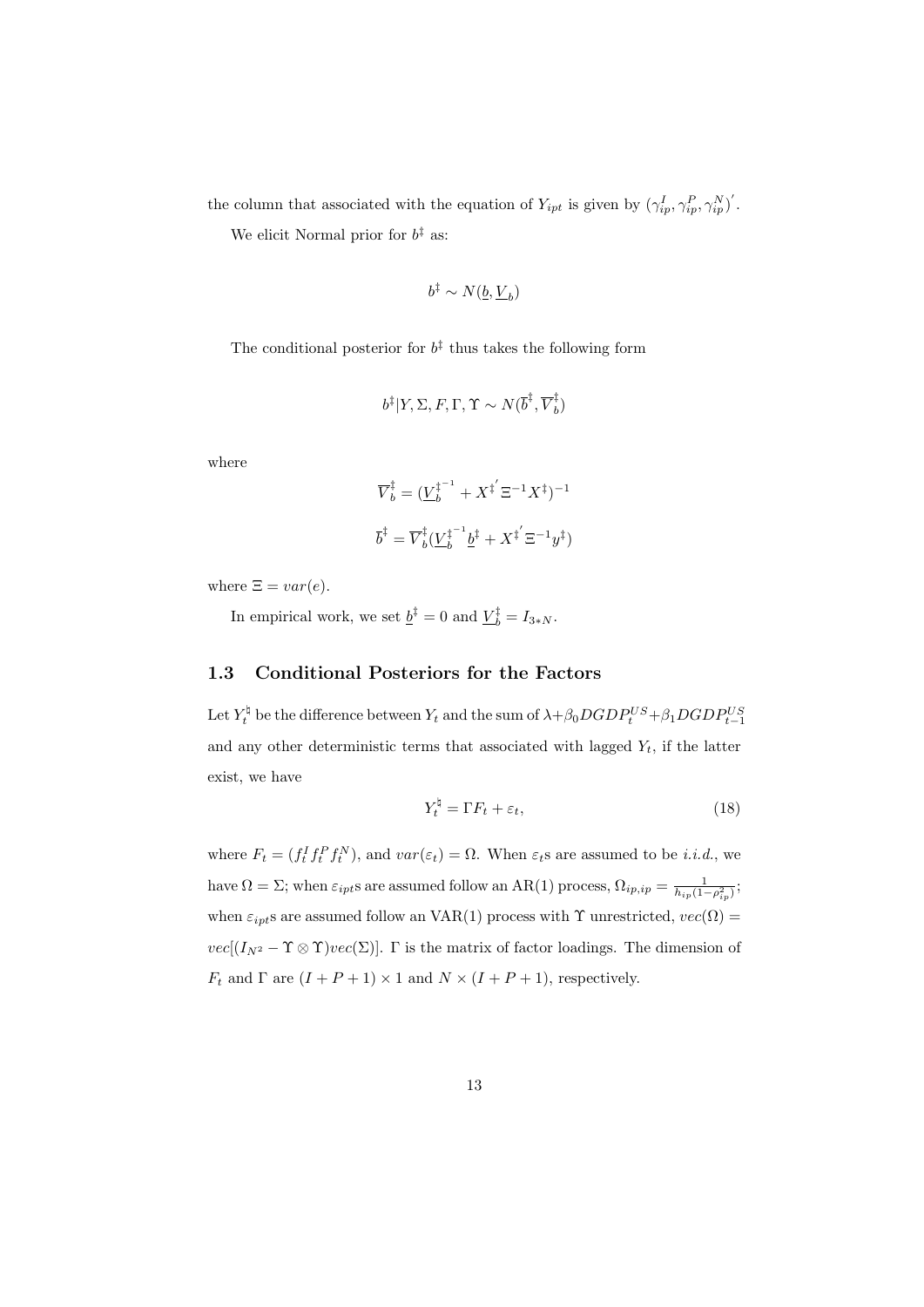the column that associated with the equation of  $Y_{ipt}$  is given by  $(\gamma_{ip}^I, \gamma_{ip}^P, \gamma_{ip}^N)'$ .

We elicit Normal prior for *b ‡* as:

$$
b^{\ddagger} \sim N(\underline{b}, \underline{V}_b)
$$

The conditional posterior for  $b^{\ddagger}$  thus takes the following form

$$
b^{\ddagger}|Y, \Sigma, F, \Gamma, \Upsilon \sim N(\overline{b}^{\ddagger}, \overline{V}_b^{\ddagger})
$$

where

$$
\overline{V}_b^\ddagger = (\underline{V}_b^{\ddagger^{-1}} + X^{\ddagger'} \Xi^{-1} X^{\ddagger})^{-1}
$$
  

$$
\overline{b}^\ddagger = \overline{V}_b^\ddagger (\underline{V}_b^{\ddagger^{-1}} \underline{b}^\ddagger + X^{\ddagger'} \Xi^{-1} y^\ddagger)
$$

where  $\Xi = var(e)$ .

In empirical work, we set  $\underline{b}^{\bar{x}} = 0$  and  $\underline{V}_{b}^{\bar{x}} = I_{3*N}$ .

#### **1.3 Conditional Posteriors for the Factors**

Let  $Y_t^{\natural}$  be the difference between  $Y_t$  and the sum of  $\lambda + \beta_0 DGDP_t^{US} + \beta_1 DGDP_{t-1}^{US}$ and any other deterministic terms that associated with lagged  $Y_t$ , if the latter exist, we have

$$
Y_t^{\natural} = \Gamma F_t + \varepsilon_t,\tag{18}
$$

where  $F_t = (f_t^I f_t^P f_t^N)$ , and  $var(\varepsilon_t) = \Omega$ . When  $\varepsilon_t$ s are assumed to be *i.i.d.*, we have  $\Omega = \Sigma$ ; when  $\varepsilon_{ipt}$ s are assumed follow an AR(1) process,  $\Omega_{ip,ip} = \frac{1}{h_{ip}(1 - \rho_{ip}^2)}$ ; when  $\varepsilon_{ipt}$ s are assumed follow an VAR(1) process with  $\Upsilon$  unrestricted,  $vec(\Omega)$  =  $vec[(I_{N^2} - \Upsilon \otimes \Upsilon)vec(\Sigma)]$ . Γ is the matrix of factor loadings. The dimension of *F*<sup>*t*</sup> and  $\Gamma$  are  $(I + P + 1) \times 1$  and  $N \times (I + P + 1)$ , respectively.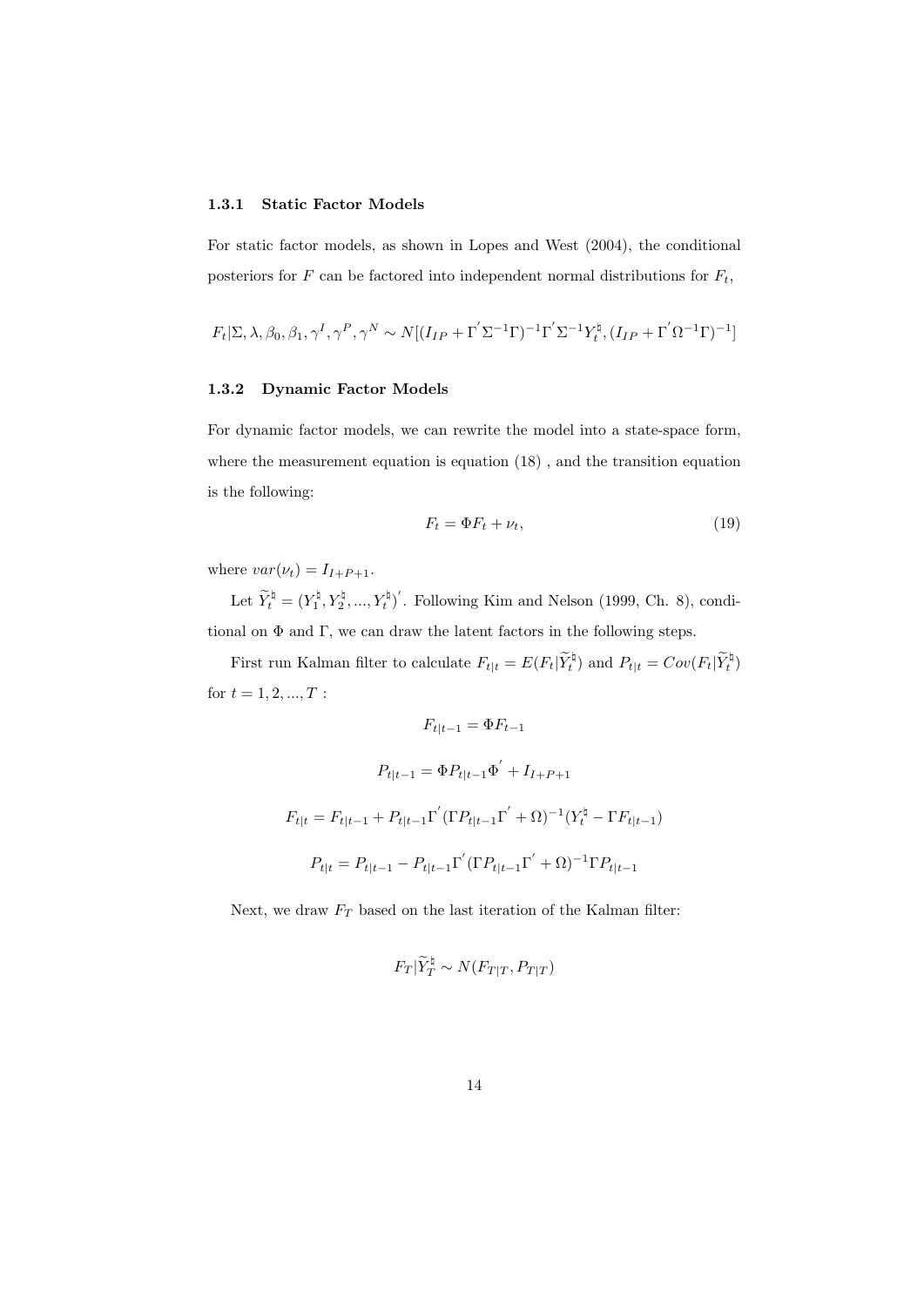#### **1.3.1 Static Factor Models**

For static factor models, as shown in Lopes and West (2004), the conditional posteriors for  $F$  can be factored into independent normal distributions for  $F_t$ ,

$$
F_t[\Sigma, \lambda, \beta_0, \beta_1, \gamma^I, \gamma^P, \gamma^N \sim N[(I_{IP} + \Gamma^{'}\Sigma^{-1}\Gamma)^{-1}\Gamma^{'}\Sigma^{-1}Y_t^{\natural}, (I_{IP} + \Gamma^{'}\Omega^{-1}\Gamma)^{-1}]
$$

#### **1.3.2 Dynamic Factor Models**

For dynamic factor models, we can rewrite the model into a state-space form, where the measurement equation is equation (18) , and the transition equation is the following:

$$
F_t = \Phi F_t + \nu_t,\tag{19}
$$

where  $var(\nu_t) = I_{I+P+1}$ .

Let  $\widetilde{Y}_t^{\natural} = (Y_1^{\natural}, Y_2^{\natural}, ..., Y_t^{\natural})'$ . Following Kim and Nelson (1999, Ch. 8), conditional on  $\Phi$  and  $\Gamma$ , we can draw the latent factors in the following steps.

First run Kalman filter to calculate  $F_{t|t} = E(F_t|\widetilde{Y}_t^{\natural})$  and  $P_{t|t} = Cov(F_t|\widetilde{Y}_t^{\natural})$ for  $t = 1, 2, ..., T$  :

$$
F_{t|t-1} = \Phi F_{t-1}
$$
  
\n
$$
P_{t|t-1} = \Phi P_{t|t-1} \Phi' + I_{I+P+1}
$$
  
\n
$$
F_{t|t} = F_{t|t-1} + P_{t|t-1} \Gamma' (\Gamma P_{t|t-1} \Gamma' + \Omega)^{-1} (Y_t^{\natural} - \Gamma F_{t|t-1})
$$
  
\n
$$
P_{t|t} = P_{t|t-1} - P_{t|t-1} \Gamma' (\Gamma P_{t|t-1} \Gamma' + \Omega)^{-1} \Gamma P_{t|t-1}
$$

Next, we draw  $F_T$  based on the last iteration of the Kalman filter:

$$
F_T|\widetilde{Y}_T^{\natural} \sim N(F_{T|T}, P_{T|T})
$$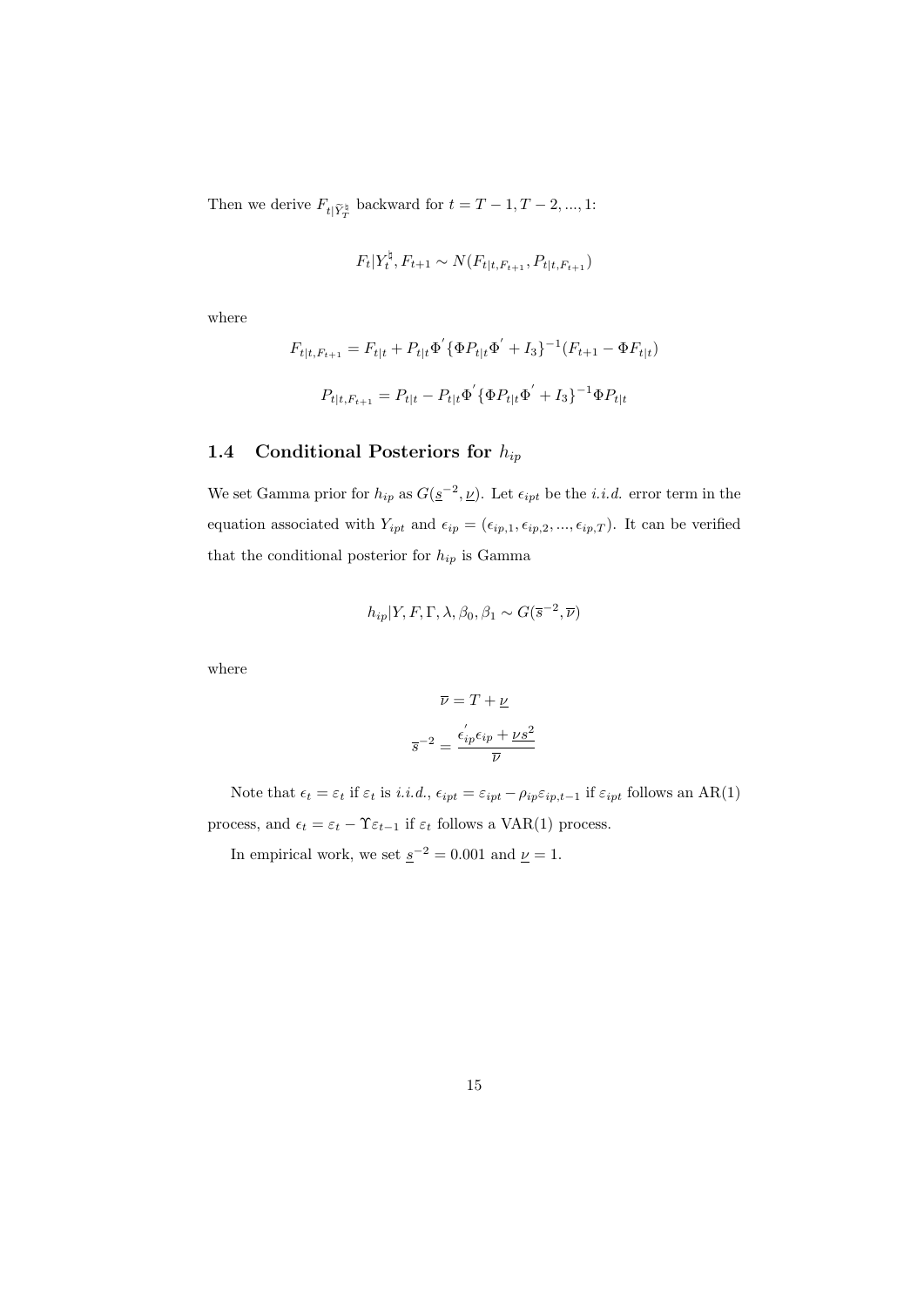Then we derive  $F_{t|\widetilde{Y}_{T}^{\natural}}$  backward for  $t = T - 1, T - 2, ..., 1$ :

$$
F_t|Y_t^{\natural}, F_{t+1} \sim N(F_{t|t, F_{t+1}}, P_{t|t, F_{t+1}})
$$

where

$$
F_{t|t, F_{t+1}} = F_{t|t} + P_{t|t} \Phi' \{ \Phi P_{t|t} \Phi' + I_3 \}^{-1} (F_{t+1} - \Phi F_{t|t})
$$
  

$$
P_{t|t, F_{t+1}} = P_{t|t} - P_{t|t} \Phi' \{ \Phi P_{t|t} \Phi' + I_3 \}^{-1} \Phi P_{t|t}
$$

#### **1.4 Conditional Posteriors for** *hip*

We set Gamma prior for  $h_{ip}$  as  $G(\underline{s}^{-2}, \underline{\nu})$ . Let  $\epsilon_{ipt}$  be the *i.i.d.* error term in the equation associated with  $Y_{ipt}$  and  $\epsilon_{ip} = (\epsilon_{ip,1}, \epsilon_{ip,2}, ..., \epsilon_{ip,T})$ . It can be verified that the conditional posterior for *hip* is Gamma

$$
h_{ip}|Y, F, \Gamma, \lambda, \beta_0, \beta_1 \sim G(\overline{s}^{-2}, \overline{\nu})
$$

where

$$
\overline{\nu} = T + \underline{\nu}
$$

$$
\overline{s}^{-2} = \frac{\epsilon_{ip}' \epsilon_{ip} + \underline{\nu s^2}}{\overline{\nu}}
$$

Note that  $\epsilon_t = \varepsilon_t$  if  $\varepsilon_t$  is *i.i.d.*,  $\epsilon_{ipt} = \varepsilon_{ipt} - \rho_{ip} \varepsilon_{ip,t-1}$  if  $\varepsilon_{ipt}$  follows an AR(1) process, and  $\epsilon_t = \varepsilon_t - \Upsilon \varepsilon_{t-1}$  if  $\varepsilon_t$  follows a VAR(1) process.

In empirical work, we set  $\underline{s}^{-2} = 0.001$  and  $\underline{\nu} = 1$ .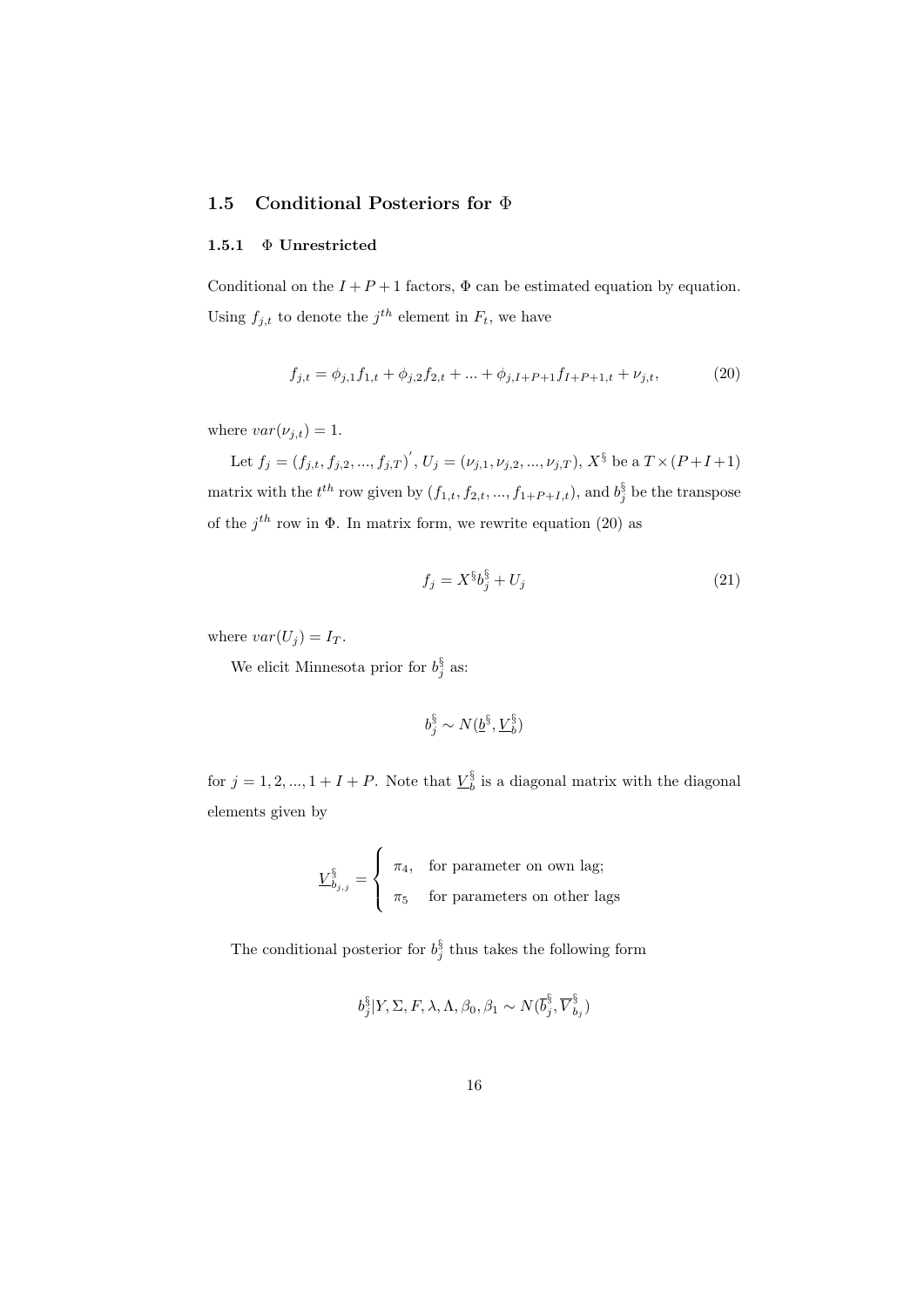#### **1.5 Conditional Posteriors for** Φ

#### **1.5.1** Φ **Unrestricted**

Conditional on the  $I + P + 1$  factors,  $\Phi$  can be estimated equation by equation. Using  $f_{j,t}$  to denote the  $j^{th}$  element in  $F_t$ , we have

$$
f_{j,t} = \phi_{j,1} f_{1,t} + \phi_{j,2} f_{2,t} + \dots + \phi_{j,I+P+1} f_{I+P+1,t} + \nu_{j,t},\tag{20}
$$

where  $var(\nu_{j,t}) = 1$ .

Let  $f_j = (f_{j,t}, f_{j,2}, ..., f_{j,T})'$ ,  $U_j = (\nu_{j,1}, \nu_{j,2}, ..., \nu_{j,T})$ ,  $X^{\S}$  be a  $T \times (P + I + 1)$ matrix with the  $t^{th}$  row given by  $(f_{1,t}, f_{2,t}, ..., f_{1+P+I,t})$ , and  $b_j^{\S}$  be the transpose of the  $j^{th}$  row in  $\Phi$ . In matrix form, we rewrite equation (20) as

$$
f_j = X^{\S} b_j^{\S} + U_j \tag{21}
$$

where  $var(U_j) = I_T$ .

We elicit Minnesota prior for  $b_j^3$  as:

$$
b_j^\S \sim N(\underline{b}^\S, \underline{V}_b^\S)
$$

for  $j = 1, 2, ..., 1 + I + P$ . Note that  $\underline{V}_b^3$  is a diagonal matrix with the diagonal elements given by

$$
\underline{V}_{b_{j,j}}^{\S} = \begin{cases} \pi_4, & \text{for parameter on own lag;} \\ \pi_5 & \text{for parameters on other lags} \end{cases}
$$

The conditional posterior for  $b_j^3$  thus takes the following form

$$
b_j^\S|Y, \Sigma, F, \lambda, \Lambda, \beta_0, \beta_1 \sim N(\overline{b}_j^\S, \overline{V}_{b_j}^\S)
$$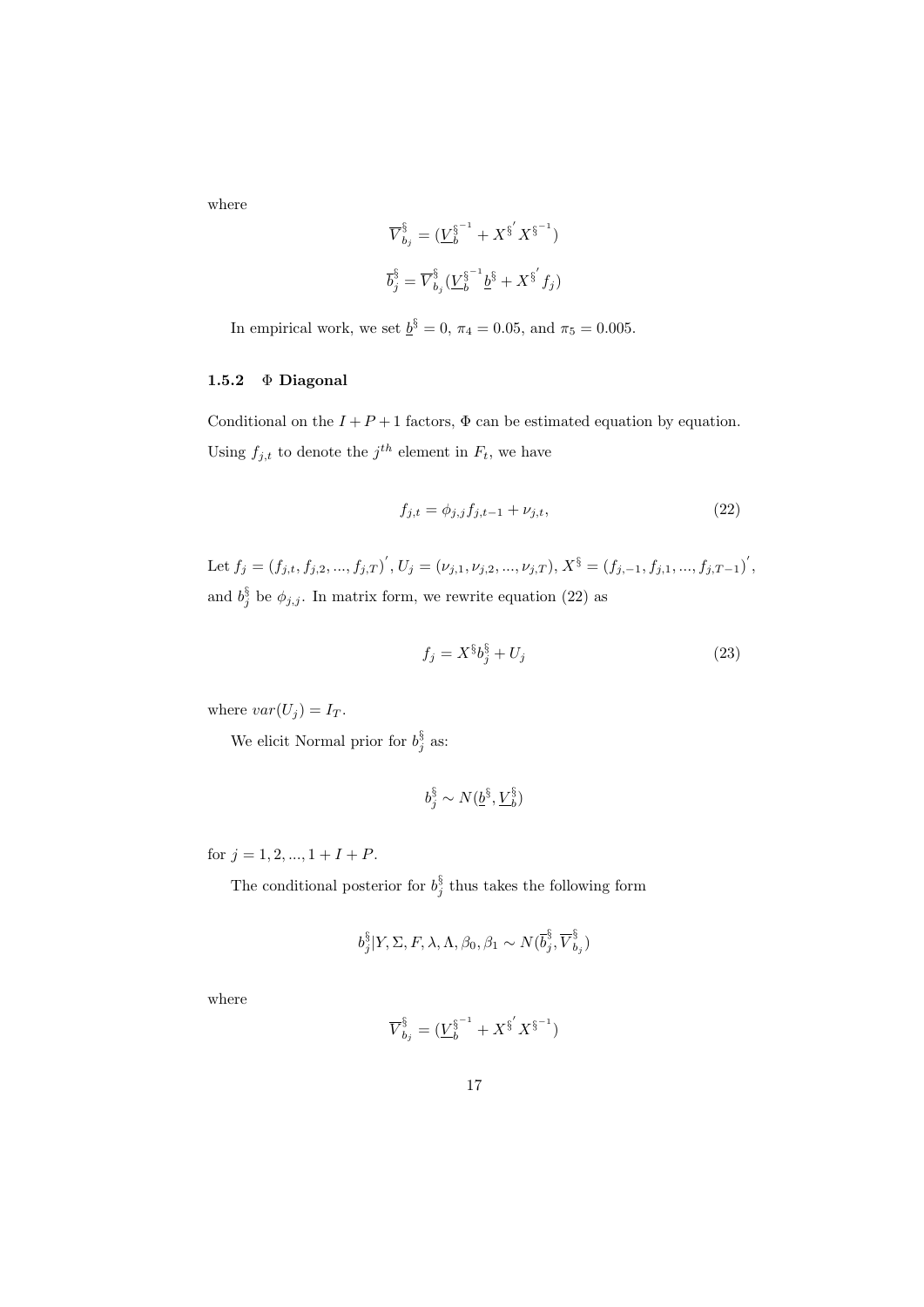where

$$
\overline{V}_{b_j}^{\S} = (\underline{V}_{b}^{\S^{-1}} + X^{\S^{'}} X^{\S^{-1}})
$$
  

$$
\overline{b}_j^{\S} = \overline{V}_{b_j}^{\S} (\underline{V}_{b}^{\S^{-1}} \underline{b}^{\S} + X^{\S^{'}} f_j)
$$

In empirical work, we set  $\underline{b}^3 = 0$ ,  $\pi_4 = 0.05$ , and  $\pi_5 = 0.005$ .

#### **1.5.2** Φ **Diagonal**

Conditional on the  $I + P + 1$  factors,  $\Phi$  can be estimated equation by equation. Using  $f_{j,t}$  to denote the  $j^{th}$  element in  $F_t$ , we have

$$
f_{j,t} = \phi_{j,j} f_{j,t-1} + \nu_{j,t}, \tag{22}
$$

Let  $f_j = (f_{j,t}, f_{j,2},..., f_{j,T})$ ,  $U_j = (\nu_{j,1}, \nu_{j,2},..., \nu_{j,T}), X^{\S} = (f_{j,-1}, f_{j,1},..., f_{j,T-1})'$ , and  $b_j^3$  be  $\phi_{j,j}$ . In matrix form, we rewrite equation (22) as

$$
f_j = X^{\S} b_j^{\S} + U_j \tag{23}
$$

where  $var(U_j) = I_T$ .

We elicit Normal prior for  $b_j^3$  as:

$$
b_j^\S \sim N(\underline{b}^\S, \underline{V}_b^\S)
$$

for  $j = 1, 2, ..., 1 + I + P$ .

The conditional posterior for  $b_j^{\S}$  thus takes the following form

$$
b_j^{\S}|Y, \Sigma, F, \lambda, \Lambda, \beta_0, \beta_1 \sim N(\overline{b}_j^{\S}, \overline{V}_{b_j}^{\S})
$$

where

$$
\overline{V}_{b_j}^{\S} = (\underline{V}_b^{\S^{-1}} + \overline{X}^{\S'} \overline{X}^{\S^{-1}})
$$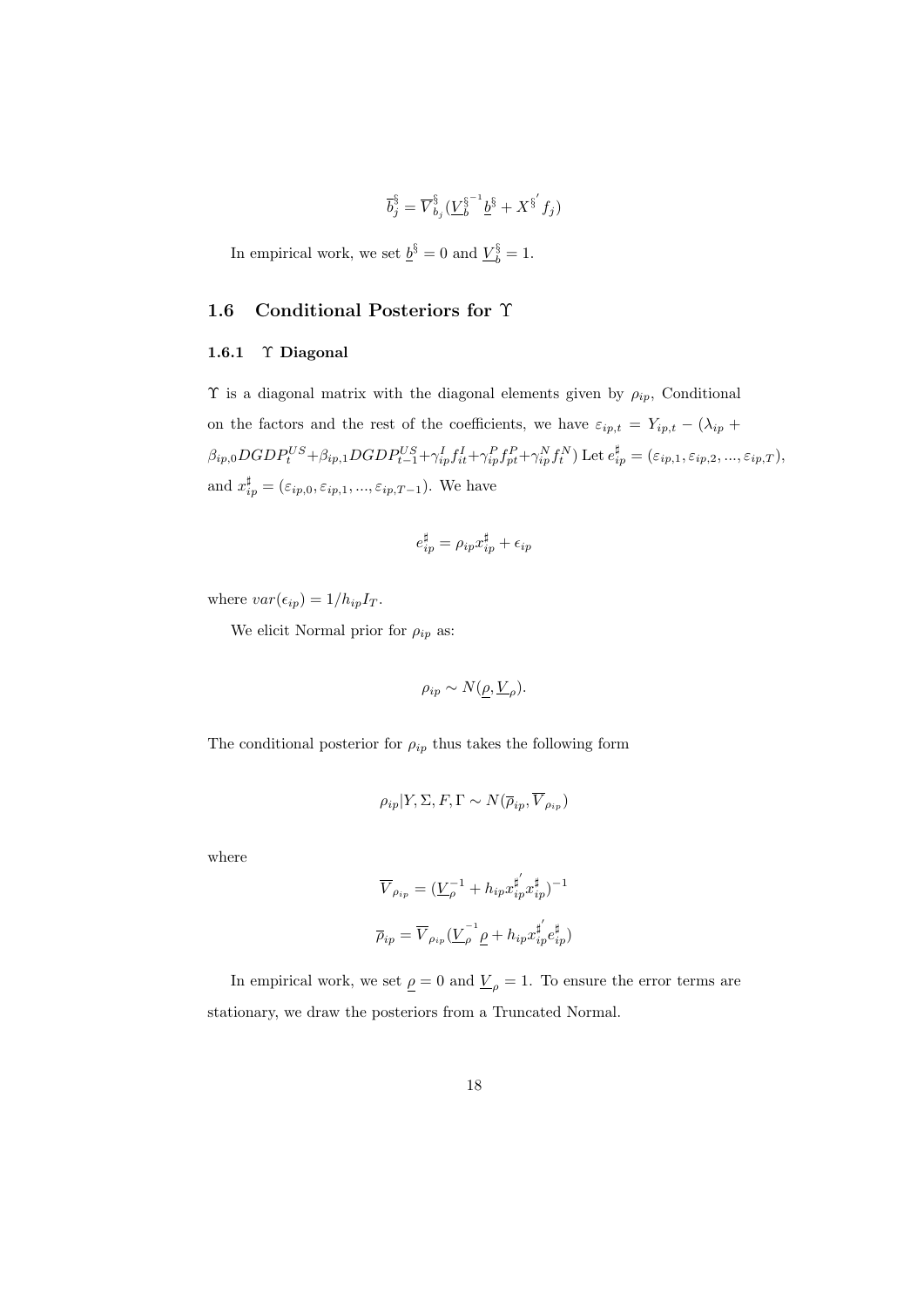$$
\overline{b}_{j}^{\S}=\overline{V}_{b_{j}}^{\S}(\underline{V}_{b}^{\S^{-1}}\underline{b}^{\S}+X^{\S^{'}}f_{j})
$$

In empirical work, we set  $\underline{b}^{\S} = 0$  and  $\underline{V}_{b}^{\S} = 1$ .

#### **1.6 Conditional Posteriors for** Υ

#### **1.6.1** Υ **Diagonal**

Υ is a diagonal matrix with the diagonal elements given by *ρip*, Conditional on the factors and the rest of the coefficients, we have  $\varepsilon_{ip,t} = Y_{ip,t} - (\lambda_{ip} +$  $\beta_{ip,0}DGDP_t^{US} + \beta_{ip,1}DGDP_{t-1}^{US} + \gamma_{ip}^I f_{it}^I + \gamma_{ip}^P f_{pt}^P + \gamma_{ip}^N f_t^N$ ) Let  $e_{ip}^{\sharp} = (\varepsilon_{ip,1}, \varepsilon_{ip,2}, ..., \varepsilon_{ip,T}),$ and  $x_{ip}^{\sharp} = (\varepsilon_{ip,0}, \varepsilon_{ip,1}, ..., \varepsilon_{ip,T-1})$ . We have

$$
e_{ip}^{\sharp} = \rho_{ip} x_{ip}^{\sharp} + \epsilon_{ip}
$$

where  $var(\epsilon_{ip}) = 1/h_{ip}I_T$ .

We elicit Normal prior for  $\rho_{ip}$  as:

$$
\rho_{ip} \sim N(\underline{\rho}, \underline{V}_{\rho}).
$$

The conditional posterior for  $\rho_{ip}$  thus takes the following form

$$
\rho_{ip}|Y,\Sigma,F,\Gamma \sim N(\overline{\rho}_{ip},\overline{V}_{\rho_{ip}})
$$

where

$$
\overline{V}_{\rho_{ip}} = (\underline{V}_{\rho}^{-1} + h_{ip} x_{ip}^{\sharp'} x_{ip}^{\sharp})^{-1}
$$
  

$$
\overline{\rho}_{ip} = \overline{V}_{\rho_{ip}} (\underline{V}_{\rho}^{-1} \underline{\rho} + h_{ip} x_{ip}^{\sharp'} e_{ip}^{\sharp})
$$

In empirical work, we set  $\rho = 0$  and  $V_{\rho} = 1$ . To ensure the error terms are stationary, we draw the posteriors from a Truncated Normal.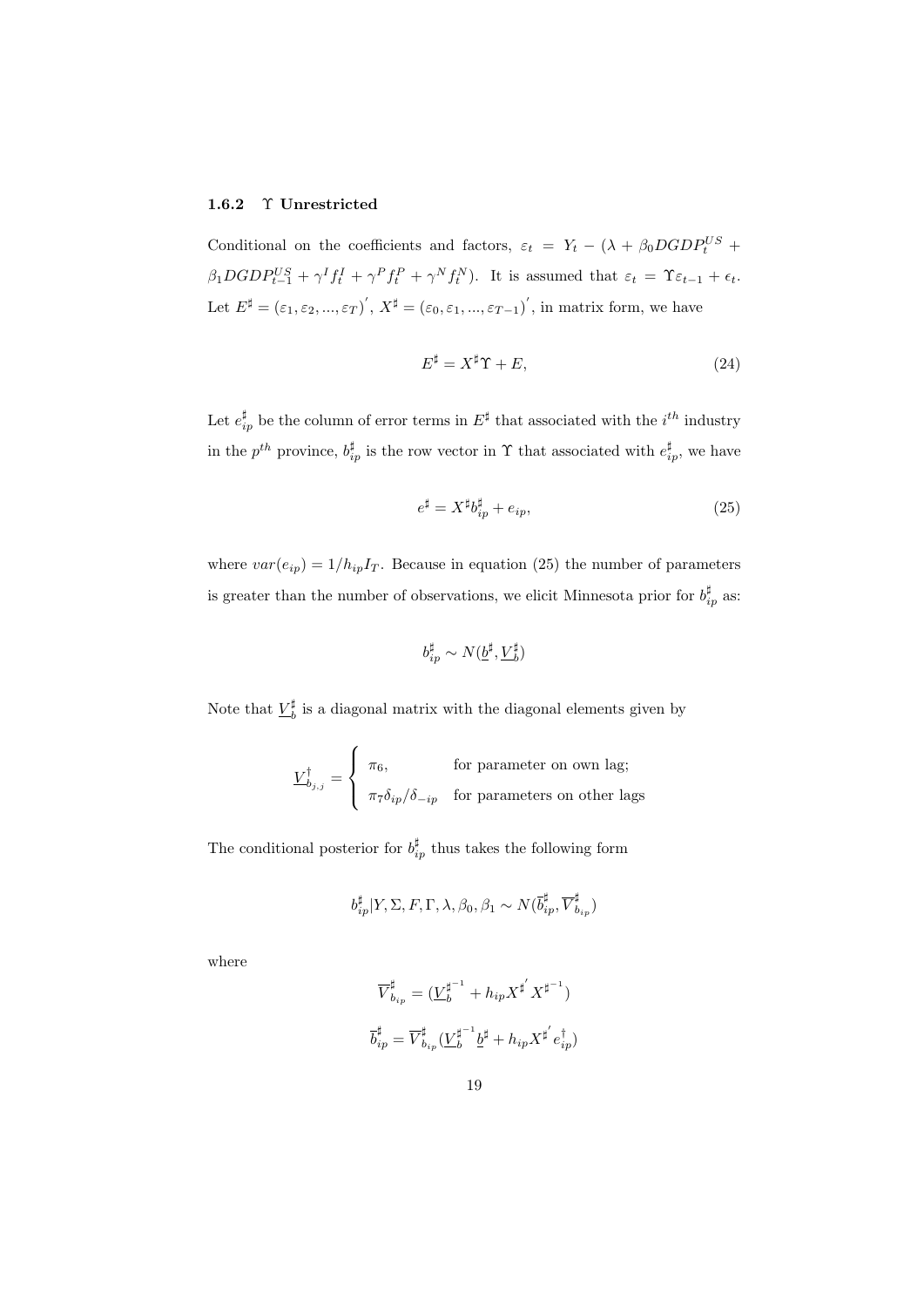#### **1.6.2** Υ **Unrestricted**

Conditional on the coefficients and factors,  $\varepsilon_t = Y_t - (\lambda + \beta_0 DGDP_t^{US} + \lambda_0 DGDP_t^{US})$  $\beta_1 DGDP_{t-1}^{US} + \gamma^I f_t^I + \gamma^P f_t^P + \gamma^N f_t^N$ ). It is assumed that  $\varepsilon_t = \Upsilon \varepsilon_{t-1} + \epsilon_t$ . Let  $E^{\sharp} = (\varepsilon_1, \varepsilon_2, ..., \varepsilon_T)'$ ,  $X^{\sharp} = (\varepsilon_0, \varepsilon_1, ..., \varepsilon_{T-1})'$ , in matrix form, we have

$$
E^{\sharp} = X^{\sharp} \Upsilon + E, \tag{24}
$$

Let  $e_{ip}^{\sharp}$  be the column of error terms in  $E^{\sharp}$  that associated with the  $i^{th}$  industry in the  $p^{th}$  province,  $b_{ip}^{\sharp}$  is the row vector in  $\Upsilon$  that associated with  $e_{ip}^{\sharp}$ , we have

$$
e^{\sharp} = X^{\sharp}b_{ip}^{\sharp} + e_{ip}, \tag{25}
$$

where  $var(e_{ip}) = 1/h_{ip}I_T$ . Because in equation (25) the number of parameters is greater than the number of observations, we elicit Minnesota prior for  $b_{ip}^{\sharp}$  as:

$$
b_{ip}^\sharp \sim N(\underline{b}^\sharp,\underline{V}_b^\sharp)
$$

Note that  $\underline{V}_b^{\sharp}$  is a diagonal matrix with the diagonal elements given by

$$
\underline{V}_{b_{j,j}}^{\dagger} = \begin{cases} \pi_6, & \text{for parameter on own lag;} \\ \pi_7 \delta_{ip} / \delta_{-ip} & \text{for parameters on other lags} \end{cases}
$$

The conditional posterior for  $b_{ip}^{\sharp}$  thus takes the following form

$$
b_{ip}^\sharp|Y,\Sigma,F,\Gamma,\lambda,\beta_0,\beta_1\sim N(\overline{b}_{ip}^\sharp,\overline{V}_{b_{ip}}^\sharp)
$$

where

$$
\overrightarrow{V}_{b_{ip}}^{\sharp}=(\underline{V}_{b}^{\sharp^{-1}}+h_{ip}X^{\sharp^{'}}X^{\sharp^{-1}})
$$
  

$$
\overrightarrow{b}_{ip}^{\sharp}=\overrightarrow{V}_{b_{ip}}^{\sharp}(\underline{V}_{b}^{\sharp^{-1}}\underline{b}^{\sharp}+h_{ip}X^{\sharp^{'}}e_{ip}^{\dag})
$$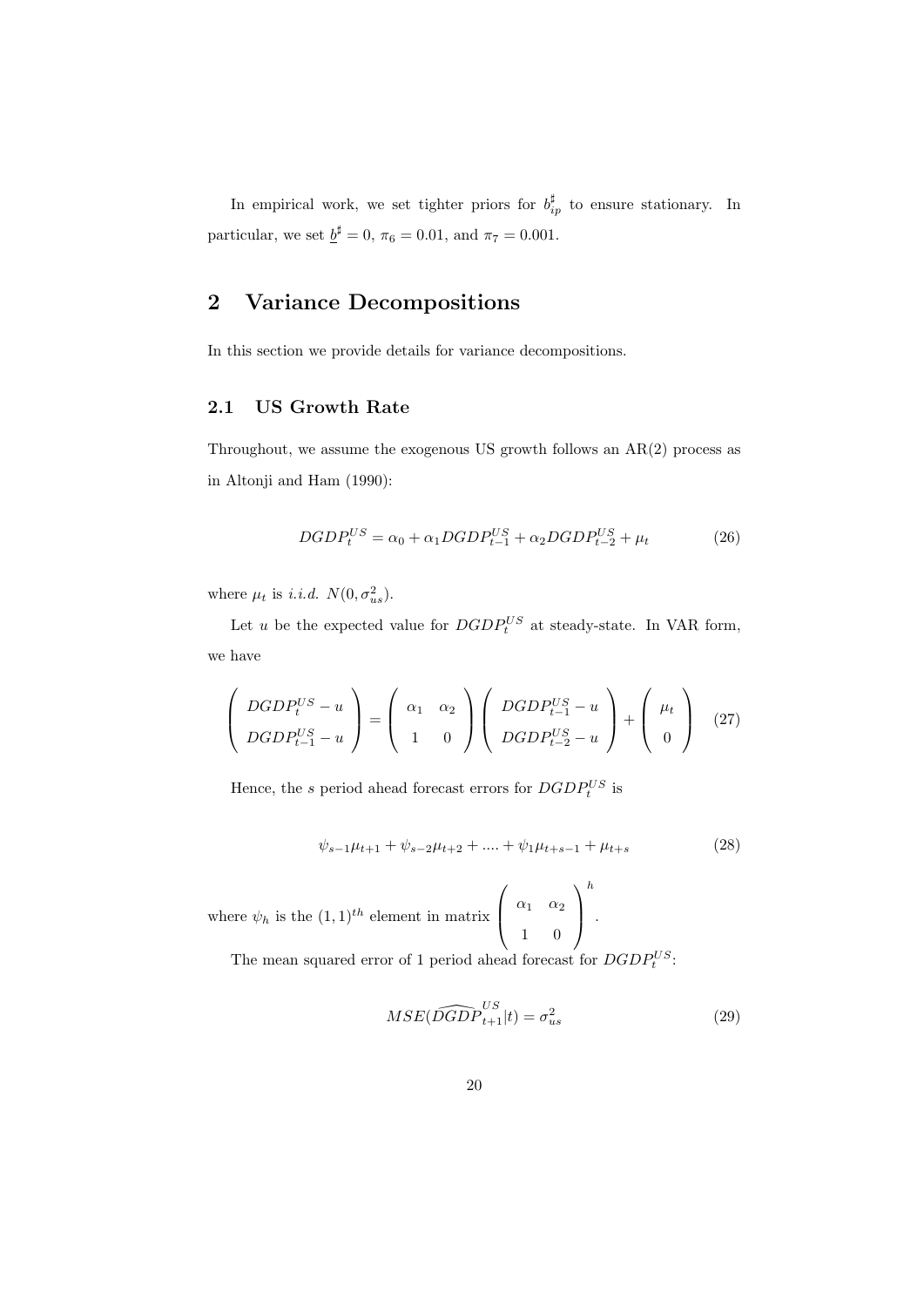In empirical work, we set tighter priors for  $b_{ip}^{\sharp}$  to ensure stationary. In particular, we set  $\underline{b}^{\sharp} = 0$ ,  $\pi_6 = 0.01$ , and  $\pi_7 = 0.001$ .

## **2 Variance Decompositions**

In this section we provide details for variance decompositions.

#### **2.1 US Growth Rate**

Throughout, we assume the exogenous US growth follows an AR(2) process as in Altonji and Ham (1990):

$$
DGDP_t^{US} = \alpha_0 + \alpha_1 DGDP_{t-1}^{US} + \alpha_2 DGDP_{t-2}^{US} + \mu_t
$$
\n
$$
(26)
$$

where  $\mu_t$  is *i.i.d.*  $N(0, \sigma_{us}^2)$ .

Let *u* be the expected value for  $DGDP_t^{US}$  at steady-state. In VAR form, we have

$$
\left(\begin{array}{c} DGDP_t^{US} - u \\ DGDP_{t-1}^{US} - u \end{array}\right) = \left(\begin{array}{cc} \alpha_1 & \alpha_2 \\ 1 & 0 \end{array}\right) \left(\begin{array}{c} DGDP_{t-1}^{US} - u \\ DGDP_{t-2}^{US} - u \end{array}\right) + \left(\begin{array}{c} \mu_t \\ 0 \end{array}\right) \tag{27}
$$

Hence, the *s* period ahead forecast errors for  $DGDP_t^{US}$  is

$$
\psi_{s-1}\mu_{t+1} + \psi_{s-2}\mu_{t+2} + \dots + \psi_1\mu_{t+s-1} + \mu_{t+s} \tag{28}
$$

where  $\psi_h$  is the  $(1,1)^{th}$  element in matrix  $\sqrt{ }$  $\overline{ }$ *α*<sup>1</sup> *α*<sup>2</sup> 1 0  $\setminus$  $\bigg\}$ *h* .

The mean squared error of 1 period ahead forecast for  $DGDP_t^{US}$ .

$$
MSE(\widehat{DGDP}_{t+1}^{US}|t) = \sigma_{us}^2
$$
\n(29)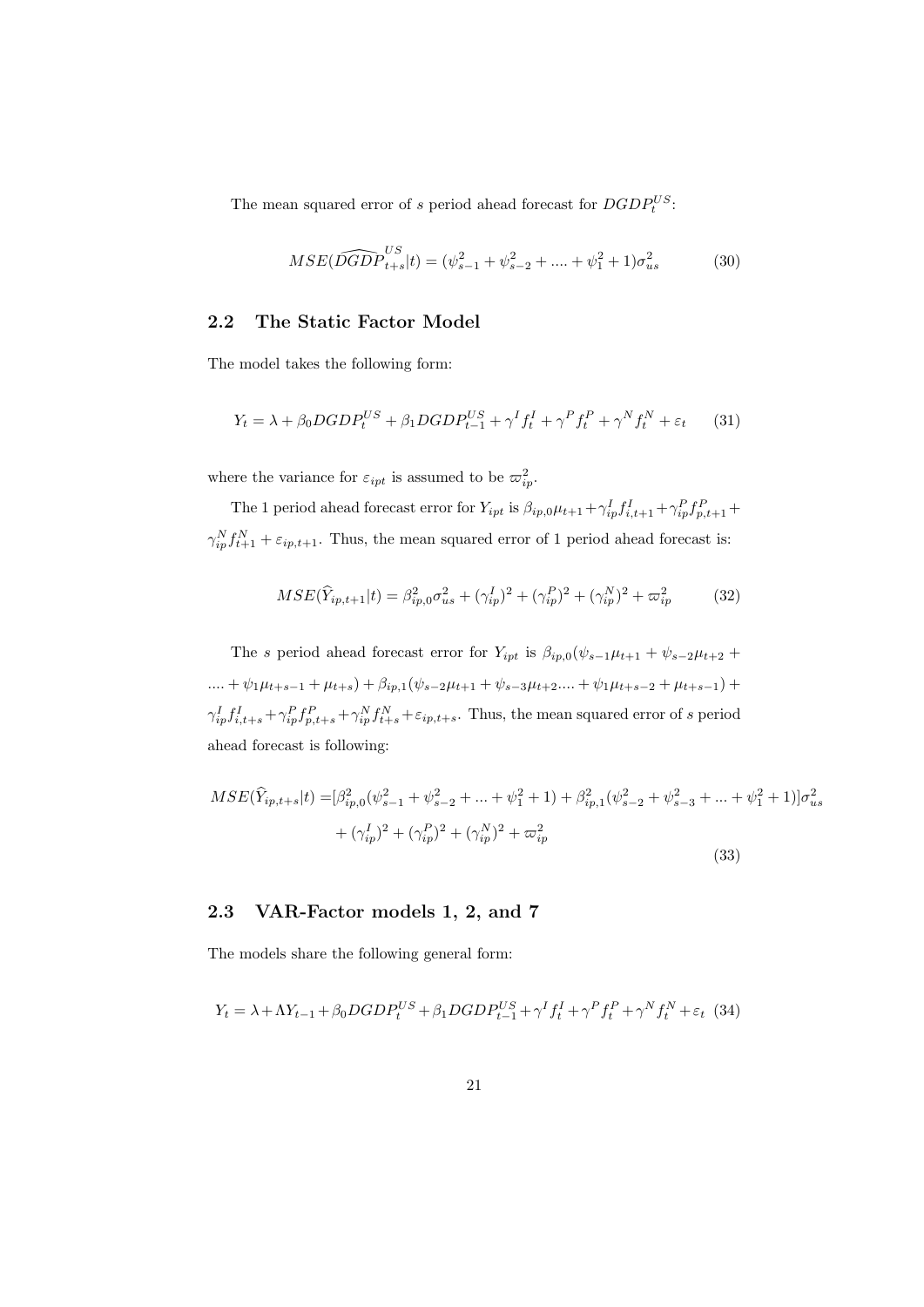The mean squared error of *s* period ahead forecast for  $DGDP_t^{US}$ .

$$
MSE(\widehat{DGDP}_{t+s}^{US}|t) = (\psi_{s-1}^2 + \psi_{s-2}^2 + \dots + \psi_1^2 + 1)\sigma_{us}^2
$$
 (30)

#### **2.2 The Static Factor Model**

The model takes the following form:

$$
Y_t = \lambda + \beta_0 DGDP_t^{US} + \beta_1 DGDP_{t-1}^{US} + \gamma^I f_t^I + \gamma^P f_t^P + \gamma^N f_t^N + \varepsilon_t \tag{31}
$$

where the variance for  $\varepsilon_{ipt}$  is assumed to be  $\varpi_{ip}^2$ .

The 1 period ahead forecast error for  $Y_{ipt}$  is  $\beta_{ip,0}\mu_{t+1} + \gamma_{ip}^I f_{i,t+1}^I + \gamma_{ip}^P f_{p,t+1}^P +$  $\gamma_{ip}^N f_{t+1}^N + \varepsilon_{ip,t+1}$ . Thus, the mean squared error of 1 period ahead forecast is:

$$
MSE(\hat{Y}_{ip,t+1}|t) = \beta_{ip,0}^2 \sigma_{us}^2 + (\gamma_{ip}^I)^2 + (\gamma_{ip}^P)^2 + (\gamma_{ip}^N)^2 + \varpi_{ip}^2 \tag{32}
$$

The *s* period ahead forecast error for  $Y_{ipt}$  is  $\beta_{ip,0}(\psi_{s-1}\mu_{t+1} + \psi_{s-2}\mu_{t+2} + \psi_{s-1}\mu_{t+1})$  $....+ \psi_1 \mu_{t+s-1} + \mu_{t+s}) + \beta_{ip,1} (\psi_{s-2} \mu_{t+1} + \psi_{s-3} \mu_{t+2}....+ \psi_1 \mu_{t+s-2} + \mu_{t+s-1}) +$  $\gamma_{ip}^I f_{i,t+s}^I + \gamma_{ip}^P f_{p,t+s}^P + \gamma_{ip}^N f_{t+s}^N + \varepsilon_{ip,t+s}$ . Thus, the mean squared error of s period ahead forecast is following:

$$
MSE(\hat{Y}_{ip,t+s}|t) = [\beta_{ip,0}^2(\psi_{s-1}^2 + \psi_{s-2}^2 + \dots + \psi_1^2 + 1) + \beta_{ip,1}^2(\psi_{s-2}^2 + \psi_{s-3}^2 + \dots + \psi_1^2 + 1)]\sigma_{us}^2
$$
  
+  $(\gamma_{ip}^I)^2 + (\gamma_{ip}^P)^2 + (\gamma_{ip}^N)^2 + \varpi_{ip}^2$  (33)

#### **2.3 VAR-Factor models 1, 2, and 7**

The models share the following general form:

$$
Y_t = \lambda + \Lambda Y_{t-1} + \beta_0 DGDP_t^{US} + \beta_1 DGDP_{t-1}^{US} + \gamma^I f_t^I + \gamma^P f_t^P + \gamma^N f_t^N + \varepsilon_t \tag{34}
$$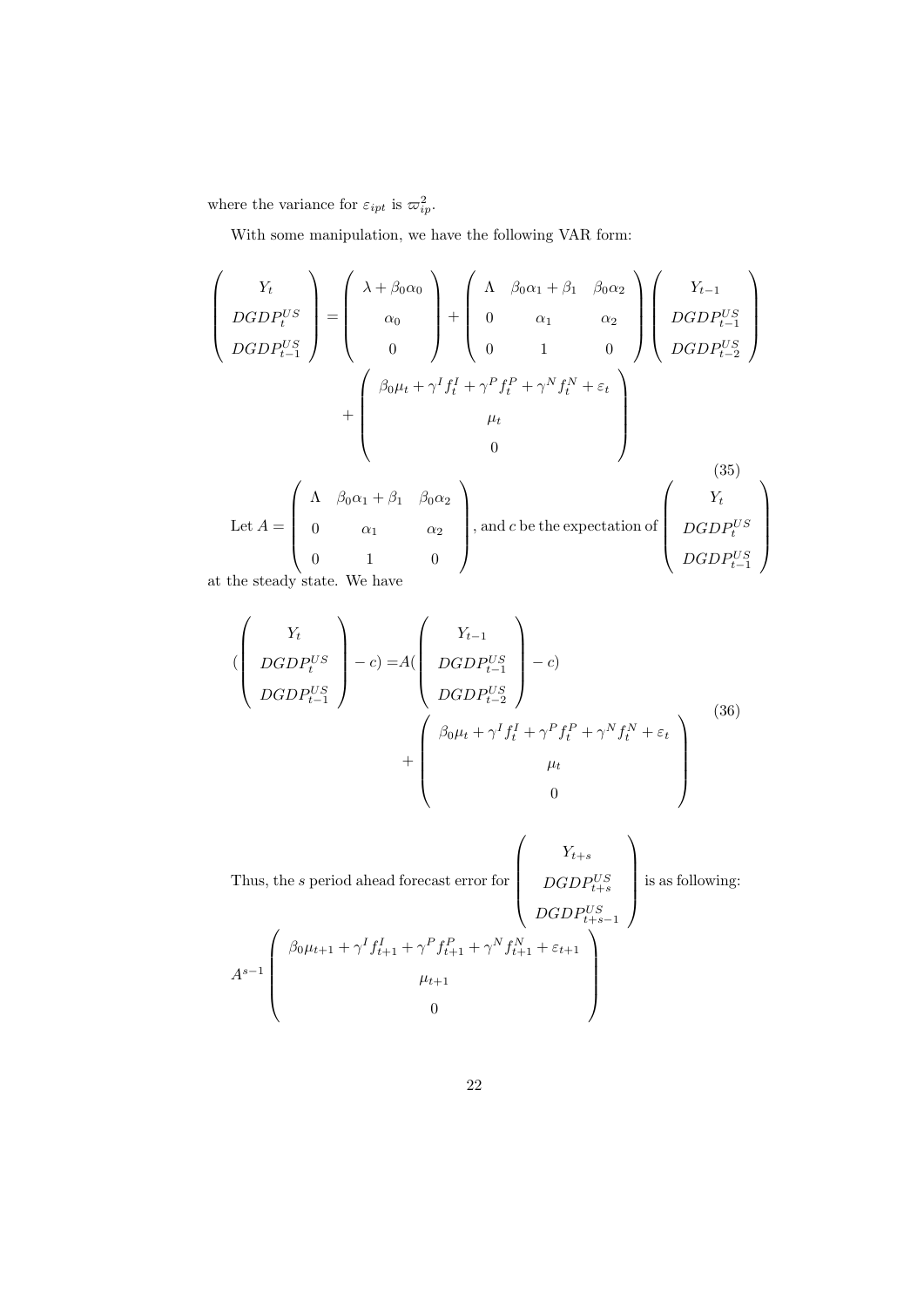where the variance for  $\varepsilon_{ipt}$  is  $\varpi_{ip}^2$ .

With some manipulation, we have the following VAR form:

$$
\begin{pmatrix}\nY_t \\
DGDP_t^{US} \\
DGDP_{t-1}^{US}\n\end{pmatrix} = \begin{pmatrix}\n\lambda + \beta_0 \alpha_0 \\
\alpha_0 \\
0\n\end{pmatrix} + \begin{pmatrix}\n\Lambda & \beta_0 \alpha_1 + \beta_1 & \beta_0 \alpha_2 \\
0 & \alpha_1 & \alpha_2 \\
0 & 1 & 0\n\end{pmatrix} \begin{pmatrix}\nY_{t-1} \\
DGDP_{t-1}^{US} \\
DGDP_{t-2}^{US}\n\end{pmatrix}
$$
\n
$$
+ \begin{pmatrix}\n\beta_0 \mu_t + \gamma^I f_t^I + \gamma^P f_t^P + \gamma^N f_t^N + \varepsilon_t \\
\mu_t \\
0\n\end{pmatrix}
$$
\n
$$
Let A = \begin{pmatrix}\n\Lambda & \beta_0 \alpha_1 + \beta_1 & \beta_0 \alpha_2 \\
0 & \alpha_1 & \alpha_2 \\
0 & 1 & 0\n\end{pmatrix}, and c be the expectation of\n\begin{pmatrix}\nY_t \\
DGDP_t^{US} \\
DGDP_t^{US} \\
DGDP_{t-1}^{US}\n\end{pmatrix}
$$
\n(35)

at the steady state. We have

$$
\begin{pmatrix}\nY_t \\
DGDP_t^{US} \\
DGDP_{t-1}^{US}\n\end{pmatrix} - c) = A \begin{pmatrix}\nY_{t-1} \\
DGDP_{t-1}^{US} \\
DGDP_{t-2}^{US}\n\end{pmatrix} - c)
$$
\n
$$
+ \begin{pmatrix}\n\beta_0 \mu_t + \gamma^I f_t^I + \gamma^P f_t^P + \gamma^N f_t^N + \varepsilon_t \\
\mu_t \\
0\n\end{pmatrix}
$$
\n(36)

Thus, the *s* period ahead forecast error for 
$$
\begin{pmatrix}\nY_{t+s} \\
DGDP_{t+s}^{US} \\
DGDP_{t+s-1}^{US}\n\end{pmatrix}
$$
 is as following:  
\n
$$
A^{s-1} \begin{pmatrix}\n\beta_0 \mu_{t+1} + \gamma^I f_{t+1}^I + \gamma^P f_{t+1}^P + \gamma^N f_{t+1}^N + \varepsilon_{t+1} \\
\mu_{t+1} \\
0\n\end{pmatrix}
$$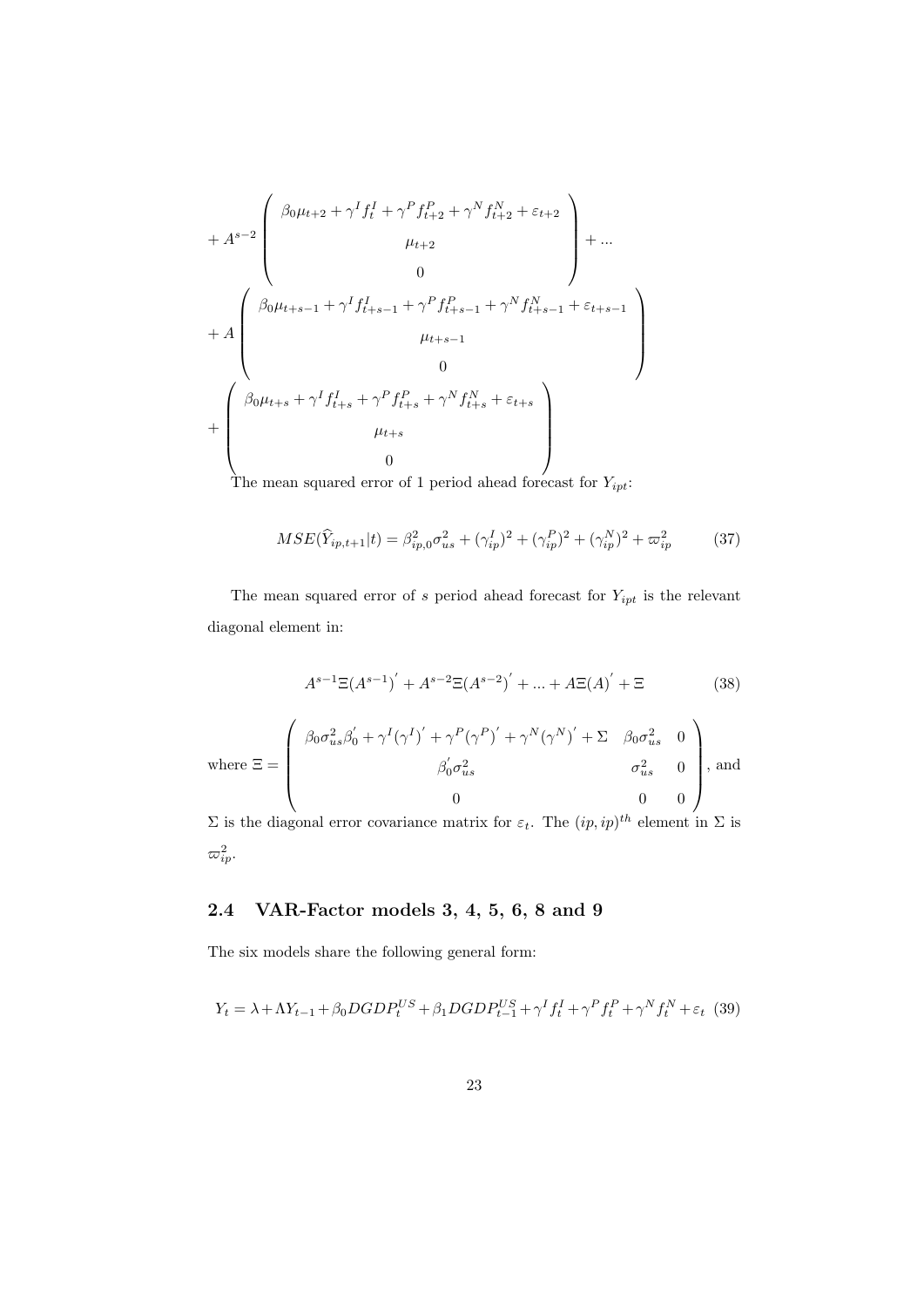$$
+ A^{s-2} \begin{pmatrix} \beta_0 \mu_{t+2} + \gamma^I f_t^I + \gamma^P f_{t+2}^P + \gamma^N f_{t+2}^N + \varepsilon_{t+2} \\ \mu_{t+2} \\ 0 \\ \beta_0 \mu_{t+s-1} + \gamma^I f_{t+s-1}^I + \gamma^P f_{t+s-1}^P + \gamma^N f_{t+s-1}^N + \varepsilon_{t+s-1} \\ \mu_{t+s-1} \\ 0 \\ + \begin{pmatrix} \beta_0 \mu_{t+s} + \gamma^I f_{t+s}^I + \gamma^P f_{t+s}^P + \gamma^N f_{t+s}^N + \varepsilon_{t+s} \\ \mu_{t+s} \\ 0 \end{pmatrix} \end{pmatrix} + \cdots
$$

The mean squared error of 1 period ahead forecast for  $Y_{ipt}$ :

$$
MSE(\hat{Y}_{ip,t+1}|t) = \beta_{ip,0}^2 \sigma_{us}^2 + (\gamma_{ip}^I)^2 + (\gamma_{ip}^P)^2 + (\gamma_{ip}^N)^2 + \varpi_{ip}^2 \tag{37}
$$

The mean squared error of  $s$  period ahead forecast for  $Y_{ipt}$  is the relevant diagonal element in:

$$
A^{s-1}\Xi(A^{s-1})^{'} + A^{s-2}\Xi(A^{s-2})^{'} + ... + A\Xi(A)^{'} + \Xi
$$
 (38)

where 
$$
\Xi = \begin{pmatrix} \beta_0 \sigma_{us}^2 \beta'_0 + \gamma^I (\gamma^I)' + \gamma^P (\gamma^P)' + \gamma^N (\gamma^N)' + \Sigma & \beta_0 \sigma_{us}^2 & 0 \\ \beta'_0 \sigma_{us}^2 & \sigma_{us}^2 & 0 \\ 0 & 0 & 0 \end{pmatrix}
$$
, and

 $\Sigma$  is the diagonal error covariance matrix for  $\varepsilon_t$ . The  $(ip, ip)^{th}$  element in  $\Sigma$  is  $\varpi^2_{ip}$ .

## **2.4 VAR-Factor models 3, 4, 5, 6, 8 and 9**

The six models share the following general form:

$$
Y_t = \lambda + \Lambda Y_{t-1} + \beta_0 DGDP_t^{US} + \beta_1 DGDP_{t-1}^{US} + \gamma^I f_t^I + \gamma^P f_t^P + \gamma^N f_t^N + \varepsilon_t \tag{39}
$$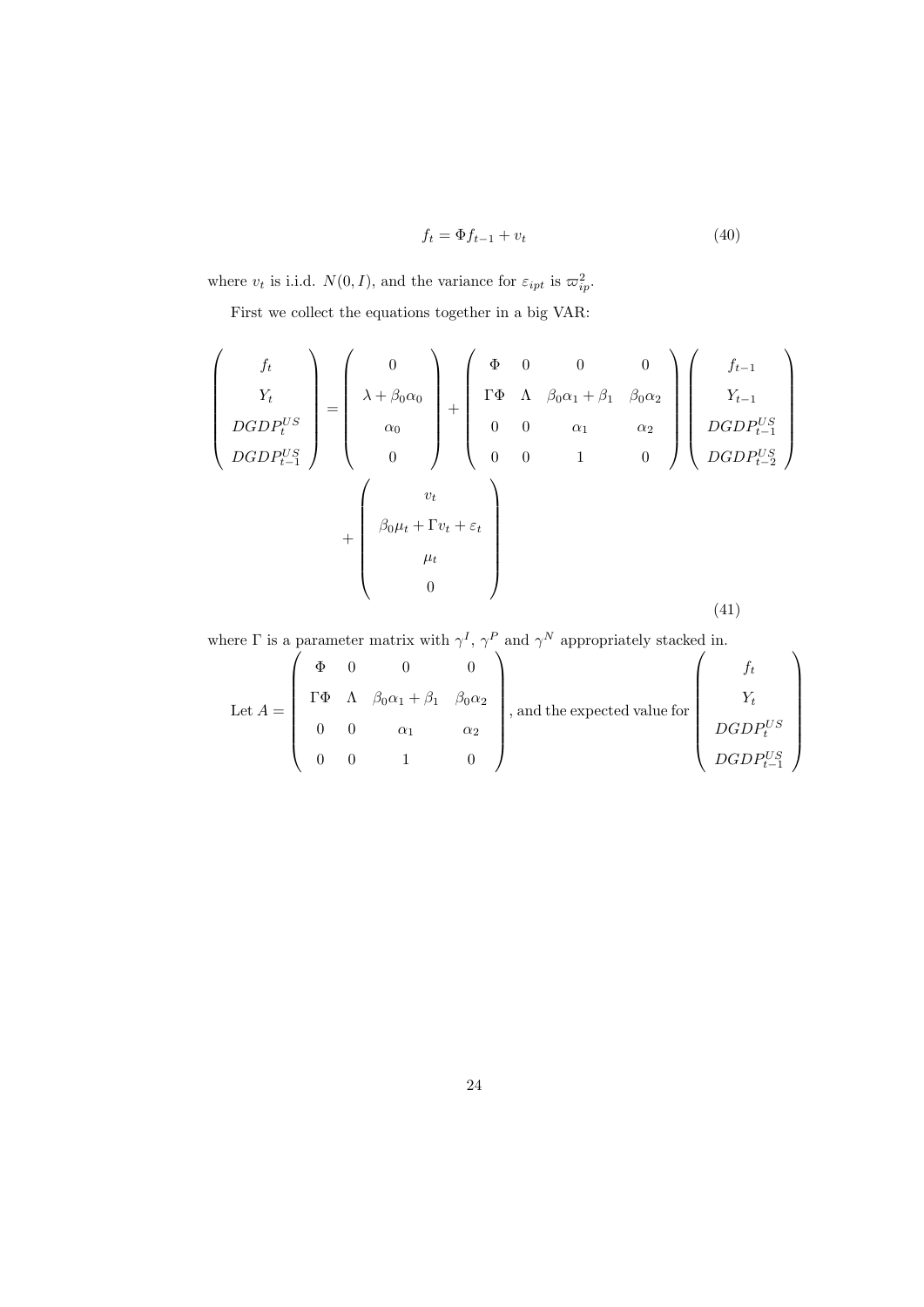$$
f_t = \Phi f_{t-1} + v_t \tag{40}
$$

where  $v_t$  is i.i.d.  $N(0, I)$ , and the variance for  $\varepsilon_{ipt}$  is  $\varpi_{ip}^2$ .

First we collect the equations together in a big VAR:

$$
\begin{pmatrix}\nf_t \\
Y_t \\
DGDP_t^{US} \\
DGDP_{t-1}^{US}\n\end{pmatrix} = \begin{pmatrix}\n0 \\
\lambda + \beta_0 \alpha_0 \\
\alpha_0 \\
0\n\end{pmatrix} + \begin{pmatrix}\n\Phi & 0 & 0 & 0 \\
\Gamma \Phi & \Lambda & \beta_0 \alpha_1 + \beta_1 & \beta_0 \alpha_2 \\
0 & 0 & \alpha_1 & \alpha_2 \\
0 & 0 & 1 & 0\n\end{pmatrix} \begin{pmatrix}\nf_{t-1} \\
Y_{t-1} \\
DGDP_{t-1}^{US} \\
DGDP_{t-2}^{US}\n\end{pmatrix} + \begin{pmatrix}\nv_t \\
\beta_0 \mu_t + \Gamma v_t + \varepsilon_t \\
\mu_t \\
0\n\end{pmatrix}
$$
\n(41)

where  $\Gamma$  is a parameter matrix with  $\gamma^I$ ,  $\gamma^P$  and  $\gamma^N$  appropriately stacked in.

Let 
$$
A = \begin{pmatrix} \Phi & 0 & 0 & 0 \\ \Gamma \Phi & \Lambda & \beta_0 \alpha_1 + \beta_1 & \beta_0 \alpha_2 \\ 0 & 0 & \alpha_1 & \alpha_2 \\ 0 & 0 & 1 & 0 \end{pmatrix}
$$
, and the expected value for 
$$
\begin{pmatrix} f_t \\ Y_t \\ DGDP_t^{US} \\ DGDP_{t-1}^{US} \end{pmatrix}
$$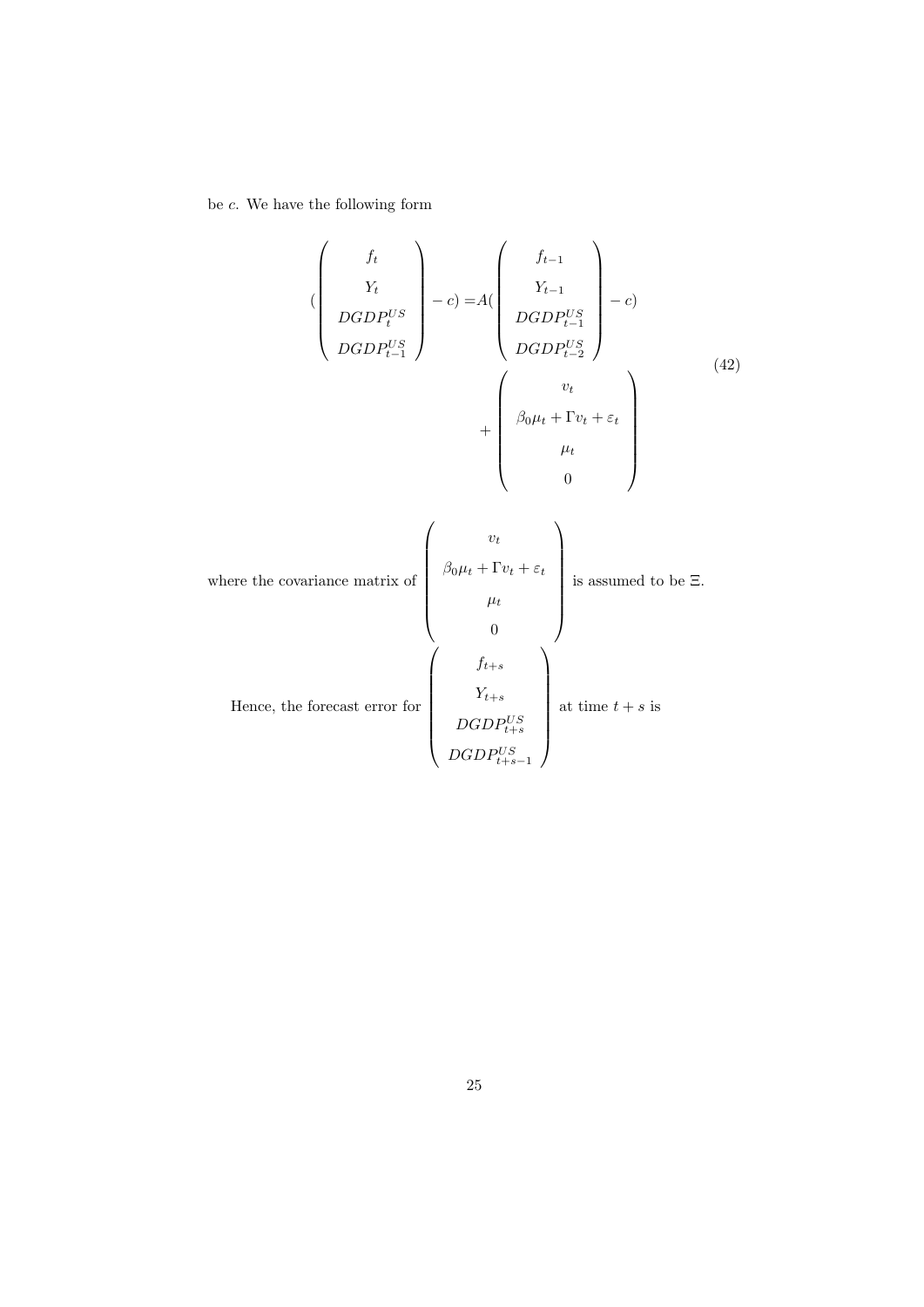be *c*. We have the following form

$$
\begin{pmatrix}\nf_t \\
Y_t \\
DGDP_t^{US} \\
DGDP_{t-1}^{US}\n\end{pmatrix} - c) = A \begin{pmatrix}\nf_{t-1} \\
Y_{t-1} \\
DGDP_{t-1}^{US} \\
DGDP_{t-2}^{US}\n\end{pmatrix} - c)
$$
\n
$$
+ \begin{pmatrix}\nv_t \\
\beta_0 \mu_t + \Gamma v_t + \varepsilon_t \\
\mu_t \\
0\n\end{pmatrix}
$$
\n(42)

where the covariance matrix of  
\n
$$
\mu_t
$$
\nHence, the forecast error for  
\n
$$
\begin{pmatrix}\n v_t \\
 \beta_0 \mu_t + \Gamma v_t + \varepsilon_t \\
 \mu_t \\
 0\n\end{pmatrix}
$$
\nis assumed to be  $\Xi$ .  
\n
$$
\mu_t
$$
\n
$$
\begin{pmatrix}\n f_{t+s} \\
 0 \\
 Y_{t+s} \\
 DGDP_{t+s}^{US} \\
 1\n\end{pmatrix}
$$
at time  $t + s$  is  
\n
$$
DGDP_{t+s-1}^{US}
$$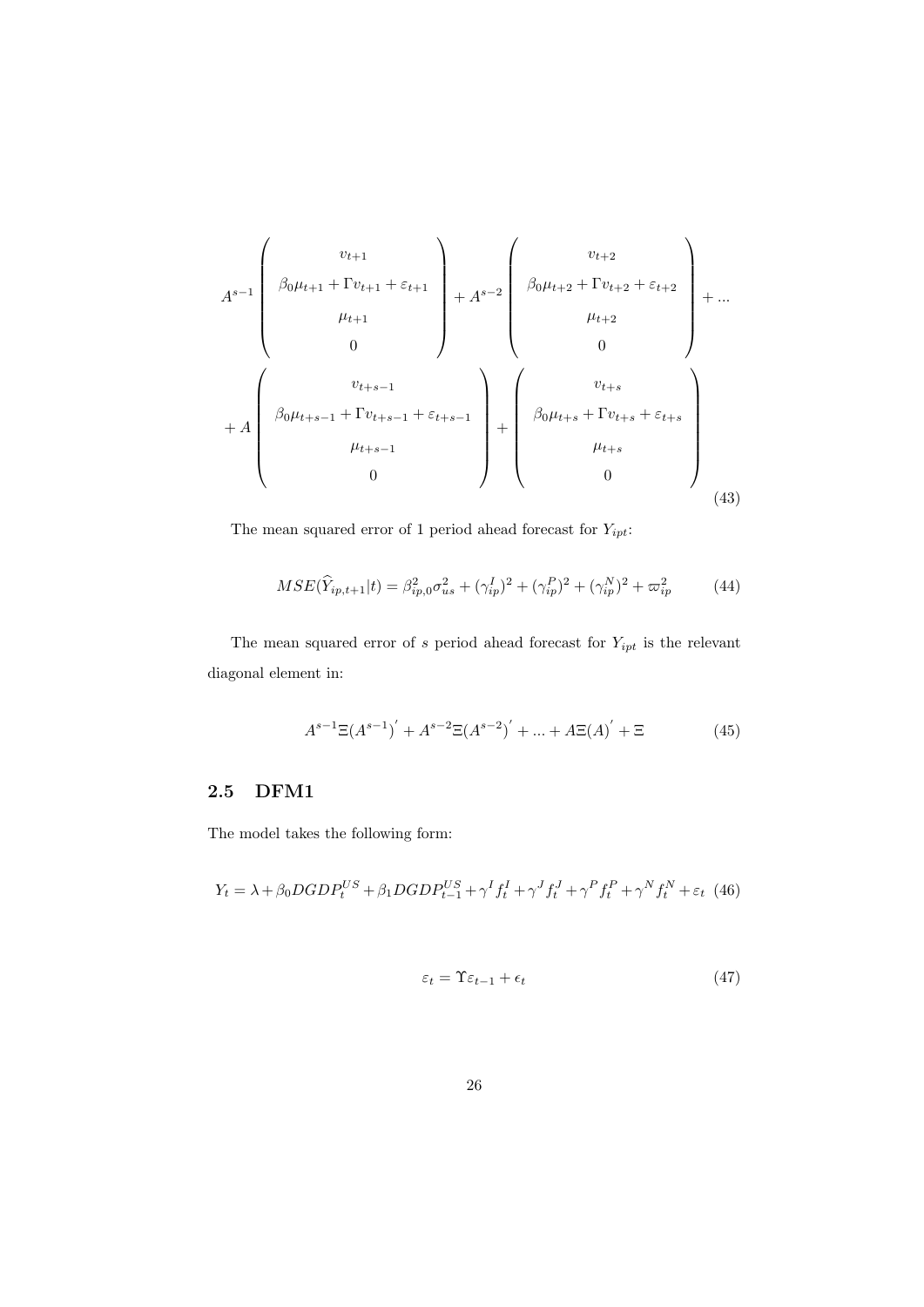$$
A^{s-1} \begin{pmatrix} v_{t+1} \\ \beta_0 \mu_{t+1} + \Gamma v_{t+1} + \varepsilon_{t+1} \\ \mu_{t+1} \\ 0 \end{pmatrix} + A^{s-2} \begin{pmatrix} v_{t+2} \\ \beta_0 \mu_{t+2} + \Gamma v_{t+2} + \varepsilon_{t+2} \\ \mu_{t+2} \\ 0 \end{pmatrix} + \dots
$$
  
+ 
$$
A \begin{pmatrix} v_{t+s-1} \\ \beta_0 \mu_{t+s-1} + \Gamma v_{t+s-1} + \varepsilon_{t+s-1} \\ \mu_{t+s-1} \\ 0 \end{pmatrix} + \begin{pmatrix} v_{t+s} \\ \beta_0 \mu_{t+s} + \Gamma v_{t+s} + \varepsilon_{t+s} \\ \mu_{t+s} \\ 0 \end{pmatrix}
$$
 (43)

The mean squared error of 1 period ahead forecast for  $Y_{ipt} \colon$ 

$$
MSE(\hat{Y}_{ip,t+1}|t) = \beta_{ip,0}^2 \sigma_{us}^2 + (\gamma_{ip}^I)^2 + (\gamma_{ip}^P)^2 + (\gamma_{ip}^N)^2 + \varpi_{ip}^2 \tag{44}
$$

The mean squared error of  $s$  period ahead forecast for  $Y_{ipt}$  is the relevant diagonal element in:

$$
A^{s-1}\Xi(A^{s-1})^{'} + A^{s-2}\Xi(A^{s-2})^{'} + ... + A\Xi(A)^{'} + \Xi
$$
 (45)

#### **2.5 DFM1**

The model takes the following form:

$$
Y_{t} = \lambda + \beta_{0} DGDP_{t}^{US} + \beta_{1} DGDP_{t-1}^{US} + \gamma^{I} f_{t}^{I} + \gamma^{J} f_{t}^{J} + \gamma^{P} f_{t}^{P} + \gamma^{N} f_{t}^{N} + \varepsilon_{t} (46)
$$

$$
\varepsilon_t = \Upsilon \varepsilon_{t-1} + \epsilon_t \tag{47}
$$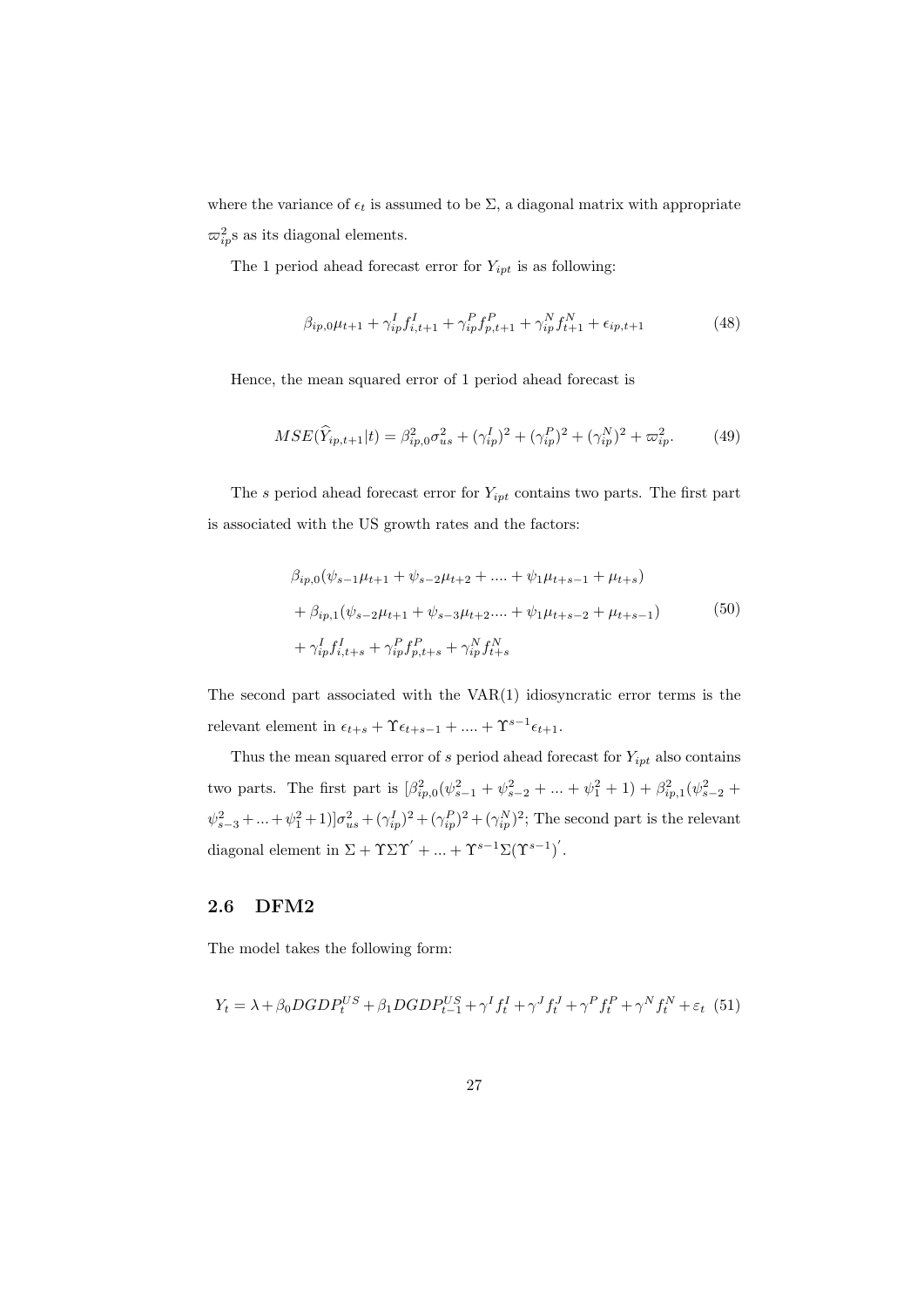where the variance of  $\epsilon_t$  is assumed to be  $\Sigma$ , a diagonal matrix with appropriate  $\varpi_{ip}^2$ s as its diagonal elements.

The 1 period ahead forecast error for  $Y_{ipt}$  is as following:

$$
\beta_{ip,0}\mu_{t+1} + \gamma_{ip}^I f_{i,t+1}^I + \gamma_{ip}^P f_{p,t+1}^P + \gamma_{ip}^N f_{t+1}^N + \epsilon_{ip,t+1}
$$
\n(48)

Hence, the mean squared error of 1 period ahead forecast is

$$
MSE(\hat{Y}_{ip,t+1}|t) = \beta_{ip,0}^2 \sigma_{us}^2 + (\gamma_{ip}^I)^2 + (\gamma_{ip}^P)^2 + (\gamma_{ip}^N)^2 + \varpi_{ip}^2.
$$
 (49)

The *s* period ahead forecast error for *Yipt* contains two parts. The first part is associated with the US growth rates and the factors:

$$
\beta_{ip,0}(\psi_{s-1}\mu_{t+1} + \psi_{s-2}\mu_{t+2} + \dots + \psi_1\mu_{t+s-1} + \mu_{t+s})
$$
  
+ 
$$
\beta_{ip,1}(\psi_{s-2}\mu_{t+1} + \psi_{s-3}\mu_{t+2} + \psi_1\mu_{t+s-2} + \mu_{t+s-1})
$$
  
+ 
$$
\gamma_{ip}^I f_{i,t+s}^I + \gamma_{ip}^P f_{p,t+s}^P + \gamma_{ip}^N f_{t+s}^N
$$
 (50)

The second part associated with the VAR(1) idiosyncratic error terms is the relevant element in  $\epsilon_{t+s}$  +  $\Upsilon \epsilon_{t+s-1}$  +  $\dots$  +  $\Upsilon^{s-1} \epsilon_{t+1}$ .

Thus the mean squared error of *s* period ahead forecast for *Yipt* also contains two parts. The first part is  $\left[\beta_{ip,0}^2(\psi_{s-1}^2 + \psi_{s-2}^2 + \dots + \psi_1^2 + 1) + \beta_{ip,1}^2(\psi_{s-2}^2 + \dots + \psi_{p-1}^2)\right]$  $\psi_{s-3}^2 + ... + \psi_1^2 + 1$ ] $\sigma_{us}^2 + (\gamma_{ip}^I)^2 + (\gamma_{ip}^P)^2 + (\gamma_{ip}^N)^2$ ; The second part is the relevant diagonal element in  $\Sigma + \Upsilon \Sigma \Upsilon' + ... + \Upsilon^{s-1} \Sigma (\Upsilon^{s-1})'$ .

#### **2.6 DFM2**

The model takes the following form:

$$
Y_t = \lambda + \beta_0 DGDP_t^{US} + \beta_1 DGDP_{t-1}^{US} + \gamma^I f_t^I + \gamma^J f_t^J + \gamma^P f_t^P + \gamma^N f_t^N + \varepsilon_t \tag{51}
$$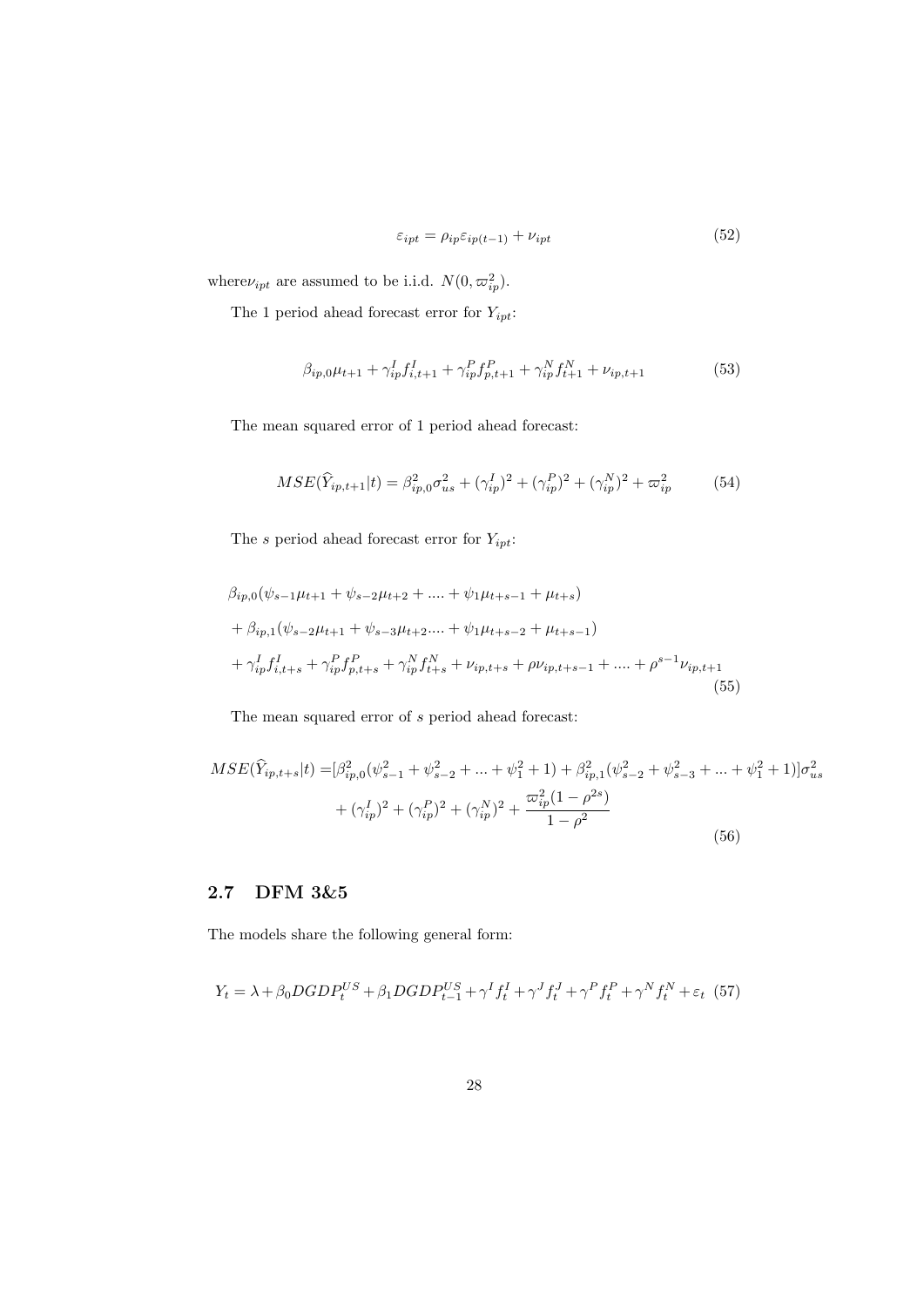$$
\varepsilon_{ipt} = \rho_{ip}\varepsilon_{ip(t-1)} + \nu_{ipt} \tag{52}
$$

where  $\nu_{ipt}$  are assumed to be i.i.d.  $N(0, \varpi_{ip}^2)$ .

The 1 period ahead forecast error for  $Y_{ipt}$ :

$$
\beta_{ip,0}\mu_{t+1} + \gamma_{ip}^I f_{i,t+1}^I + \gamma_{ip}^P f_{p,t+1}^P + \gamma_{ip}^N f_{t+1}^N + \nu_{ip,t+1}
$$
(53)

The mean squared error of 1 period ahead forecast:

$$
MSE(\hat{Y}_{ip,t+1}|t) = \beta_{ip,0}^2 \sigma_{us}^2 + (\gamma_{ip}^I)^2 + (\gamma_{ip}^P)^2 + (\gamma_{ip}^N)^2 + \varpi_{ip}^2 \tag{54}
$$

The *s* period ahead forecast error for *Yipt*:

$$
\beta_{ip,0}(\psi_{s-1}\mu_{t+1} + \psi_{s-2}\mu_{t+2} + \dots + \psi_1\mu_{t+s-1} + \mu_{t+s})
$$
  
+ 
$$
\beta_{ip,1}(\psi_{s-2}\mu_{t+1} + \psi_{s-3}\mu_{t+2} + \dots + \psi_1\mu_{t+s-2} + \mu_{t+s-1})
$$
  
+ 
$$
\gamma_{ip}^I f_{i,t+s}^I + \gamma_{ip}^P f_{p,t+s}^P + \gamma_{ip}^N f_{t+s}^N + \nu_{ip,t+s} + \rho \nu_{ip,t+s-1} + \dots + \rho^{s-1} \nu_{ip,t+1}
$$
  
(55)

The mean squared error of *s* period ahead forecast:

$$
MSE(\hat{Y}_{ip,t+s}|t) = [\beta_{ip,0}^2(\psi_{s-1}^2 + \psi_{s-2}^2 + \dots + \psi_1^2 + 1) + \beta_{ip,1}^2(\psi_{s-2}^2 + \psi_{s-3}^2 + \dots + \psi_1^2 + 1)]\sigma_{us}^2
$$
  
+  $(\gamma_{ip}^I)^2 + (\gamma_{ip}^P)^2 + (\gamma_{ip}^N)^2 + \frac{\varpi_{ip}^2(1-\rho^{2s})}{1-\rho^2}$  (56)

#### **2.7 DFM 3&5**

The models share the following general form:

$$
Y_{t} = \lambda + \beta_{0} DGDP_{t}^{US} + \beta_{1} DGDP_{t-1}^{US} + \gamma^{I} f_{t}^{I} + \gamma^{J} f_{t}^{J} + \gamma^{P} f_{t}^{P} + \gamma^{N} f_{t}^{N} + \varepsilon_{t} (57)
$$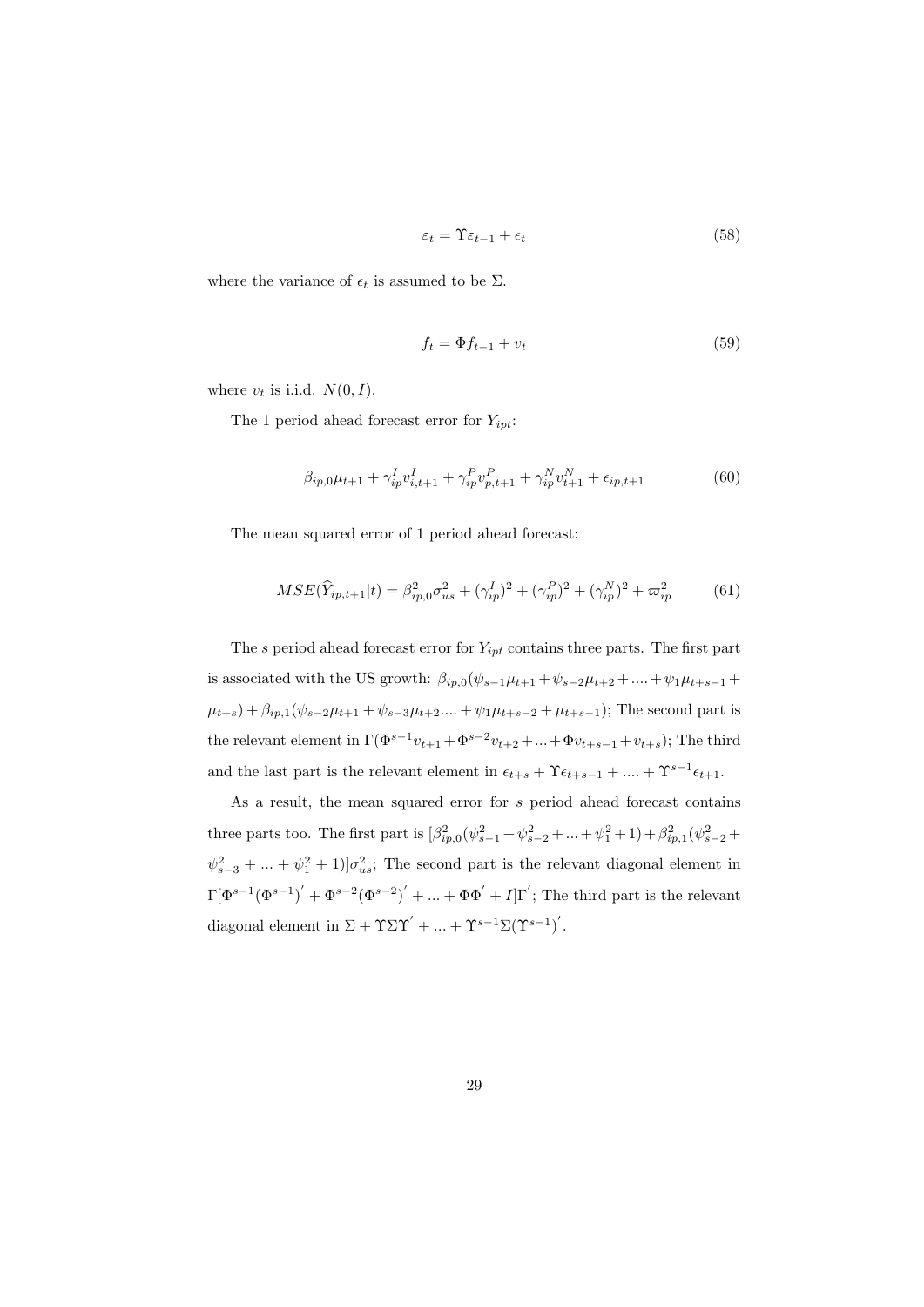$$
\varepsilon_t = \Upsilon \varepsilon_{t-1} + \epsilon_t \tag{58}
$$

where the variance of  $\epsilon_t$  is assumed to be  $\Sigma$ .

$$
f_t = \Phi f_{t-1} + v_t \tag{59}
$$

where  $v_t$  is i.i.d.  $N(0, I)$ .

The 1 period ahead forecast error for *Yipt*:

$$
\beta_{ip,0}\mu_{t+1} + \gamma_{ip}^I v_{i,t+1}^I + \gamma_{ip}^P v_{p,t+1}^P + \gamma_{ip}^N v_{t+1}^N + \epsilon_{ip,t+1}
$$
(60)

The mean squared error of 1 period ahead forecast:

$$
MSE(\hat{Y}_{ip,t+1}|t) = \beta_{ip,0}^2 \sigma_{us}^2 + (\gamma_{ip}^I)^2 + (\gamma_{ip}^P)^2 + (\gamma_{ip}^N)^2 + \varpi_{ip}^2 \tag{61}
$$

The *s* period ahead forecast error for *Yipt* contains three parts. The first part is associated with the US growth:  $\beta_{ip,0}(\psi_{s-1}\mu_{t+1} + \psi_{s-2}\mu_{t+2} + \dots + \psi_{1}\mu_{t+s-1} + \dots)$  $\mu_{t+s}$  +  $\beta_{ip,1}(\psi_{s-2}\mu_{t+1} + \psi_{s-3}\mu_{t+2} + \psi_1\mu_{t+s-2} + \mu_{t+s-1})$ ; The second part is the relevant element in  $\Gamma(\Phi^{s-1}v_{t+1} + \Phi^{s-2}v_{t+2} + ... + \Phi v_{t+s-1} + v_{t+s});$  The third and the last part is the relevant element in  $\epsilon_{t+s} + \Upsilon \epsilon_{t+s-1} + \dots + \Upsilon^{s-1} \epsilon_{t+1}$ .

As a result, the mean squared error for *s* period ahead forecast contains three parts too. The first part is  $\left[\beta_{ip,0}^2(\psi_{s-1}^2 + \psi_{s-2}^2 + ... + \psi_1^2 + 1) + \beta_{ip,1}^2(\psi_{s-2}^2 + \psi_{s-1}^2 + 1)\right]$  $\psi_{s-3}^2 + \dots + \psi_1^2 + 1$ ]*σ*<sup>2</sup><sub>*us*</sub>; The second part is the relevant diagonal element in  $\Gamma[\Phi^{s-1}(\Phi^{s-1})' + \Phi^{s-2}(\Phi^{s-2})' + ... + \Phi\Phi' + I]\Gamma'$ ; The third part is the relevant diagonal element in  $\Sigma + \Upsilon \Sigma \Upsilon' + ... + \Upsilon^{s-1} \Sigma (\Upsilon^{s-1})'$ .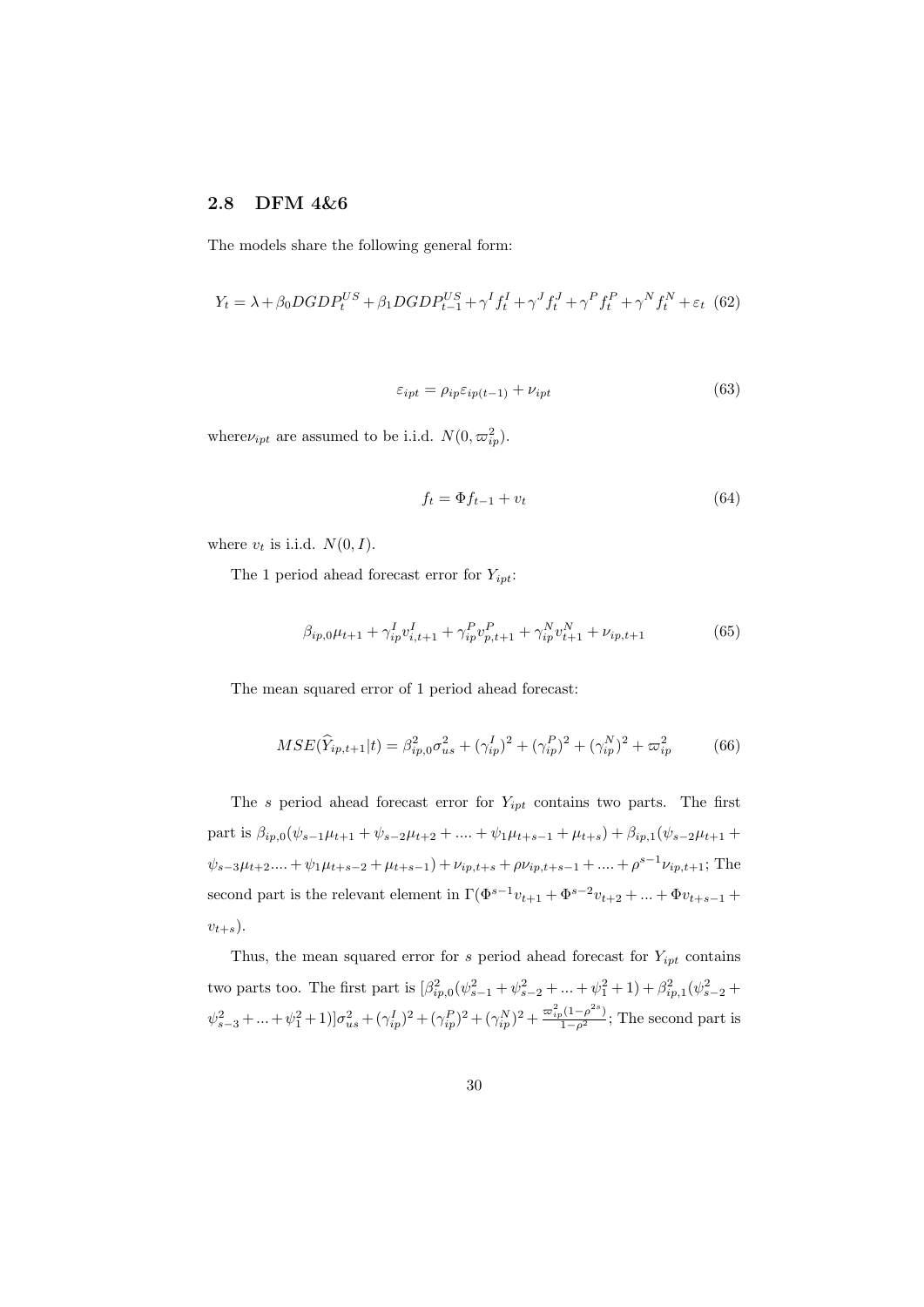#### **2.8 DFM 4&6**

The models share the following general form:

$$
Y_t = \lambda + \beta_0 DGDP_t^{US} + \beta_1 DGDP_{t-1}^{US} + \gamma^I f_t^I + \gamma^J f_t^J + \gamma^P f_t^P + \gamma^N f_t^N + \varepsilon_t \tag{62}
$$

$$
\varepsilon_{ipt} = \rho_{ip}\varepsilon_{ip(t-1)} + \nu_{ipt} \tag{63}
$$

where  $\nu_{ipt}$  are assumed to be i.i.d.  $N(0, \varpi_{ip}^2)$ .

$$
f_t = \Phi f_{t-1} + v_t \tag{64}
$$

where  $v_t$  is i.i.d.  $N(0, I)$ .

The 1 period ahead forecast error for *Yipt*:

$$
\beta_{ip,0}\mu_{t+1} + \gamma_{ip}^I v_{i,t+1}^I + \gamma_{ip}^P v_{p,t+1}^P + \gamma_{ip}^N v_{t+1}^N + \nu_{ip,t+1}
$$
(65)

The mean squared error of 1 period ahead forecast:

$$
MSE(\hat{Y}_{ip,t+1}|t) = \beta_{ip,0}^2 \sigma_{us}^2 + (\gamma_{ip}^I)^2 + (\gamma_{ip}^P)^2 + (\gamma_{ip}^N)^2 + \varpi_{ip}^2 \tag{66}
$$

The *s* period ahead forecast error for *Yipt* contains two parts. The first part is  $\beta_{ip,0}(\psi_{s-1}\mu_{t+1} + \psi_{s-2}\mu_{t+2} + \dots + \psi_1\mu_{t+s-1} + \mu_{t+s}) + \beta_{ip,1}(\psi_{s-2}\mu_{t+1} +$  $\psi_{s-3}\mu_{t+2}...+\psi_1\mu_{t+s-2}+\mu_{t+s-1})+\nu_{ip,t+s}+\rho\nu_{ip,t+s-1}+....+\rho^{s-1}\nu_{ip,t+1}$ ; The second part is the relevant element in  $\Gamma(\Phi^{s-1}v_{t+1} + \Phi^{s-2}v_{t+2} + ... + \Phi v_{t+s-1} + \Phi^{s-2}v_{t+s-1})$  $v_{t+s}$ ).

Thus, the mean squared error for  $s$  period ahead forecast for  $Y_{ipt}$  contains two parts too. The first part is  $\left[\beta_{ip,0}^2(\psi_{s-1}^2 + \psi_{s-2}^2 + \dots + \psi_1^2 + 1) + \beta_{ip,1}^2(\psi_{s-2}^2 + \dots\right]$  $\psi_{s-3}^2 + ... + \psi_1^2 + 1 \big) \big] \sigma_{us}^2 + (\gamma_{ip}^I)^2 + (\gamma_{ip}^P)^2 + (\gamma_{ip}^N)^2 + \frac{\varpi_{ip}^2 (1 - \rho^{2s})}{1 - \rho^2};$  The second part is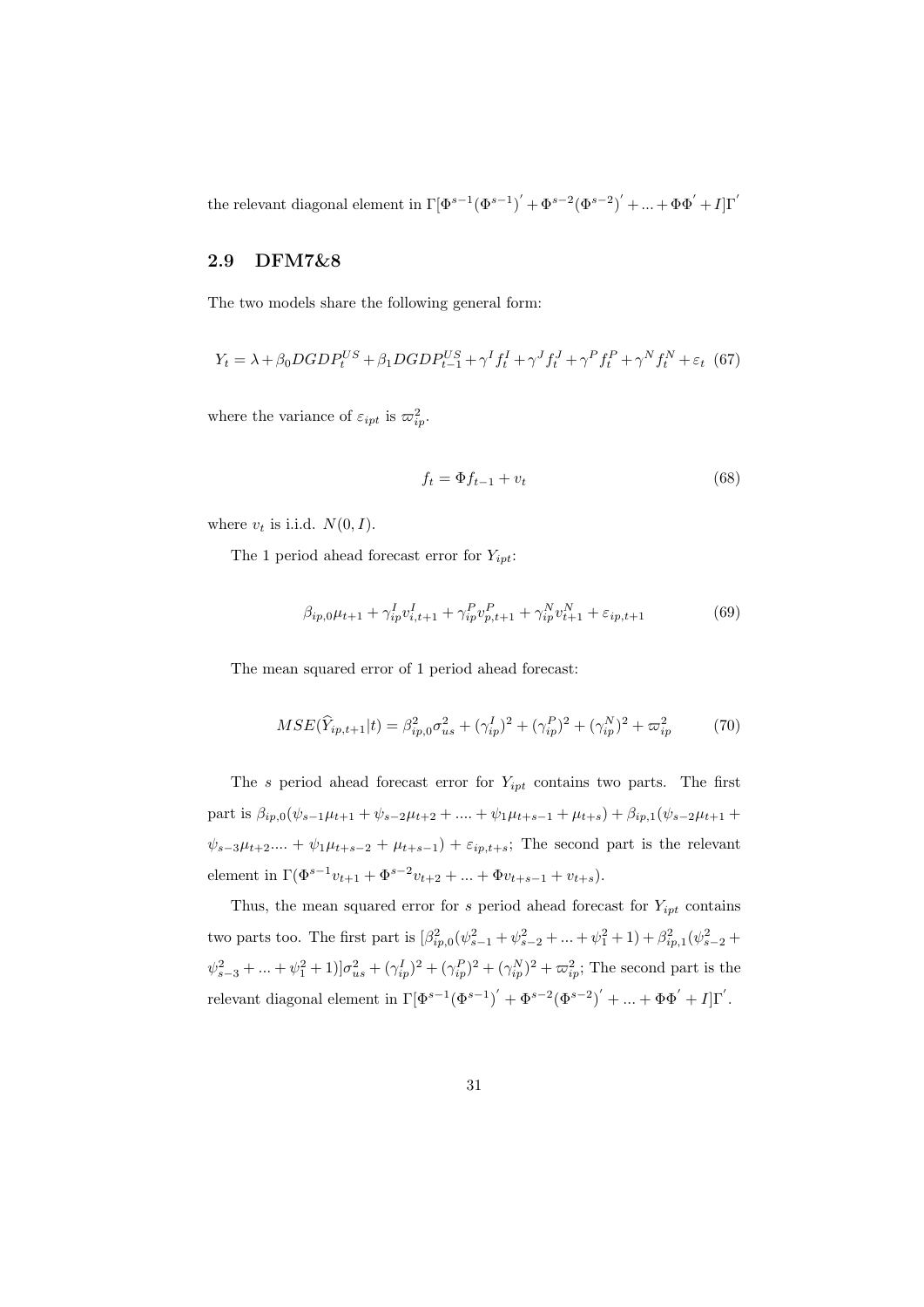the relevant diagonal element in  $\Gamma[\Phi^{s-1}(\Phi^{s-1})' + \Phi^{s-2}(\Phi^{s-2})' + ... + \Phi\Phi' + I]\Gamma'$ 

#### **2.9 DFM7&8**

The two models share the following general form:

$$
Y_{t} = \lambda + \beta_{0} DGDP_{t}^{US} + \beta_{1} DGDP_{t-1}^{US} + \gamma^{I} f_{t}^{I} + \gamma^{J} f_{t}^{J} + \gamma^{P} f_{t}^{P} + \gamma^{N} f_{t}^{N} + \varepsilon_{t} \tag{67}
$$

where the variance of  $\varepsilon_{ipt}$  is  $\varpi_{ip}^2$ .

$$
f_t = \Phi f_{t-1} + v_t \tag{68}
$$

where  $v_t$  is i.i.d.  $N(0, I)$ .

The 1 period ahead forecast error for *Yipt*:

$$
\beta_{ip,0}\mu_{t+1} + \gamma_{ip}^I v_{i,t+1}^I + \gamma_{ip}^P v_{p,t+1}^P + \gamma_{ip}^N v_{t+1}^N + \varepsilon_{ip,t+1}
$$
(69)

The mean squared error of 1 period ahead forecast:

$$
MSE(\hat{Y}_{ip,t+1}|t) = \beta_{ip,0}^2 \sigma_{us}^2 + (\gamma_{ip}^I)^2 + (\gamma_{ip}^P)^2 + (\gamma_{ip}^N)^2 + \varpi_{ip}^2 \tag{70}
$$

The *s* period ahead forecast error for *Yipt* contains two parts. The first part is  $\beta_{ip,0}(\psi_{s-1}\mu_{t+1} + \psi_{s-2}\mu_{t+2} + \dots + \psi_1\mu_{t+s-1} + \mu_{t+s}) + \beta_{ip,1}(\psi_{s-2}\mu_{t+1} + \dots + \psi_n\mu_{t+s-1} + \mu_{t+s})$  $\psi_{s-3}\mu_{t+2}$ .... +  $\psi_1\mu_{t+s-2} + \mu_{t+s-1}$ ) +  $\varepsilon_{ip,t+s}$ ; The second part is the relevant element in  $\Gamma(\Phi^{s-1}v_{t+1} + \Phi^{s-2}v_{t+2} + \dots + \Phi v_{t+s-1} + v_{t+s}).$ 

Thus, the mean squared error for  $s$  period ahead forecast for  $Y_{ipt}$  contains two parts too. The first part is  $\left[\beta_{ip,0}^2(\psi_{s-1}^2 + \psi_{s-2}^2 + \dots + \psi_1^2 + 1) + \beta_{ip,1}^2(\psi_{s-2}^2 + \dots\right]$  $\psi_{s-3}^2 + ... + \psi_1^2 + 1 \big) \big] \sigma_{us}^2 + (\gamma_{ip}^I)^2 + (\gamma_{ip}^P)^2 + (\gamma_{ip}^N)^2 + \varpi_{ip}^2$ ; The second part is the relevant diagonal element in  $\Gamma[\Phi^{s-1}(\Phi^{s-1})' + \Phi^{s-2}(\Phi^{s-2})' + ... + \Phi\Phi' + I]\Gamma'.$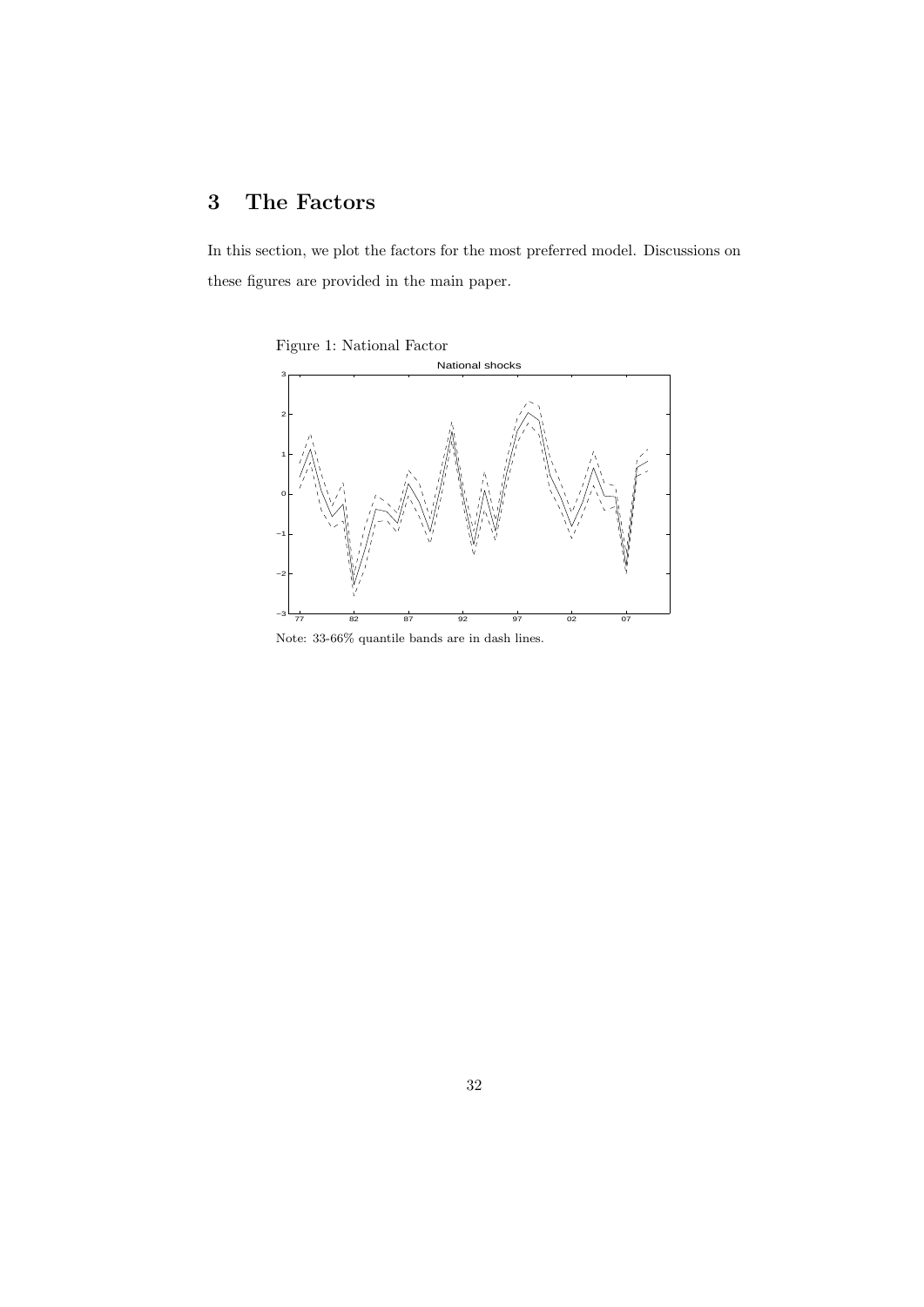## **3 The Factors**

In this section, we plot the factors for the most preferred model. Discussions on these figures are provided in the main paper.





Note: 33-66% quantile bands are in dash lines.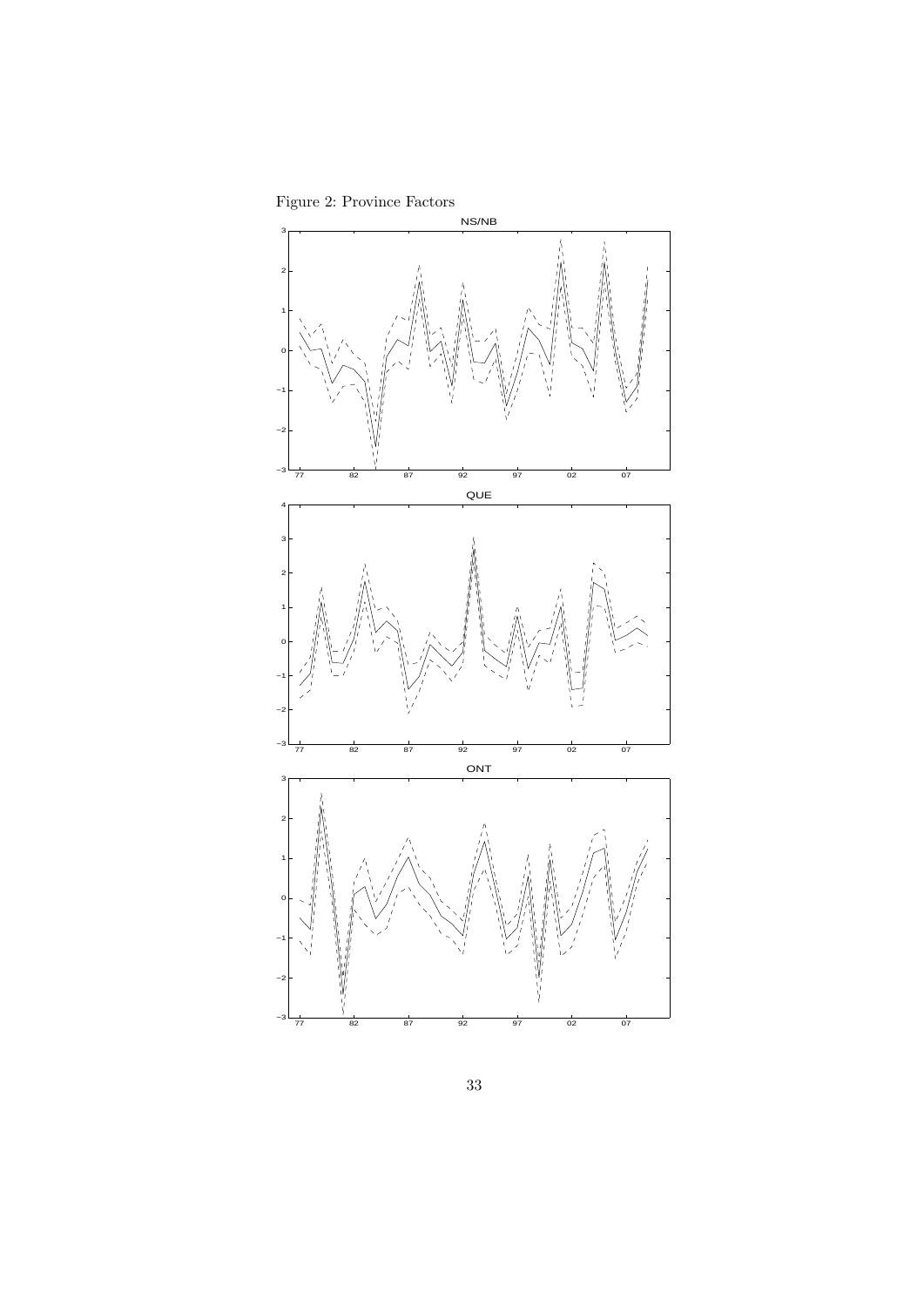



33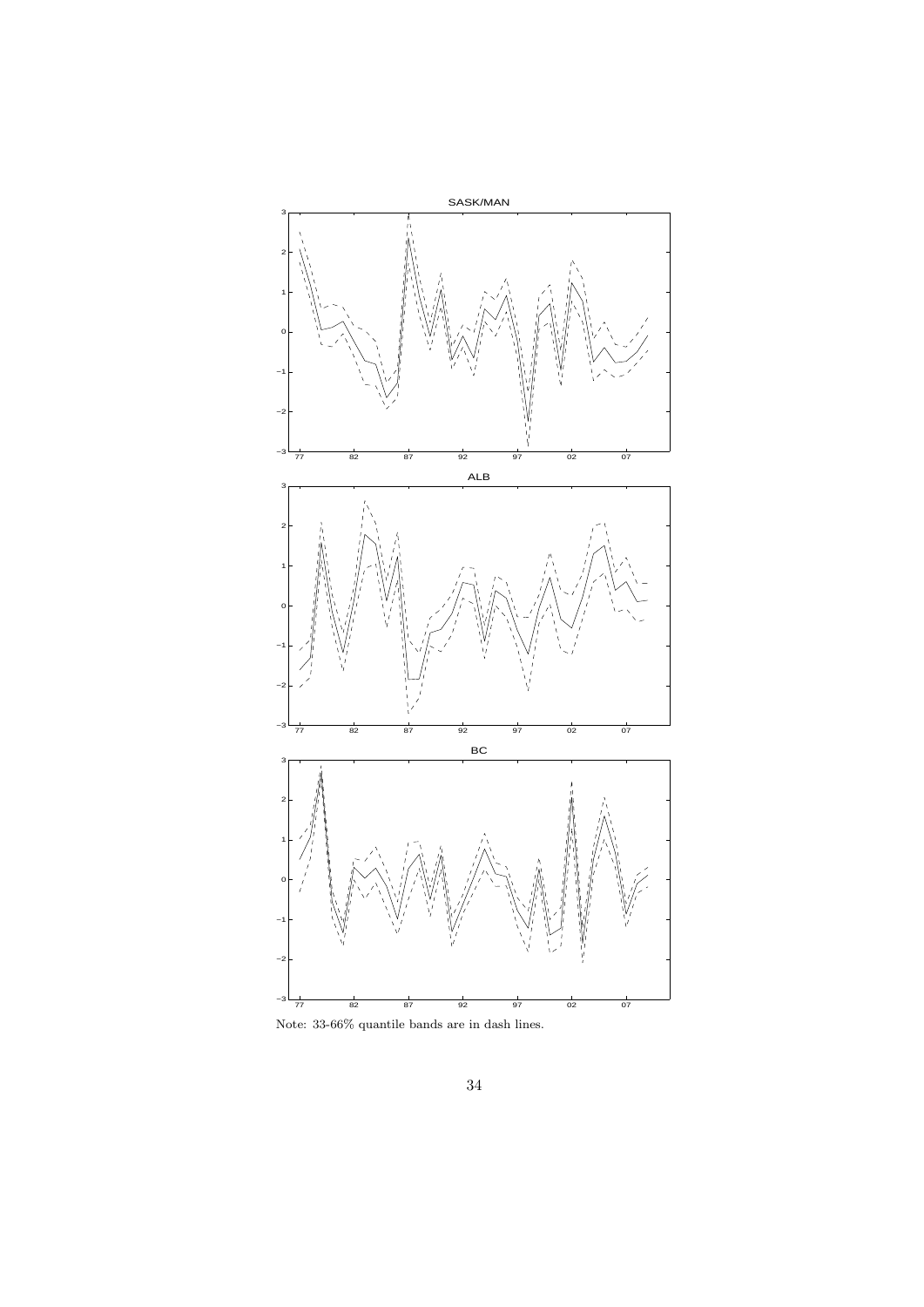

Note: 33-66% quantile bands are in dash lines.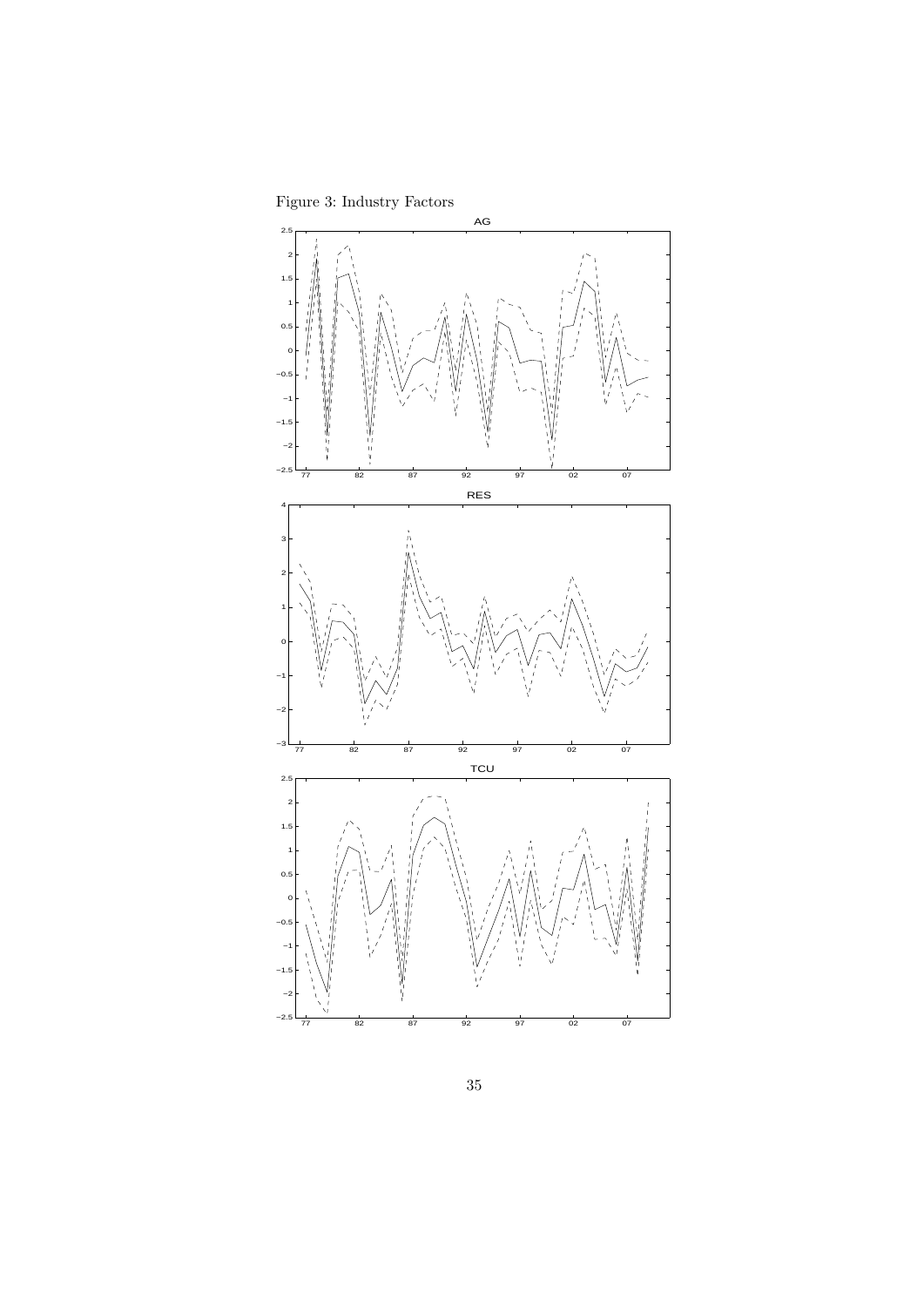Figure 3: Industry Factors

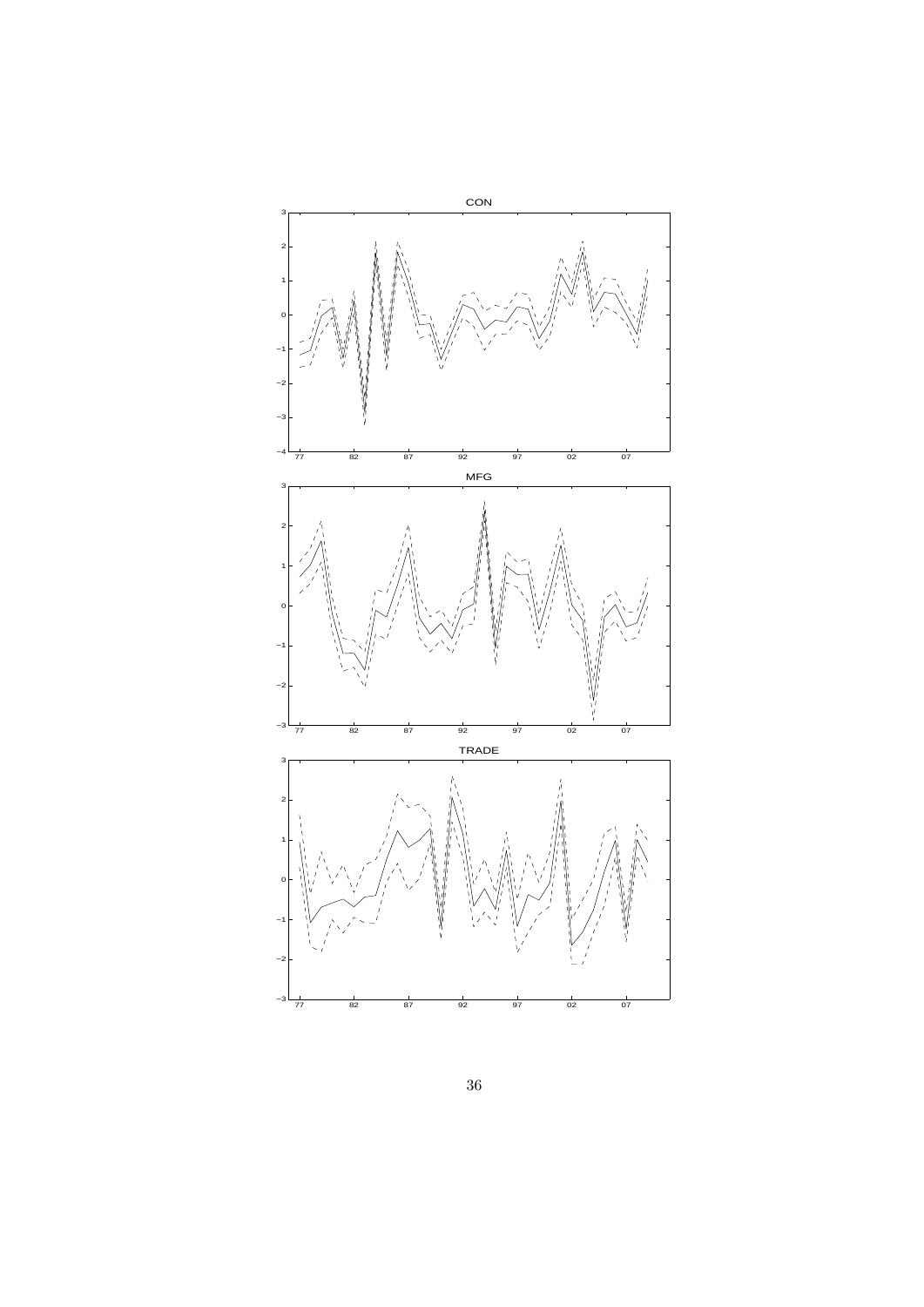

36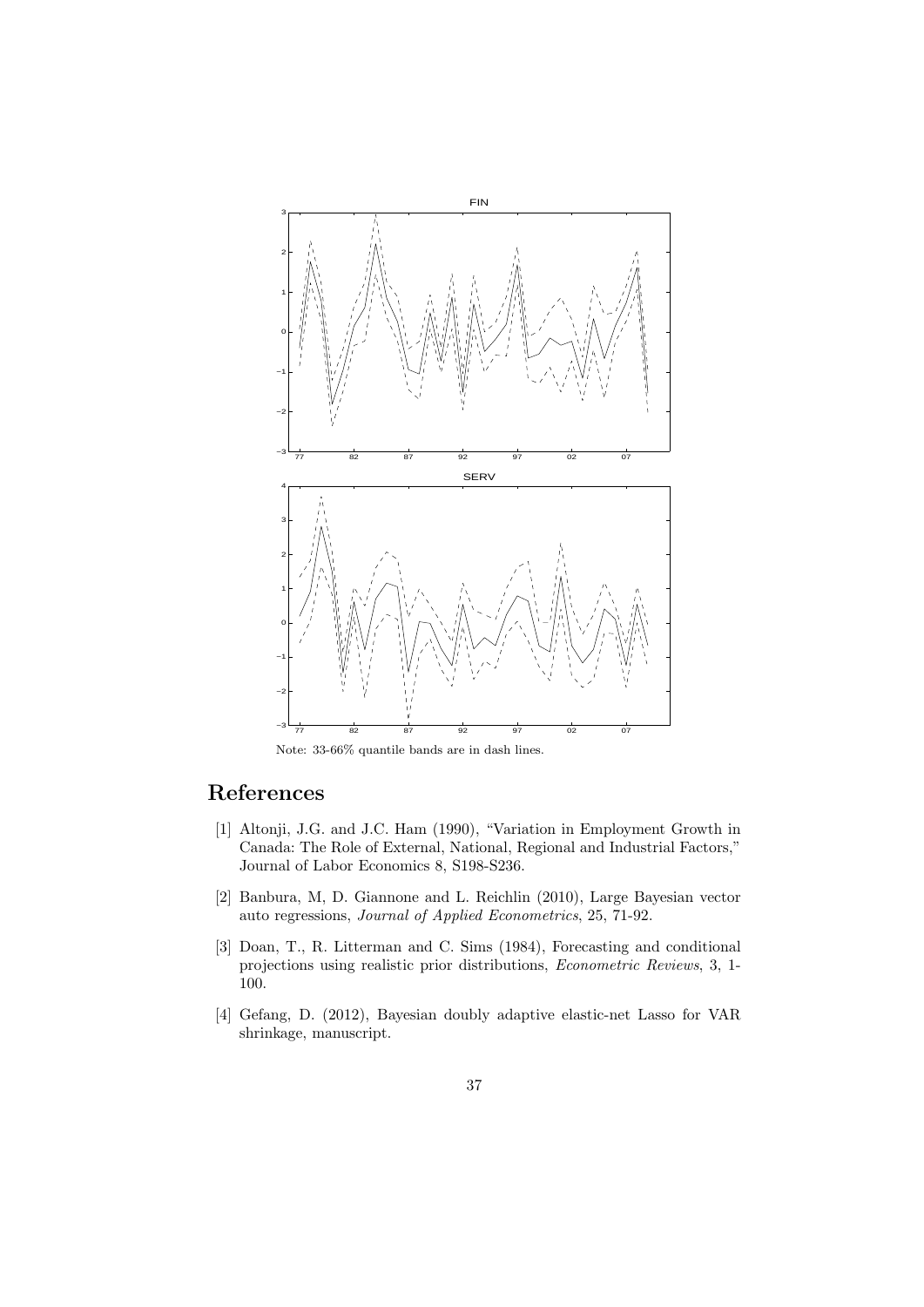

Note: 33-66% quantile bands are in dash lines.

### **References**

- [1] Altonji, J.G. and J.C. Ham (1990), "Variation in Employment Growth in Canada: The Role of External, National, Regional and Industrial Factors," Journal of Labor Economics 8, S198-S236.
- [2] Banbura, M, D. Giannone and L. Reichlin (2010), Large Bayesian vector auto regressions, *Journal of Applied Econometrics*, 25, 71-92.
- [3] Doan, T., R. Litterman and C. Sims (1984), Forecasting and conditional projections using realistic prior distributions, *Econometric Reviews*, 3, 1- 100.
- [4] Gefang, D. (2012), Bayesian doubly adaptive elastic-net Lasso for VAR shrinkage, manuscript.